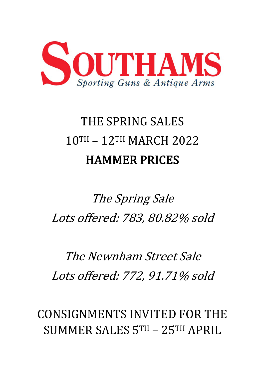

# THE SPRING SALES 10TH – 12TH MARCH 2022 HAMMER PRICES

## The Spring Sale Lots offered: 783, 80.82% sold

### The Newnham Street Sale Lots offered: 772, 91.71% sold

CONSIGNMENTS INVITED FOR THE SUMMER SALES 5TH – 25TH APRIL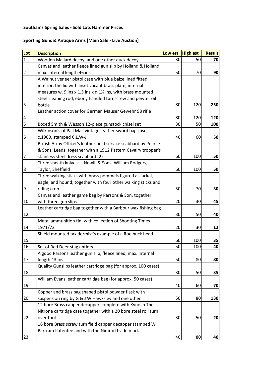### **Southams Spring Sales - Sold Lots Hammer Prices**

### **Sporting Guns & Antique Arms [Main Sale - Live Auction]**

| Lot            | <b>Description</b>                                              | Low est High est |     | <b>Result</b> |
|----------------|-----------------------------------------------------------------|------------------|-----|---------------|
| $\mathbf{1}$   | Wooden Mallard decoy, and one other duck decoy                  | 30               | 50  | 70            |
|                | Canvas and leather fleece lined gun slip by Holland & Holland,  |                  |     |               |
| $\overline{2}$ | max. internal length 46 ins                                     | 50               | 70  | 90            |
|                | A Walnut veneer pistol case with blue baize lined fitted        |                  |     |               |
|                | interior, the lid with inset vacant brass plate, internal       |                  |     |               |
|                | measures w. 9 ins x 1.5 ins x d.1% ins, with brass mounted      |                  |     |               |
|                | steel cleaning rod, ebony handled turnscrew and pewter oil      |                  |     |               |
| 3              | bottle                                                          | 80               | 120 | 250           |
|                | Leather action cover for German Mauser Gewehr 98 rifle          |                  |     |               |
| 4              |                                                                 | 80               | 120 | 120           |
| 5              | Boxed Smith & Wesson 12-piece gunstock chisel set               | 30               | 50  | 100           |
|                | Wilkinson's of Pall Mall vintage leather sword bag case,        |                  |     |               |
| 6              | c.1900, stamped C.L.W-J                                         | 40               | 60  | 50            |
|                | British Army Officer's leather field service scabbard by Pearce |                  |     |               |
|                | & Sons, Leeds; together with a 1912 Pattern Cavalry trooper's   |                  |     |               |
| 7              | stainless steel dress scabbard (2)                              | 60               | 100 | 50            |
|                | Three sheath knives: J. Nowill & Sons; William Rodgers;         |                  |     |               |
| 8              | Taylor, Sheffield                                               | 60               | 100 | 50            |
|                | Three walking sticks with brass pommels figured as jackal,      |                  |     |               |
|                | eagle, and hound; together with four other walking sticks and   |                  |     |               |
| 9              | riding crop                                                     | 50               | 70  | 30            |
|                | Canvas and leather game bag by Parsons & Son, together          |                  |     |               |
| 10             | with three gun slips                                            | 20               | 30  | 45            |
|                | Leather cartridge bag together with a Barbour wax fishing bag   |                  |     |               |
| 12             |                                                                 | 30               | 50  | 40            |
|                | Metal ammunition tin, with collection of Shooting Times         |                  |     |               |
| 14             | 1971/72                                                         | 20               | 30  | 12            |
|                | Shield mounted taxidermist's example of a Roe buck head         |                  |     |               |
| 15             |                                                                 | 60               | 100 | 35            |
| 16             | Set of Red Deer stag antlers                                    | 50               | 100 | 40            |
|                | A good Parsons leather gun slip, fleece lined, max. internal    |                  |     |               |
| 17             | length 43 ins                                                   | 50               | 80  | 80            |
|                | Quality Gunslips leather cartridge bag (for approx. 100 cases)  |                  |     |               |
| 18             |                                                                 | 30               | 50  | 35            |
|                | William Evans leather cartridge bag (for approx. 50 cases)      |                  |     |               |
| 19             |                                                                 | 40               | 60  | 70            |
|                | Copper and brass bag shaped pistol powder flask with            |                  |     |               |
| 20             | suspension ring by G & J W Hawksley and one other               | 50               | 80  | 130           |
|                | 12 bore Brass capper decapper complete with Kynoch The          |                  |     |               |
|                | Nitrone cartridge case together with a 20 bore steel roll turn  |                  |     |               |
| 22             | over tool                                                       | 30               | 50  | 20            |
|                | 16 bore Brass screw turn field capper decapper stamped W        |                  |     |               |
|                | Bartram Patentee and with the Nimrod trade mark                 |                  |     |               |
| 23             |                                                                 | 40               | 80  | 40            |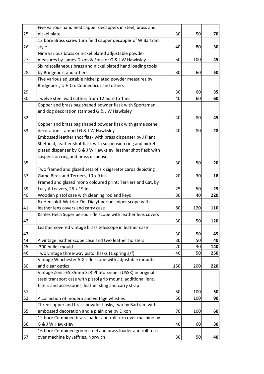|    | Five various hand held capper decappers in steel, brass and    |     |     |     |
|----|----------------------------------------------------------------|-----|-----|-----|
| 25 | nickel plate                                                   | 30  | 50  | 70  |
|    | 12 bore Brass screw turn field capper decapper of W Bartram    |     |     |     |
| 26 | style                                                          | 40  | 80  | 30  |
|    | Nine various brass or nickel plated adjustable powder          |     |     |     |
| 27 | measures by James Dixon & Sons or G & J W Hawksley             | 50  | 100 | 45  |
|    | Six miscellaneous brass and nickel plated hand loading tools   |     |     |     |
| 28 | by Bridgeport and others                                       | 30  | 60  | 50  |
|    | Five various adjustable nickel plated powder measures by       |     |     |     |
|    | Bridgeport, U H Co. Connecticut and others                     |     |     |     |
| 29 |                                                                | 30  | 60  | 35  |
| 30 | Twelve steel wad cutters from 12 bore to 1 ins                 | 40  | 60  | 60  |
|    | Copper and brass bag shaped powder flask with Sportsman        |     |     |     |
|    | and dog decoration stamped G & J W Hawksley                    |     |     |     |
| 32 |                                                                | 40  | 80  | 45  |
|    | Copper and brass bag shaped powder flask with game scene       |     |     |     |
| 33 | decoration stamped G & J W Hawksley                            | 40  | 80  | 28  |
|    | Embossed leather shot flask with brass dispenser by J Plant,   |     |     |     |
|    | Sheffield, leather shot flask with suspension ring and nickel  |     |     |     |
|    | plated dispenser by G & J W Hawksley, leather shot flask with  |     |     |     |
|    | suspension ring and brass dispenser                            |     |     |     |
| 35 |                                                                | 30  | 50  | 20  |
|    | Two framed and glazed sets of six cigarette cards depicting    |     |     |     |
| 37 | Game Birds and Terriers, 10 x 9 ins                            | 20  | 30  | 18  |
|    | Framed and glazed mono coloured print: Terriers and Cat, by    |     |     |     |
| 39 | Lucy A Leavers, 25 x 19 ins                                    | 25  | 50  | 25  |
| 40 | Wooden pistol case with cleaning rod and keys                  | 30  | 40  | 220 |
|    | 6x Hensoldt-Wetzlar Ziel-Dialyt period sniper scope with       |     |     |     |
| 41 | leather lens covers and carry case                             | 80  | 120 | 110 |
|    | Kahles Helia Super period rifle scope with leather lens covers |     |     |     |
| 42 |                                                                | 30  | 50  | 120 |
|    | Leather covered vintage brass telescope in leather case        |     |     |     |
| 43 |                                                                | 30  | 50  | 45  |
| 44 | A vintage leather scope case and two leather holsters          | 30  | 50  | 40  |
| 45 | .700 bullet mould                                              | 20  | 30  | 140 |
| 46 | Two vintage three-way pistol flasks (1 spring a/f)             | 40  | 50  | 250 |
|    | Vintage Winchester 5-X rifle scope with adjustable mounts      |     |     |     |
| 50 | and clear optics                                               | 150 | 200 | 220 |
|    | Vintage Zenit-ES 35mm SLR Photo Sniper (USSR) in original      |     |     |     |
|    | steel transport case with pistol grip mount, additional lens,  |     |     |     |
|    | filters and accessories, leather sling and carry strap         |     |     |     |
| 51 |                                                                | 50  | 100 | 50  |
| 52 | A collection of modern and vintage whistles                    | 50  | 100 | 90  |
|    | Three copper and brass powder flasks, two by Bartram with      |     |     |     |
| 55 | embossed decoration and a plain one by Dixon                   | 70  | 100 | 60  |
|    | 12 bore Combined brass loader and roll turn over machine by    |     |     |     |
| 56 | G & J W Hawksley                                               | 40  | 60  | 30  |
|    | 16 bore Combined green steel and brass loader and roll turn    |     |     |     |
| 57 | over machine by Jeffries, Norwich                              | 30  | 50  | 40  |
|    |                                                                |     |     |     |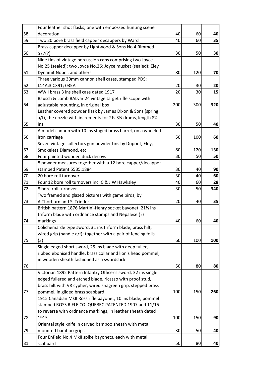|    | Four leather shot flasks, one with embossed hunting scene              |     |     |     |
|----|------------------------------------------------------------------------|-----|-----|-----|
| 58 | decoration                                                             | 40  | 60  | 40  |
| 59 | Two 20 bore brass field capper decappers by Ward                       | 40  | 60  | 35  |
|    | Brass capper decapper by Lightwood & Sons No.4 Rimmed                  |     |     |     |
| 60 | 577(?)                                                                 | 30  | 50  | 30  |
|    | Nine tins of vintage percussion caps comprising two Joyce              |     |     |     |
|    | No.25 (sealed); two Joyce No.26; Joyce musket (sealed); Eley           |     |     |     |
| 61 | Dynamit Nobel, and others                                              | 80  | 120 | 70  |
|    | Three various 30mm cannon shell cases, stamped PDS;                    |     |     |     |
| 62 | L14A;3 CX91; 035A                                                      | 20  | 30  | 20  |
| 63 | WW I brass 3 ins shell case dated 1917                                 | 20  | 30  | 15  |
|    | Bausch & Lomb BALvar 24 vintage target rifle scope with                |     |     |     |
| 64 | adjustable mounting, in original box                                   | 200 | 300 | 320 |
|    | Leather covered powder flask by James Dixon & Sons (spring             |     |     |     |
|    | a/f), the nozzle with increments for 21/2-31/2 drams, length 81/4      |     |     |     |
| 65 | ins                                                                    | 30  | 50  | 40  |
|    | A model cannon with 10 ins staged brass barrel, on a wheeled           |     |     |     |
| 66 | iron carriage                                                          | 50  | 100 | 60  |
|    | Seven vintage collectors gun powder tins by Dupont, Eley,              |     |     |     |
| 67 | Smokeless Diamond, etc                                                 | 80  | 120 | 130 |
| 68 | Four painted wooden duck decoys                                        | 30  | 50  | 50  |
|    | 8 powder measures together with a 12 bore capper/decapper              |     |     |     |
| 69 | stamped Patent 5535.1884                                               | 30  | 40  | 90  |
| 70 | 20 bore roll turnover                                                  | 30  | 40  | 60  |
| 71 | Four 12 bore roll turnovers inc. C & J.W Hawksley                      | 40  | 60  | 28  |
| 72 | 8 bore roll turnover                                                   | 30  | 50  | 340 |
|    | Two framed and glazed pictures with game birds, by                     |     |     |     |
| 73 | A. Thorburn and S. Trinder                                             | 20  | 40  | 35  |
|    | British pattern 1876 Martini-Henry socket bayonet, 211/2 ins           |     |     |     |
|    | triform blade with ordnance stamps and Nepalese (?)                    |     |     |     |
| 74 |                                                                        | 40  | 60  | 40  |
|    | markings<br>Colichemarde type sword, 31 ins triform blade, brass hilt, |     |     |     |
|    |                                                                        |     |     |     |
|    | wired grip (handle a/f); together with a pair of fencing foils         |     |     |     |
| 75 | (3)                                                                    | 60  | 100 | 100 |
|    | Single edged short sword, 25 ins blade with deep fuller,               |     |     |     |
|    | ribbed ebonised handle, brass collar and lion's head pommel,           |     |     |     |
|    | in wooden sheath fashioned as a swordstick                             |     |     |     |
| 76 |                                                                        | 50  | 80  | 80  |
|    | Victorian 1892 Pattern Infantry Officer's sword, 32 ins single         |     |     |     |
|    | edged fullered and etched blade, ricasso with proof stud,              |     |     |     |
|    | brass hilt with VR cypher, wired shagreen grip, stepped brass          |     |     |     |
| 77 | pommel, in gilded brass scabbard                                       | 100 | 150 | 260 |
|    | 1915 Canadian MkII Ross rifle bayonet, 10 ins blade, pommel            |     |     |     |
|    | stamped ROSS RIFLE CO. QUEBEC PATENTED 1907 and 11/15                  |     |     |     |
|    | to reverse with ordnance markings, in leather sheath dated             |     |     |     |
| 78 | 1915                                                                   | 100 | 150 | 90  |
|    | Oriental style knife in carved bamboo sheath with metal                |     |     |     |
| 79 | mounted bamboo grips.                                                  | 30  | 50  | 40  |
|    | Four Enfield No.4 MkII spike bayonets, each with metal                 |     |     |     |
| 81 | scabbard                                                               | 50  | 80  | 40  |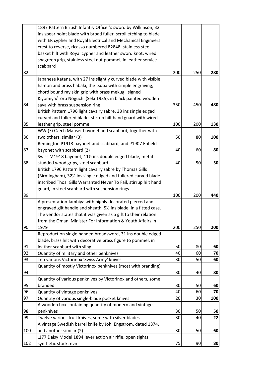|     | 1897 Pattern British Infantry Officer's sword by Wilkinson, 32     |     |     |     |
|-----|--------------------------------------------------------------------|-----|-----|-----|
|     | ins spear point blade with broad fuller, scroll etching to blade   |     |     |     |
|     | with ER cypher and Royal Electrical and Mechanical Engineers       |     |     |     |
|     | crest to reverse, ricasso numbered 82848, stainless steel          |     |     |     |
|     | basket hilt with Royal cypher and leather sword knot, wired        |     |     |     |
|     | shagreen grip, stainless steel nut pommel, in leather service      |     |     |     |
|     | scabbard                                                           |     |     |     |
| 82  |                                                                    | 200 | 250 | 280 |
|     | Japanese Katana, with 27 ins slightly curved blade with visible    |     |     |     |
|     | hamon and brass habaki, the tsuba with simple engraving,           |     |     |     |
|     | chord bound ray skin grip with brass mekugi, signed                |     |     |     |
|     | Kiyomiya/Toru Noguchi (Seki 1935), in black painted wooden         |     |     |     |
| 84  | saya with brass suspension ring                                    | 350 | 450 | 480 |
|     | British Pattern 1796 light cavalry sabre, 33 ins single edged      |     |     |     |
|     | curved and fullered blade, stirrup hilt hand guard with wired      |     |     |     |
| 85  | leather grip, steel pommel                                         | 100 | 200 | 130 |
|     | WWI(?) Czech Mauser bayonet and scabbard, together with            |     |     |     |
| 86  | two others, similar (3)                                            | 50  | 80  | 100 |
|     | Remington P1913 bayonet and scabbard, and P1907 Enfield            |     |     |     |
| 87  | bayonet with scabbard (2)                                          | 40  | 60  | 80  |
|     | Swiss M1918 bayonet, 111/2 ins double edged blade, metal           |     |     |     |
| 88  | studded wood grips, steel scabbard                                 | 40  | 50  | 50  |
|     | British 1796 Pattern light cavalry sabre by Thomas Gills           |     |     |     |
|     | (Birmingham), 32% ins single edged and fullered curved blade       |     |     |     |
|     | inscribed Thos. Gills Warranted Never To Fail, stirrup hilt hand   |     |     |     |
|     | guard, in steel scabbard with suspension rings                     |     |     |     |
| 89  |                                                                    | 100 | 200 | 440 |
|     | A presentation Jambiya with highly decorated pierced and           |     |     |     |
|     | engraved gilt handle and sheath, 51/2 ins blade, in a fitted case. |     |     |     |
|     | The vendor states that it was given as a gift to their relation    |     |     |     |
|     | from the Omani Minister For Information & Youth Affairs in         |     |     |     |
| 90  | 1979                                                               | 200 | 250 | 200 |
|     | Reproduction single handed broadsword, 31 ins double edged         |     |     |     |
|     | blade, brass hilt with decorative brass figure to pommel, in       |     |     |     |
| 91  | leather scabbard with sling                                        | 50  | 80  | 60  |
| 92  | Quantity of military and other penknives                           | 40  | 60  | 70  |
| 93  | Ten various Victorinox 'Swiss Army' knives                         | 30  | 50  | 60  |
|     | Quantity of mostly Victorinox penknives (most with branding)       |     |     |     |
| 94  |                                                                    | 30  | 40  | 80  |
|     | Quantity of various penknives by Victorinox and others, some       |     |     |     |
| 95  | branded                                                            | 30  | 50  | 60  |
| 96  | Quantity of vintage penknives                                      | 40  | 60  | 70  |
| 97  | Quantity of various single-blade pocket knives                     | 20  | 30  | 100 |
|     | A wooden box containing quantity of modern and vintage             |     |     |     |
| 98  | penknives                                                          | 30  | 50  | 50  |
| 99  | Twelve various fruit knives, some with silver blades               | 30  | 40  | 22  |
|     | A vintage Swedish barrel knife by Joh. Engstrom, dated 1874,       |     |     |     |
| 100 | and another similar (2)                                            | 30  | 50  | 60  |
|     | .177 Daisy Model 1894 lever action air rifle, open sights,         |     |     |     |
| 102 | synthetic stock, nvn                                               | 75  | 90  | 80  |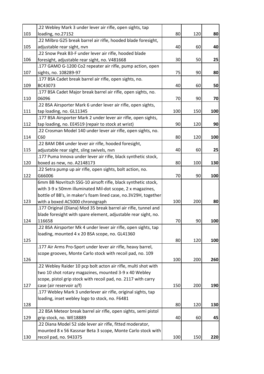|     | .22 Webley Mark 3 under lever air rifle, open sights, tap       |     |     |     |
|-----|-----------------------------------------------------------------|-----|-----|-----|
| 103 | loading, no.27152                                               | 80  | 120 | 80  |
|     | .22 Milbro G25 break barrel air rifle, hooded blade foresight,  |     |     |     |
| 105 | adjustable rear sight, nvn                                      | 40  | 60  | 40  |
|     | 22 Snow Peak B3-F under lever air rifle, hooded blade           |     |     |     |
| 106 | foresight, adjustable rear sight, no. V481668                   | 30  | 50  | 25  |
|     | .177 GAMO G-1200 Co2 repeater air rifle, pump action, open      |     |     |     |
| 107 | sights, no. 108289-97                                           | 75  | 90  | 80  |
|     | .177 BSA Cadet break barrel air rifle, open sights, no.         |     |     |     |
| 109 | BC43073                                                         | 40  | 60  | 50  |
|     | .177 BSA Cadet Major break barrel air rifle, open sights, no.   |     |     |     |
| 110 | 06096                                                           | 70  | 90  | 70  |
|     | .22 BSA Airsporter Mark 6 under lever air rifle, open sights,   |     |     |     |
| 111 | tap loading, no. GL11345                                        | 100 | 150 | 100 |
|     | .177 BSA Airsporter Mark 2 under lever air rifle, open sights,  |     |     |     |
| 112 | tap loading, no. EE4519 (repair to stock at wrist)              | 90  | 120 | 90  |
|     | .22 Crosman Model 140 under lever air rifle, open sights, no.   |     |     |     |
| 114 | C60                                                             | 80  | 120 | 100 |
|     | .22 BAM DB4 under lever air rifle, hooded foresight,            |     |     |     |
| 115 | adjustable rear sight, sling swivels, nvn                       | 40  | 60  | 25  |
|     | .177 Puma Innova under lever air rifle, black synthetic stock,  |     |     |     |
| 120 | boxed as new, no. A2148173                                      | 80  | 100 | 130 |
|     | .22 Setra pump up air rifle, open sights, bolt action, no.      |     |     |     |
| 122 | G66006                                                          | 70  | 90  | 100 |
|     | 6mm BB Novritsch SSG-10 airsoft rifle, black synthetic stock,   |     |     |     |
|     | with 3-9 x 50mm illuminated Mil-dot scope, 2 x magazines,       |     |     |     |
|     | bottle of BB's, in maker's foam lined case, no.3V29H, together  |     |     |     |
| 123 | with a boxed AC5000 chronograph                                 | 100 | 200 | 80  |
|     | .177 Original (Diana) Mod 35 break barrel air rifle, tunnel and |     |     |     |
|     | blade foresight with spare element, adjustable rear sight, no.  |     |     |     |
| 124 | 116658                                                          | 70  | 90  | 100 |
|     | .22 BSA Airsporter Mk 4 under lever air rifle, open sights, tap |     |     |     |
|     | loading, mounted 4 x 20 BSA scope, no. GL41360                  |     |     |     |
| 125 |                                                                 | 80  | 120 | 100 |
|     | .177 Air Arms Pro-Sport under lever air rifle, heavy barrel,    |     |     |     |
|     | scope grooves, Monte Carlo stock with recoil pad, no. 109       |     |     |     |
| 126 |                                                                 | 100 | 200 | 260 |
|     | .22 Webley Raider 10 pcp bolt acton air rifle, multi shot with  |     |     |     |
|     | two 10 shot rotary magazines, mounted 3-9 x 40 Webley           |     |     |     |
|     | scope, pistol grip stock with recoil pad, no. 2117 with carry   |     |     |     |
| 127 | case (air reservoir a/f)                                        | 150 | 200 | 190 |
|     | .177 Webley Mark 3 underlever air rifle, original sights, tap   |     |     |     |
|     | loading, inset webley logo to stock, no. F6481                  |     |     |     |
| 128 |                                                                 | 80  | 120 | 130 |
|     | .22 BSA Meteor break barrel air rifle, open sights, semi pistol |     |     |     |
| 129 | grip stock, no. WE18889                                         | 40  | 60  | 45  |
|     | .22 Diana Model 52 side lever air rifle, fitted moderator,      |     |     |     |
|     | mounted 8 x 56 Kassnar Beta 3 scope, Monte Carlo stock with     |     |     |     |
| 130 | recoil pad, no. 943375                                          | 100 | 150 | 220 |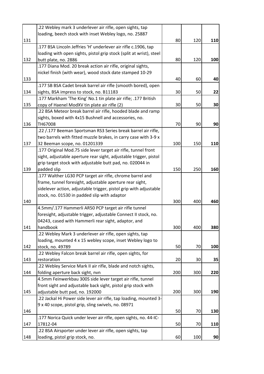|     | .22 Webley mark 3 underlever air rifle, open sights, tap            |     |     |     |
|-----|---------------------------------------------------------------------|-----|-----|-----|
|     | loading, beech stock with inset Webley logo, no. 25887              |     |     |     |
| 131 |                                                                     | 80  | 120 | 110 |
|     | .177 BSA Lincoln Jeffries 'H' underlever air rifle c.1906, tap      |     |     |     |
|     | loading with open sights, pistol grip stock (split at wrist), steel |     |     |     |
| 132 | butt plate, no. 2886                                                | 80  | 120 | 100 |
|     | .177 Diana Mod. 20 break action air rifle, original sights,         |     |     |     |
|     | nickel finish (with wear), wood stock date stamped 10-29            |     |     |     |
| 133 |                                                                     | 40  | 60  | 40  |
|     | .177 SB BSA Cadet break barrel air rifle (smooth bored), open       |     |     |     |
| 134 | sights, BSA impress to stock, no. B11183                            | 30  | 50  | 22  |
|     | .177 Markham 'The King' No.1 tin plate air rifle; .177 British      |     |     |     |
| 135 | copy of Haenel ModXV tin plate air rifle (2)                        | 30  | 50  | 30  |
|     | .22 BSA Meteor break barrel air rifle, hooded blade and ramp        |     |     |     |
|     | sights, boxed with 4x15 Bushnell and accessories, no.               |     |     |     |
| 136 | TH67008                                                             | 70  | 90  | 90  |
|     | .22 /.177 Beeman Sportsman RS3 Series break barrel air rifle,       |     |     |     |
|     | two barrels with fitted muzzle brakes, in carry case with 3-9 x     |     |     |     |
| 137 | 32 Beeman scope, no. 01201339                                       | 100 | 150 | 110 |
|     | .177 Original Mod.75 side lever target air rifle, tunnel front      |     |     |     |
|     | sight, adjustable aperture rear sight, adjustable trigger, pistol   |     |     |     |
|     | grip target stock with adjustable butt pad, no. 020044 in           |     |     |     |
| 139 | padded slip                                                         | 150 | 250 | 160 |
|     | .177 Walther LG30 PCP target air rifle, chrome barrel and           |     |     |     |
|     | frame, tunnel foresight, adjustable aperture rear sight,            |     |     |     |
|     | sidelever action, adjustable trigger, pistol grip with adjustable   |     |     |     |
|     | stock, no. 01530 in padded slip with adaptor                        |     |     |     |
| 140 |                                                                     | 300 | 400 | 460 |
|     | 4.5mm/.177 Hammerli AR50 PCP target air rifle tunnel                |     |     |     |
|     | foresight, adjustable trigger, adjustable Connect II stock, no.     |     |     |     |
|     |                                                                     |     |     |     |
| 141 | 04243, cased with Hammerli rear sight, adaptor, and<br>handbook     | 300 | 400 | 380 |
|     |                                                                     |     |     |     |
|     | .22 Webley Mark 3 underlever air rifle, open sights, tap            |     |     |     |
|     | loading, mounted 4 x 15 webley scope, inset Webley logo to          |     |     |     |
| 142 | stock, no. 49789                                                    | 50  | 70  | 100 |
|     | .22 Webley Falcon break barrel air rifle, open sights, for          |     |     |     |
| 143 | restoration                                                         | 20  | 30  | 35  |
|     | .22 Webley Service Mark II air rifle, blade and notch sights,       |     |     |     |
| 144 | folding aperture back sight, nvn                                    | 200 | 300 | 220 |
|     | 4.5mm Feinwerkbau 300S side lever target air rifle, tunnel          |     |     |     |
|     | front sight and adjustable back sight, pistol grip stock with       |     |     |     |
| 145 | adjustable butt pad, no. 192000                                     | 200 | 300 | 190 |
|     | .22 Jackal Hi Power side lever air rifle, tap loading, mounted 3-   |     |     |     |
|     | 9 x 40 scope, pistol grip, sling swivels, no. 08971                 |     |     |     |
| 146 |                                                                     | 50  | 70  | 130 |
|     | .177 Norica Quick under lever air rifle, open sights, no. 44-IC-    |     |     |     |
| 147 | 17812-04                                                            | 50  | 70  | 110 |
|     | .22 BSA Airsporter under lever air rifle, open sights, tap          |     |     |     |
| 148 | loading, pistol grip stock, no.                                     | 60  | 100 | 90  |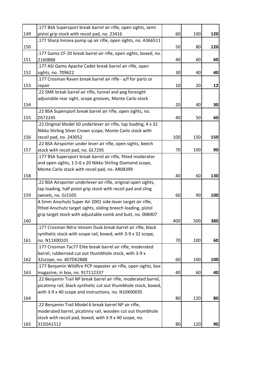|     | .177 BSA Supersport break barrel air rifle, open sights, semi   |     |     |     |
|-----|-----------------------------------------------------------------|-----|-----|-----|
| 149 | pistol grip stock with recoil pad, no. 23416                    | 60  | 100 | 120 |
|     | .177 Sharp Innova pump up air rifle, open sights, no. A366511   |     |     |     |
| 150 |                                                                 | 50  | 80  | 120 |
|     | .177 Gamo CF-20 break barrel air rifle, open sights, boxed, no. |     |     |     |
| 151 | 2160888                                                         | 40  | 60  | 60  |
|     | .177 ASI Gamo Apache Cadet break barrel air rifle, open         |     |     |     |
| 152 | sights, no. 709622                                              | 30  | 40  | 40  |
|     | .177 Crosman Raven break barrel air rifle - a/f for parts or    |     |     |     |
| 153 | repair                                                          | 10  | 20  | 12  |
|     | .22 SMK break barrel air rifle, tunnel and peg foresight        |     |     |     |
|     | adjustable rear sight, scope grooves, Monte Carlo stock         |     |     |     |
| 154 |                                                                 | 20  | 40  | 30  |
|     | .22 BSA Supersport break barrel air rifle, open sights, no.     |     |     |     |
| 155 | DS72245                                                         | 40  | 50  | 60  |
|     | .22 Original Model 50 underlever air rifle, tap loading, 4 x 32 |     |     |     |
|     | Nikko Stirling Silver Crown scope, Monte Carlo stock with       |     |     |     |
| 156 | recoil pad, no. 243052                                          | 100 | 150 | 150 |
|     | .22 BSA Airsporter under lever air rifle, open sights, beech    |     |     |     |
| 157 | stock with recoil pad, no. GL7295                               | 70  | 100 | 90  |
|     | .177 BSA Supersport break barrel air rifle, fitted moderator    |     |     |     |
|     | and open sights, 1.5-6 x 20 Nikko Stirling Diamond scope,       |     |     |     |
|     | Monte Carlo stock with recoil pad, no. AR08399                  |     |     |     |
| 158 |                                                                 | 40  | 60  | 130 |
|     | .22 BSA Airsporter underlever air rifle, original open sights,  |     |     |     |
|     | tap loading, half pistol grip stock with recoil pad and sling   |     |     |     |
| 159 | swivels, no. GJ1505                                             | 60  | 90  | 100 |
|     | 4.5mm Anschutz Super Air 2001 side-lever target air rifle,      |     |     |     |
|     | fitted Anschutz target sights, sliding breech loading, pistol   |     |     |     |
|     | grip target stock with adjustable comb and butt, no. 008407     |     |     |     |
| 160 |                                                                 | 400 | 500 | 380 |
|     | .177 Crosman Nitro Venom Dusk break barrel air rifle, black     |     |     |     |
|     | synthetic stock with scope rail, boxed, with 3-9 x 32 scope,    |     |     |     |
| 161 | no. N11X00101                                                   | 70  | 100 | 60  |
|     | .177 Crosman Tac77 Elite break barrel air rifle, moderated      |     |     |     |
|     | barrel, rubberised cut out thumbhole stock, with 3-9 x          |     |     |     |
| 162 | 32scope, no. 407DK2888                                          | 60  | 100 | 100 |
|     | .177 Benjamin Wildfire PCP repeater air rifle, open sights, box |     |     |     |
| 163 | magazine, in box, no. 917112337                                 | 40  | 60  | 40  |
|     | .22 Benjamin Trail NP break barrel air rifle, moderated barrel, |     |     |     |
|     | picatinny rail, black synthetic cut out thumbhole stock, boxed, |     |     |     |
|     | with 3-9 x 40 scope and instructions, no. N10X00035             |     |     |     |
| 164 |                                                                 | 80  | 120 | 80  |
|     | .22 Benjamin Trail Model 6 break barrel NP air rifle,           |     |     |     |
|     | moderated barrel, picatinny rail, wooden cut out thumbhole      |     |     |     |
|     | stock with recoil pad, boxed, with 3-9 x 40 scope, no.          |     |     |     |
| 165 | 315DA1512                                                       | 80  | 120 | 90  |
|     |                                                                 |     |     |     |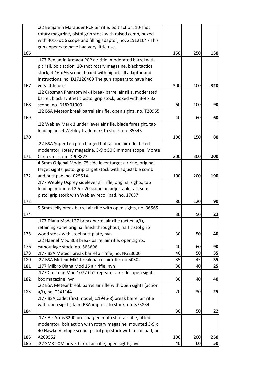|            | .22 Benjamin Marauder PCP air rifle, bolt action, 10-shot                                             |          |          |          |
|------------|-------------------------------------------------------------------------------------------------------|----------|----------|----------|
|            | rotary magazine, pistol grip stock with raised comb, boxed                                            |          |          |          |
|            | with 4016 x 56 scope and filling adaptor, no. 215121647 This                                          |          |          |          |
|            | gun appears to have had very little use.                                                              |          |          |          |
| 166        |                                                                                                       | 150      | 250      | 130      |
|            | .177 Benjamin Armada PCP air rifle, moderated barrel with                                             |          |          |          |
|            | pic rail, bolt action, 10-shot rotary magazine, black tactical                                        |          |          |          |
|            | stock, 4-16 x 56 scope, boxed with bipod, fill adaptor and                                            |          |          |          |
|            | instructions, no. D17120469 The gun appears to have had                                               |          |          |          |
| 167        | very little use.                                                                                      | 300      | 400      | 320      |
|            | .22 Crosman Phantom MkII break barrel air rifle, moderated                                            |          |          |          |
|            | barrel, black synthetic pistol grip stock, boxed with 3-9 x 32                                        |          |          |          |
| 168        | scope, no. D18X01309                                                                                  | 60       | 100      | 90       |
|            | .22 BSA Meteor break barrel air rifle, open sights, no. T20955                                        |          |          |          |
| 169        |                                                                                                       | 40       | 60       | 60       |
|            | .22 Webley Mark 3 under lever air rifle, blade foresight, tap                                         |          |          |          |
|            | loading, inset Webley trademark to stock, no. 35543                                                   |          |          |          |
| 170        |                                                                                                       | 100      | 150      | 80       |
|            | .22 BSA Super Ten pre charged bolt action air rifle, fitted                                           |          |          |          |
|            | moderator, rotary magazine, 3-9 x 50 Simmons scope, Monte                                             |          |          |          |
| 171        | Carlo stock, no. DP08823                                                                              | 200      | 300      | 200      |
|            | 4.5mm Original Model 75 side lever target air rifle, original                                         |          |          |          |
|            | target sights, pistol grip target stock with adjustable comb                                          |          |          |          |
| 172        | and butt pad, no. 025514                                                                              | 100      | 200      | 190      |
|            | .177 Webley Osprey sidelever air rifle, original sights, tap                                          |          |          |          |
|            | loading, mounted 2.5 x 20 scope on adjustable rail, semi                                              |          |          |          |
|            | pistol grip stock with Webley recoil pad, no. 17037                                                   |          |          |          |
| 173        |                                                                                                       | 80       | 120      | 90       |
|            | 5.5mm Jelly break barrel air rifle with open sights, no. 36565                                        |          |          |          |
| 174        |                                                                                                       | 30       | 50       | 22       |
|            | .177 Diana Model 27 break barrel air rifle (action a/f),                                              |          |          |          |
|            | retaining some original finish throughout, half pistol grip                                           |          |          |          |
| 175        | wood stock with steel butt plate, nvn                                                                 | 30       | 50       | 40       |
|            | .22 Haenel Mod 303 break barrel air rifle, open sights,                                               |          |          |          |
| 176        | camouflage stock, no. 563696                                                                          | 40       | 60       | 90       |
| 178        | .177 BSA Meteor break barrel air rifle, no. NG23000                                                   | 40       | 50       | 35       |
| 180<br>181 | 22 BSA Meteor Mk1 break barrel air rifle, no.50302                                                    | 35<br>30 | 45<br>40 | 35<br>25 |
|            | .177 Milbro Diana Mod 16 air rifle, nvn<br>.177 Crosman Mod 1077 Co2 repeater air rifle, open sights, |          |          |          |
| 182        |                                                                                                       | 30       | 40       | 40       |
|            | box magazine, nvn<br>.22 BSA Meteor break barrel air rifle with open sights (action                   |          |          |          |
| 183        | a/f), no. TF41144                                                                                     | 20       | 30       | 25       |
|            | .177 BSA Cadet (first model, c.1946-8) break barrel air rifle                                         |          |          |          |
|            | with open sights, faint BSA impress to stock, no. B75854                                              |          |          |          |
| 184        |                                                                                                       | 30       | 50       | 22       |
|            | .177 Air Arms S200 pre charged multi shot air rifle, fitted                                           |          |          |          |
|            | moderator, bolt action with rotary magazine, mounted 3-9 x                                            |          |          |          |
|            | 40 Hawke Vantage scope, pistol grip stock with recoil pad, no.                                        |          |          |          |
| 185        | A209552                                                                                               | 100      | 200      | 250      |
| 186        | 22 SMK 20M break barrel air rifle, open sights, nvn.                                                  | 40       | 60       | 50       |
|            |                                                                                                       |          |          |          |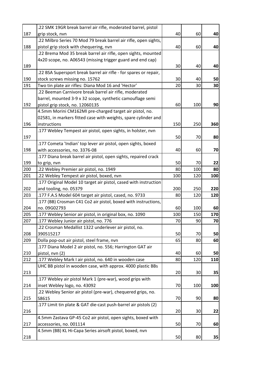|     | .22 SMK 19GR break barrel air rifle, moderated barrel, pistol     |     |     |     |
|-----|-------------------------------------------------------------------|-----|-----|-----|
| 187 | grip stock, nvn                                                   | 40  | 60  | 40  |
|     | .22 Milbro Series 70 Mod 79 break barrel air rifle, open sights,  |     |     |     |
| 188 | pistol grip stock with chequering, nvn                            | 40  | 60  | 40  |
|     | 22 Brema Mod 35 break barrel air rifle, open sights, mounted      |     |     |     |
|     | 4x20 scope, no. A06543 (missing trigger guard and end cap)        |     |     |     |
| 189 |                                                                   | 30  | 40  | 40  |
|     | .22 BSA Supersport break barrel air rifle - for spares or repair, |     |     |     |
| 190 | stock screws missing no. 15762                                    | 30  | 40  | 50  |
| 191 | Two tin plate air rifles: Diana Mod 16 and 'Hector'               | 20  | 30  | 30  |
|     | .22 Beeman Carnivore break barrel air rifle, moderated            |     |     |     |
|     | barrel, mounted 3-9 x 32 scope, synthetic camouflage semi         |     |     |     |
| 192 | pistol grip stock, no. 12060135                                   | 60  | 100 | 90  |
|     | 4.5mm Morini CM162MI pre-charged target air pistol, no.           |     |     |     |
|     | 02581, in markers fitted case with weights, spare cylinder and    |     |     |     |
| 196 | instructions                                                      | 150 | 250 | 360 |
|     | .177 Webley Tempest air pistol, open sights, in holster, nvn      |     |     |     |
| 197 |                                                                   | 50  | 70  | 80  |
|     | .177 Cometa 'Indian' top lever air pistol, open sights, boxed     |     |     |     |
| 198 | with accessories, no. 3376-08                                     | 40  | 60  | 70  |
|     | .177 Diana break barrel air pistol, open sights, repaired crack   |     |     |     |
| 199 | to grip, nvn                                                      | 50  | 70  | 22  |
| 200 | .22 Webley Premier air pistol, no. 1949                           | 80  | 100 | 80  |
| 201 | .22 Webley Tempest air pistol, boxed, nvn                         | 100 | 120 | 100 |
|     | .177 Original Model 10 target air pistol, cased with instruction  |     |     |     |
| 202 | and tooling, no. 05379                                            | 200 | 250 | 220 |
| 203 | .177 F.A.S Model 604 target air pistol, cased, no. 9733           | 80  | 120 | 120 |
|     | .177 (BB) Crosman C41 Co2 air pistol, boxed with instructions,    |     |     |     |
| 204 | no. 09G02793                                                      | 60  | 100 | 60  |
| 205 | .177 Webley Senior air pistol, in original box, no. 1090          | 100 | 150 | 170 |
| 207 | .177 Webley Junior air pistol, no. 776                            | 70  | 90  | 70  |
|     | .22 Crosman Medallist 1322 underlever air pistol, no.             |     |     |     |
| 208 | 390515217                                                         | 50  | 70  | 50  |
| 209 | Dolla pop-out air pistol, steel frame, nvn                        | 65  | 80  | 60  |
|     | .177 Diana Model 2 air pistol, no. 556; Harrington GAT air        |     |     |     |
| 210 | pistol, nvn (2)                                                   | 40  | 60  | 50  |
| 212 | .177 Webley Mark I air pistol, no. 640 in wooden case             | 80  | 120 | 110 |
|     | UHC BB pistol in wooden case, with approx. 4000 plastic BBs       |     |     |     |
| 213 |                                                                   | 20  | 30  | 35  |
|     | .177 Webley air pistol Mark 1 (pre-war), wood grips with          |     |     |     |
| 214 | inset Webley logo, no. 43092                                      | 70  | 100 | 100 |
|     | .22 Webley Senior air pistol (pre-war), chequered grips, no.      |     |     |     |
| 215 | S8615                                                             | 70  | 90  | 80  |
|     | .177 Limit tin plate & GAT die-cast push-barrel air pistols (2)   |     |     |     |
| 216 |                                                                   | 20  | 30  | 22  |
|     | 4.5mm Zastava GP-45 Co2 air pistol, open sights, boxed with       |     |     |     |
| 217 | accessories, no. 001114                                           | 50  | 70  | 60  |
|     | 4.5mm (BB) KL Hi-Capa Series airsoft pistol, boxed, nvn           |     |     |     |
| 218 |                                                                   | 50  | 80  | 35  |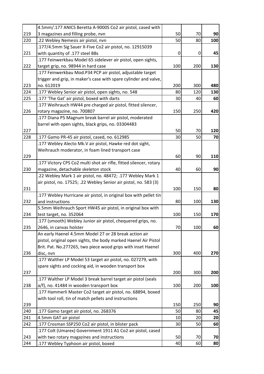|     | 4.5mm/.177 ANICS Beretta A-9000S Co2 air pistol, cased with        |     |     |     |
|-----|--------------------------------------------------------------------|-----|-----|-----|
| 219 | 3 magazines and filling probe, nvn                                 | 50  | 70  | 90  |
| 220 | .22 Webley Nemesis air pistol, nvn                                 | 50  | 80  | 100 |
|     | .177/4.5mm Sig Sauer X-Five Co2 air pistol, no. 12915039           |     |     |     |
| 221 | with quantity of .177 steel BBs                                    | 0   | 0   | 45  |
|     | .177 Feinwerkbau Model 65 sidelever air pistol, open sights,       |     |     |     |
| 222 | target grip, no. 98944 in hard case                                | 100 | 200 | 130 |
|     | .177 Feinwerkbau Mod.P34 PCP air pistol, adjustable target         |     |     |     |
|     | trigger and grip, in maker's case with spare cylinder and valve,   |     |     |     |
| 223 | no. 612019                                                         | 200 | 300 | 480 |
| 224 | .177 Webley Senior air pistol, open sights, no. 548                | 80  | 120 | 130 |
| 225 | .177 'The Gat' air pistol, boxed with darts                        | 30  | 40  | 60  |
|     | .177 Weihrauch HW44 pre charged air pistol, fitted silencer,       |     |     |     |
| 226 | rotary magazine, no. 700807                                        | 150 | 250 | 420 |
|     | .177 Diana P5 Magnum break barrel air pistol, moderated            |     |     |     |
|     | barrel with open sights, black grips, no. 03304483                 |     |     |     |
| 227 |                                                                    | 50  | 70  | 120 |
| 228 | .177 Gamo PR-45 air pistol, cased, no. 612985                      | 30  | 50  | 70  |
|     | .177 Webley Alecto Mk.V air pistol, Hawke red dot sight,           |     |     |     |
|     | Weihrauch moderator, in foam lined transport case                  |     |     |     |
| 229 |                                                                    | 60  | 90  | 110 |
|     | .177 Victory CPS Co2 multi shot air rifle, fitted silencer, rotary |     |     |     |
| 230 | magazine, detachable skeleton stock                                | 40  | 60  | 90  |
|     | .22 Webley Mark 1 air pistol, no. 48472; .177 Webley Mark 1        |     |     |     |
|     | air pistol, no. 17525; .22 Webley Senior air pistol, no. 583 (3)   |     |     |     |
| 231 |                                                                    | 100 | 150 | 80  |
|     | .177 Webley Hurricane air pistol, in original box with pellet tin  |     |     |     |
| 232 | and instructions                                                   | 80  | 100 | 130 |
|     | 5.5mm Weihrauch Sport HW45 air pistol, in original box with        |     |     |     |
| 234 | test target, no. 352064                                            | 100 | 150 | 170 |
|     | .177 (smooth) Webley Junior air pistol, chequered grips, no.       |     |     |     |
| 235 | 2646, in canvas holster                                            | 70  | 100 | 60  |
|     | An early Haenel 4.5mm Model 27 or 28 break action air              |     |     |     |
|     | pistol, original open sights, the body marked Haenel Air Pistol    |     |     |     |
|     | Brit. Pat. No.277265, two piece wood grips with inset Haenel       |     |     |     |
| 236 | disc, nvn                                                          | 300 | 400 | 270 |
|     | .177 Walther LP Model 53 target air pistol, no. 027279, with       |     |     |     |
|     | spare sights and cocking aid, in wooden transport box              |     |     |     |
| 237 |                                                                    | 200 | 300 | 200 |
|     | 177 Walther LP Model 3 break barrel target air pistol (seals       |     |     |     |
| 238 | a/f), no. 41484 in wooden transport box                            | 100 | 200 | 100 |
|     | .177 Hammerli Master Co2 target air pistol, no. 68894, boxed       |     |     |     |
|     | with tool roll, tin of match pellets and instructions              |     |     |     |
| 239 |                                                                    | 150 | 250 | 90  |
| 240 | .177 Gamo target air pistol, no. 268376                            | 50  | 80  | 45  |
| 241 | 4.5mm GAT air pistol                                               | 10  | 20  | 20  |
| 242 | .177 Crosman SSP250 Co2 air pistol, in blister pack                | 30  | 50  | 60  |
|     | .177 Colt (Umarex) Government 1911 A1 Co2 air pistol, cased        |     |     |     |
| 243 | with two rotary magazines and instructions                         | 50  | 70  | 70  |
| 244 | .177 Webley Typhoon air pistol, boxed                              | 40  | 60  | 80  |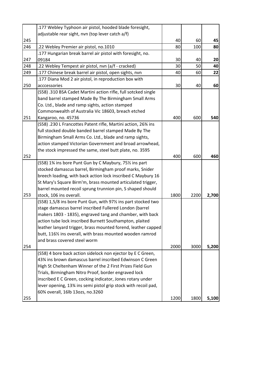|     | .177 Webley Typhoon air pistol, hooded blade foresight,        |      |      |       |
|-----|----------------------------------------------------------------|------|------|-------|
|     | adjustable rear sight, nvn (top lever catch a/f)               |      |      |       |
| 245 |                                                                | 40   | 60   | 45    |
| 246 | .22 Webley Premier air pistol, no.1010                         | 80   | 100  | 80    |
|     | .177 Hungarian break barrel air pistol with foresight, no.     |      |      |       |
| 247 | 09184                                                          | 30   | 40   | 20    |
| 248 | .22 Webley Tempest air pistol, nvn (a/f - cracked)             | 30   | 50   | 40    |
| 249 | .177 Chinese break barrel air pistol, open sights, nvn         | 40   | 60   | 22    |
|     | .177 Diana Mod 2 air pistol, in reproduction box with          |      |      |       |
| 250 | acccessories                                                   | 30   | 40   | 60    |
|     | (S58) .310 BSA Cadet Martini action rifle, full sotcked single |      |      |       |
|     | band barrel stamped Made By The Birmingham Small Arms          |      |      |       |
|     | Co. Ltd., blade and ramp sights, action stamped                |      |      |       |
|     | Commonwealth of Australia Vic 18603, breach etched             |      |      |       |
| 251 | Kangaroo, no. 45736                                            | 400  | 600  | 540   |
|     | (S58) .230 L Francottes Patent rifle, Martini action, 26% ins  |      |      |       |
|     | full stocked double banded barrel stamped Made By The          |      |      |       |
|     | Birmingham Small Arms Co. Ltd., blade and ramp sights,         |      |      |       |
|     | action stamped Victorian Government and broad arrowhead,       |      |      |       |
|     | the stock impressed the same, steel butt plate, no. 3595       |      |      |       |
| 252 |                                                                | 400  | 600  | 460   |
|     | (S58) 1% ins bore Punt Gun by C Maybury, 75% ins part          |      |      |       |
|     | stocked damascus barrel, Birmingham proof marks, Snider        |      |      |       |
|     | breech loading, with back action lock inscribed C Maybury 16   |      |      |       |
|     | St Mary's Square Birm'm, brass mounted articulated trigger,    |      |      |       |
|     | barrel mounted recoil sprung trunnion pin, S shaped should     |      |      |       |
| 253 | stock, 106 ins overall.                                        | 1800 | 2200 | 2,700 |
|     | (S58) 1,5/8 ins bore Punt Gun, with 971/2 ins part stocked two |      |      |       |
|     | stage damascus barrel inscribed Fullered London (barrel        |      |      |       |
|     | makers 1803 - 1835), engraved tang and chamber, with back      |      |      |       |
|     | action tube lock inscribed Burnett Southampton, plaited        |      |      |       |
|     | leather lanyard trigger, brass mounted forend, leather capped  |      |      |       |
|     | butt, 116% ins overall, with brass mounted wooden ramrod       |      |      |       |
|     | and brass covered steel worm                                   |      |      |       |
| 254 |                                                                | 2000 | 3000 | 5,200 |
|     | (S58) 4 bore back action sidelock non ejector by E C Green,    |      |      |       |
|     | 43% ins brown damascus barrel inscribed Edwinson C Green       |      |      |       |
|     | High St Cheltenham Winner of the 2 First Prizes Field Gun      |      |      |       |
|     | Trials, Birmingham Nitro Proof, border engraved lock           |      |      |       |
|     | inscribed E C Green, cocking indicator, Jones rotary under     |      |      |       |
|     | lever opening, 13% ins semi pistol grip stock with recoil pad, |      |      |       |
|     | 60% overall, 16lb 13ozs, no.3260                               |      |      |       |
| 255 |                                                                | 1200 | 1800 | 5,100 |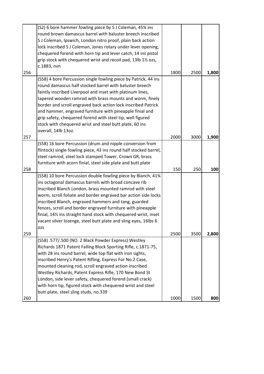|     | (S2) 6 bore hammer fowling piece by S J Coleman, 45% ins          |      |      |       |
|-----|-------------------------------------------------------------------|------|------|-------|
|     | round brown damascus barrel with baluster breech inscribed        |      |      |       |
|     | S J Coleman, Ipswich, London nitro proof, plain back action       |      |      |       |
|     | lock inscribed S J Coleman, Jones rotary under lever opening,     |      |      |       |
|     | chequered forend with horn tip and lever catch, 14 ins pistol     |      |      |       |
|     | grip stock with chequered wrist and recoil pad, 13lb 11/2 ozs,    |      |      |       |
|     | c.1883, nvn                                                       |      |      |       |
| 256 |                                                                   | 1800 | 2500 | 1,800 |
|     | (S58) 4 bore Percussion single fowling piece by Patrick, 44 ins   |      |      |       |
|     | round damascus half stocked barrel with baluster breech           |      |      |       |
|     | faintly inscribed Liverpool and inset with platinum lines,        |      |      |       |
|     | tapered wooden ramrod with brass mounts and worm, finely          |      |      |       |
|     | border and scroll engraved back action lock inscribed Patrick     |      |      |       |
|     | and hammer, engraved furniture with pineapple finial and          |      |      |       |
|     | grip safety, chequered forend with steel tip, well figured        |      |      |       |
|     | stock with chequered wrist and steel butt plate, 60 ins           |      |      |       |
|     | overall, 14lb 13oz.                                               |      |      |       |
| 257 |                                                                   | 2000 | 3000 | 1,900 |
|     | (S58) 16 bore Percussion (drum and nipple conversion from         |      |      |       |
|     | flintock) single fowling piece, 43 ins round half stocked barrel, |      |      |       |
|     | steel ramrod, steel lock stamped Tower, Crown GR, brass           |      |      |       |
|     | furniture with acorn finial, steel side plate and butt plate      |      |      |       |
|     |                                                                   |      |      |       |
| 258 |                                                                   | 150  | 250  | 100   |
|     | (S58) 10 bore Percussion double fowling piece by Blanch, 41%      |      |      |       |
|     | ins octagonal damascus barrels with broad concave rib             |      |      |       |
|     | inscribed Blanch London, brass mounted ramrod with steel          |      |      |       |
|     | worm, scroll foliate and border engraved bar action side locks    |      |      |       |
|     | inscribed Blanch, engraved hammers and tang, guarded              |      |      |       |
|     | fences, scroll and border engraved furniture with pineapple       |      |      |       |
|     | finial, 14% ins straight hand stock with chequered wrist, inset   |      |      |       |
|     | vacant silver lozenge, steel butt plate and sling eyes, 16lbs 6   |      |      |       |
|     | OZS                                                               |      |      |       |
| 259 |                                                                   | 2500 | 3500 | 2,800 |
|     | (S58) .577/.500 (NO. 2 Black Powder Express) Westley              |      |      |       |
|     | Richards 1871 Patent Falling Block Sporting Rifle, c.1871-75,     |      |      |       |
|     | with 28 ins round barrel, wide top flat with iron sights,         |      |      |       |
|     | inscribed Henry's Patent Rifling, Express For No.2 Case,          |      |      |       |
|     | mounted cleaning rod, scroll engraved action inscribed            |      |      |       |
|     | Westley Richards, Patent Express Rifle, 170 New Bond St           |      |      |       |
|     | London, side lever safety, chequered forend (small crack)         |      |      |       |
|     | with horn tip, figured stock with chequered wrist and steel       |      |      |       |
|     | butt plate, steel sling studs, no.339                             |      |      |       |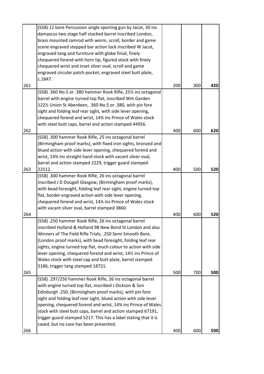|     | (S58) 12 bore Percussion single sporting gun by Jacot, 30 ins                                                     |     |     |     |
|-----|-------------------------------------------------------------------------------------------------------------------|-----|-----|-----|
|     | damascus two stage half stocked barrel inscribed London,                                                          |     |     |     |
|     | brass mounted ramrod with worm, scroll, border and game                                                           |     |     |     |
|     | scene engraved stepped bar action lock inscribed W Jacot,                                                         |     |     |     |
|     | engraved tang and furniture with globe finial, finely                                                             |     |     |     |
|     | chequered forend with horn tip, figured stock with finely                                                         |     |     |     |
|     | chequered wrist and inset silver oval, scroll and game                                                            |     |     |     |
|     | engraved circular patch pocket, engraved steel butt plate,                                                        |     |     |     |
|     | c.1847.                                                                                                           |     |     |     |
| 261 |                                                                                                                   | 200 | 300 | 420 |
|     | (S58) .360 No.5 or .380 hammer Rook Rifle, 251/2 ins octagonal                                                    |     |     |     |
|     | barrel with engine turned top flat, inscribed Wm Garden                                                           |     |     |     |
|     | 1221/2 Union St Aberdeen, .360 No.5 or .380, with pin fore                                                        |     |     |     |
|     | sight and folding leaf rear sight, with side lever opening,                                                       |     |     |     |
|     | chequered forend and wrist, 14% ins Prince of Wales stock                                                         |     |     |     |
|     | with steel butt caps, barrel and action stamped 44956.                                                            |     |     |     |
| 262 |                                                                                                                   | 400 | 600 | 620 |
|     | (S58) .300 hammer Rook Rifle, 25 ins octagonal barrel                                                             |     |     |     |
|     | (Birmingham proof marks), with fixed iron sights, bronzed and                                                     |     |     |     |
|     | blued action with side lever opening, chequered forend and                                                        |     |     |     |
|     | wrist, 14% ins straight hand stock with vacant silver oval,                                                       |     |     |     |
|     | barrel and action stamped 2229, trigger guard stamped                                                             |     |     |     |
| 263 | 22512.                                                                                                            | 400 | 500 | 520 |
|     |                                                                                                                   |     |     |     |
|     | (S58) .300 hammer Rook Rifle, 26 ins octagonal barrel<br>inscribed J D Dougall Glasgow, (Birmingham proof marks), |     |     |     |
|     |                                                                                                                   |     |     |     |
|     | with bead foresight, folding leaf rear sight, engine turned top                                                   |     |     |     |
|     | flat, border engraved action with side lever opening,                                                             |     |     |     |
|     | chequered forend and wrist, 14¼ ins Prince of Wales stock                                                         |     |     |     |
|     | with vacant silver oval, barrel stamped 3860.                                                                     |     |     |     |
| 264 |                                                                                                                   | 400 | 600 | 520 |
|     | (S58) .250 hammer Rook Rifle, 26 ins octagonal barrel                                                             |     |     |     |
|     | inscribed Holland & Holland 98 New Bond St London and also                                                        |     |     |     |
|     | Winners of The Field Rifle Trials, .250 Semi Smooth Bore,                                                         |     |     |     |
|     | (London proof marks), with bead foresight, folding leaf rear                                                      |     |     |     |
|     | sights, engine turned top flat, much colour to action with side                                                   |     |     |     |
|     | lever opening, chequered forend and wrist, 141% ins Prince of                                                     |     |     |     |
|     | Wales stock with steel cap and butt plate, barrel stamped                                                         |     |     |     |
|     | 5186, trigger tang stamped 18721.                                                                                 |     |     |     |
| 265 |                                                                                                                   | 500 | 700 | 500 |
|     | (S58) .297/250 hammer Rook Rifle, 26 ins octagonal barrel                                                         |     |     |     |
|     | with engine turned top flat, inscribed J Dickson & Son                                                            |     |     |     |
|     | Edinburgh .250, (Birmingham proof marks), with pin fore                                                           |     |     |     |
|     | sight and folding leaf rear sight, blued action with side lever                                                   |     |     |     |
|     | opening, chequered forend and wrist, 14% ins Prince of Wales                                                      |     |     |     |
|     | stock with steel butt caps, barrel and action stamped 67191,                                                      |     |     |     |
|     | trigger guard stamped 5217. This has a label stating that it is                                                   |     |     |     |
|     | cased, but no case has been presented.                                                                            |     |     |     |
| 266 |                                                                                                                   | 400 | 600 | 500 |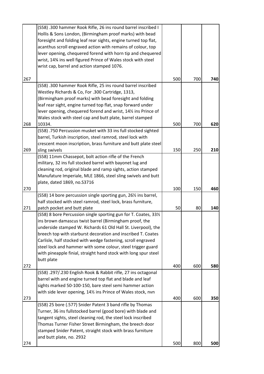|     | (S58) .300 hammer Rook Rifle, 26 ins round barrel inscribed I                            |     |     |     |
|-----|------------------------------------------------------------------------------------------|-----|-----|-----|
|     | Hollis & Sons London, (Birmingham proof marks) with bead                                 |     |     |     |
|     | foresight and folding leaf rear sights, engine turned top flat,                          |     |     |     |
|     | acanthus scroll engraved action with remains of colour, top                              |     |     |     |
|     | lever opening, chequered forend with horn tip and chequered                              |     |     |     |
|     | wrist, 14% ins well figured Prince of Wales stock with steel                             |     |     |     |
|     | wrist cap, barrel and action stamped 1076.                                               |     |     |     |
| 267 |                                                                                          | 500 | 700 | 740 |
|     | (S58) .300 hammer Rook Rifle, 25 ins round barrel inscribed                              |     |     |     |
|     | Westley Richards & Co, For .300 Cartridge, 1313,                                         |     |     |     |
|     | (Birmingham proof marks) with bead foresight and folding                                 |     |     |     |
|     | leaf rear sight, engine turned top flat, snap forward under                              |     |     |     |
|     | lever opening, chequered forend and wrist, 141% ins Prince of                            |     |     |     |
|     | Wales stock with steel cap and butt plate, barrel stamped                                |     |     |     |
| 268 | 10334.                                                                                   | 500 | 700 | 620 |
|     | (S58) .750 Percussion musket with 33 ins full stocked sighted                            |     |     |     |
|     | barrel, Turkish inscription, steel ramrod, steel lock with                               |     |     |     |
|     | crescent moon inscription, brass furniture and butt plate steel                          |     |     |     |
| 269 | sling swivels                                                                            | 150 | 250 | 210 |
|     | (S58) 11mm Chassepot, bolt action rifle of the French                                    |     |     |     |
|     | military, 32 ins full stocked barrel with bayonet lug and                                |     |     |     |
|     | cleaning rod, original blade and ramp sights, action stamped                             |     |     |     |
|     | Manufature Imperiale, MLE 1866, steel sling swivels and butt                             |     |     |     |
|     | plate, dated 1869, no.S3716                                                              |     |     |     |
| 270 |                                                                                          | 100 | 150 | 460 |
|     | (S58) 14 bore percussion single sporting gun, 26 <sup>1</sup> / <sub>2</sub> ins barrel, |     |     |     |
|     | half stocked with steel ramrod, steel lock, brass furniture,                             |     |     |     |
| 271 | patch pocket and butt plate                                                              | 50  | 80  | 140 |
|     | (S58) 8 bore Percussion single sporting gun for T. Coates, 331/2                         |     |     |     |
|     | ins brown damascus twist barrel (Birmingham proof, the                                   |     |     |     |
|     | underside stamped W. Richards 61 Old Hall St. Liverpool), the                            |     |     |     |
|     | breech top with starburst decoration and inscribed T. Coates                             |     |     |     |
|     | Carlisle, half stocked with wedge fastening, scroll engraved                             |     |     |     |
|     | steel lock and hammer with some colour, steel trigger guard                              |     |     |     |
|     | with pineapple finial, straight hand stock with long spur steel                          |     |     |     |
|     | butt plate                                                                               |     |     |     |
| 272 |                                                                                          | 400 | 600 | 580 |
|     | (S58) .297/.230 English Rook & Rabbit rifle, 27 ins octagonal                            |     |     |     |
|     | barrel with and engine turned top flat and blade and leaf                                |     |     |     |
|     | sights marked 50-100-150, bare steel semi hammer action                                  |     |     |     |
|     | with side lever opening, 141/2 ins Prince of Wales stock, nvn                            |     |     |     |
| 273 |                                                                                          | 400 | 600 | 350 |
|     | (S58) 25 bore (.577) Snider Patent 3 band rifle by Thomas                                |     |     |     |
|     | Turner, 36 ins fullstocked barrel (good bore) with blade and                             |     |     |     |
|     | tangent sights, steel cleaning rod, the steel lock inscribed                             |     |     |     |
|     | Thomas Turner Fisher Street Birmingham, the breech door                                  |     |     |     |
|     | stamped Snider Patent, straight stock with brass furniture                               |     |     |     |
|     | and butt plate, no. 2932                                                                 |     |     |     |
| 274 |                                                                                          | 500 | 800 | 500 |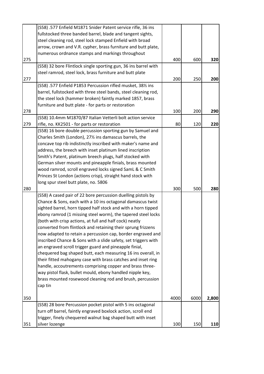|     | (S58) .577 Enfield M1871 Snider Patent service rifle, 36 ins    |      |      |       |
|-----|-----------------------------------------------------------------|------|------|-------|
|     | fullstocked three banded barrel, blade and tangent sights,      |      |      |       |
|     | steel cleaning rod, steel lock stamped Enfield with broad       |      |      |       |
|     | arrow, crown and V.R. cypher, brass furniture and butt plate,   |      |      |       |
|     | numerous ordnance stamps and markings throughout                |      |      |       |
| 275 |                                                                 | 400  | 600  | 320   |
|     | (S58) 32 bore Flintlock single sporting gun, 36 ins barrel with |      |      |       |
|     | steel ramrod, steel lock, brass furniture and butt plate        |      |      |       |
| 277 |                                                                 | 200  | 250  | 200   |
|     | (S58) .577 Enfield P1853 Percussion rifled musket, 381/2 ins    |      |      |       |
|     | barrel, fullstocked with three steel bands, steel cleaning rod, |      |      |       |
|     | the steel lock (hammer broken) faintly marked 1857, brass       |      |      |       |
|     | furniture and butt plate - for parts or restoration             |      |      |       |
| 278 |                                                                 | 100  | 200  | 290   |
|     | (S58) 10.4mm M1870/87 Italian Vetterli bolt action service      |      |      |       |
| 279 | rifle, no. KK2501 - for parts or restoration                    | 80   | 120  | 220   |
|     | (S58) 16 bore double percussion sporting gun by Samuel and      |      |      |       |
|     | Charles Smith (London), 271/2 ins damascus barrels, the         |      |      |       |
|     | concave top rib indistinctly inscribed with maker's name and    |      |      |       |
|     | address, the breech with inset platinum lined inscription       |      |      |       |
|     | Smith's Patent, platinum breech plugs, half stocked with        |      |      |       |
|     | German silver mounts and pineapple finials, brass mounted       |      |      |       |
|     | wood ramrod, scroll engraved locks signed SamL & C Smith        |      |      |       |
|     | Princes St London (actions crisp), straight hand stock with     |      |      |       |
|     | long spur steel butt plate, no. 5806                            |      |      |       |
| 280 |                                                                 | 300  | 500  | 280   |
|     | (S58) A cased pair of 22 bore percussion duelling pistols by    |      |      |       |
|     | Chance & Sons, each with a 10 ins octagonal damascus twist      |      |      |       |
|     | sighted barrel, horn tipped half stock and with a horn tipped   |      |      |       |
|     | ebony ramrod (1 missing steel worm), the tapered steel locks    |      |      |       |
|     | (both with crisp actions, at full and half cock) neatly         |      |      |       |
|     | converted from flintlock and retaining their sprung frizzens    |      |      |       |
|     | now adapted to retain a percussion cap, border engraved and     |      |      |       |
|     | inscribed Chance & Sons with a slide safety, set triggers with  |      |      |       |
|     | an engraved scroll trigger guard and pineapple finial,          |      |      |       |
|     | chequered bag shaped butt, each measuring 16 ins overall, in    |      |      |       |
|     | their fitted mahogany case with brass catches and inset ring    |      |      |       |
|     | handle, accoutrements comprising copper and brass three-        |      |      |       |
|     | way pistol flask, bullet mould, ebony handled nipple key,       |      |      |       |
|     | brass mounted rosewood cleaning rod and brush, percussion       |      |      |       |
|     | cap tin                                                         |      |      |       |
| 350 |                                                                 | 4000 | 6000 | 2,800 |
|     | (S58) 28 bore Percussion pocket pistol with 5 ins octagonal     |      |      |       |
|     | turn off barrel, faintly engraved boxlock action, scroll end    |      |      |       |
|     | trigger, finely chequered walnut bag shaped butt with inset     |      |      |       |
| 351 | silver lozenge                                                  | 100  | 150  | 110   |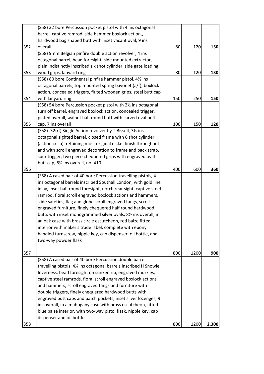|     | (S58) 32 bore Percussion pocket pistol with 4 ins octagonal                                                                                                                                                                                                                                                                                                                                                                                                                                                                                                                                                                                                                            |     |      |       |
|-----|----------------------------------------------------------------------------------------------------------------------------------------------------------------------------------------------------------------------------------------------------------------------------------------------------------------------------------------------------------------------------------------------------------------------------------------------------------------------------------------------------------------------------------------------------------------------------------------------------------------------------------------------------------------------------------------|-----|------|-------|
|     | barrel, captive ramrod, side hammer boxlock action,,                                                                                                                                                                                                                                                                                                                                                                                                                                                                                                                                                                                                                                   |     |      |       |
|     | hardwood bag shaped butt with inset vacant oval, 9 ins                                                                                                                                                                                                                                                                                                                                                                                                                                                                                                                                                                                                                                 |     |      |       |
| 352 | overall                                                                                                                                                                                                                                                                                                                                                                                                                                                                                                                                                                                                                                                                                | 80  | 120  | 150   |
|     | (S58) 9mm Belgian pinfire double action revolver, 4 ins                                                                                                                                                                                                                                                                                                                                                                                                                                                                                                                                                                                                                                |     |      |       |
|     | octagonal barrel, bead foresight, side mounted extractor,                                                                                                                                                                                                                                                                                                                                                                                                                                                                                                                                                                                                                              |     |      |       |
|     | plain indistinctly inscribed six shot cylinder, side gate loading,                                                                                                                                                                                                                                                                                                                                                                                                                                                                                                                                                                                                                     |     |      |       |
| 353 | wood grips, lanyard ring                                                                                                                                                                                                                                                                                                                                                                                                                                                                                                                                                                                                                                                               | 80  | 120  | 130   |
|     | (S58) 80 bore Continental pinfire hammer pistol, 41/2 ins                                                                                                                                                                                                                                                                                                                                                                                                                                                                                                                                                                                                                              |     |      |       |
|     | octagonal barrels, top mounted spring bayonet (a/f), boxlock                                                                                                                                                                                                                                                                                                                                                                                                                                                                                                                                                                                                                           |     |      |       |
|     | action, concealed triggers, fluted wooden grips, steel butt cap                                                                                                                                                                                                                                                                                                                                                                                                                                                                                                                                                                                                                        |     |      |       |
| 354 | with lanyard ring                                                                                                                                                                                                                                                                                                                                                                                                                                                                                                                                                                                                                                                                      | 150 | 250  | 150   |
|     | (S58) 54 bore Percussion pocket pistol with 21/2 ins octagonal                                                                                                                                                                                                                                                                                                                                                                                                                                                                                                                                                                                                                         |     |      |       |
|     | turn off barrel, engraved boxlock action, concealed trigger,                                                                                                                                                                                                                                                                                                                                                                                                                                                                                                                                                                                                                           |     |      |       |
|     | plated overall, walnut half round butt with carved oval butt                                                                                                                                                                                                                                                                                                                                                                                                                                                                                                                                                                                                                           |     |      |       |
| 355 | cap, 7 ins overall                                                                                                                                                                                                                                                                                                                                                                                                                                                                                                                                                                                                                                                                     | 100 | 150  | 120   |
|     | (S58) .32(rf) Single Action revolver by T.Bissell, 31/ <sub>2</sub> ins                                                                                                                                                                                                                                                                                                                                                                                                                                                                                                                                                                                                                |     |      |       |
|     | octagonal sighted barrel, closed frame with 6 shot cylinder                                                                                                                                                                                                                                                                                                                                                                                                                                                                                                                                                                                                                            |     |      |       |
|     | (action crisp), retaining most original nickel finish throughout                                                                                                                                                                                                                                                                                                                                                                                                                                                                                                                                                                                                                       |     |      |       |
|     | and with scroll engraved decoration to frame and back strap,                                                                                                                                                                                                                                                                                                                                                                                                                                                                                                                                                                                                                           |     |      |       |
|     | spur trigger, two piece chequered grips with engraved oval                                                                                                                                                                                                                                                                                                                                                                                                                                                                                                                                                                                                                             |     |      |       |
|     | butt cap, 8% ins overall, no. 410                                                                                                                                                                                                                                                                                                                                                                                                                                                                                                                                                                                                                                                      |     |      |       |
| 356 |                                                                                                                                                                                                                                                                                                                                                                                                                                                                                                                                                                                                                                                                                        | 400 | 600  | 360   |
|     | (S58) A cased pair of 40 bore Percussion travelling pistols, 4<br>ins octagonal barrels inscribed Southall London, with gold line<br>inlay, inset half round foresight, notch rear sight, captive steel<br>ramrod, floral scroll engraved boxlock actions and hammers,<br>slide safeties, flag and globe scroll engraved tangs, scroll<br>engraved furniture, finely chequered half round hardwood<br>butts with inset monogrammed silver ovals, 81/2 ins overall, in<br>an oak case with brass circle escutcheon, red baize fitted<br>interior with maker's trade label, complete with ebony<br>handled turnscrew, nipple key, cap dispenser, oil bottle, and<br>two-way powder flask |     |      |       |
| 357 |                                                                                                                                                                                                                                                                                                                                                                                                                                                                                                                                                                                                                                                                                        | 800 | 1200 | 900   |
|     | (S58) A cased pair of 40 bore Percussion double barrel<br>travelling pistols, 4% ins octagonal barrels inscribed H Snowie<br>Inverness, bead foresight on sunken rib, engraved muzzles,<br>captive steel ramrods, floral scroll engraved boxlock actions<br>and hammers, scroll engraved tangs and furniture with<br>double triggers, finely chequered hardwood butts with<br>engraved butt caps and patch pockets, inset silver lozenges, 9<br>ins overall, in a mahogany case with brass escutcheon, fitted<br>blue baize interior, with two-way pistol flask, nipple key, cap<br>dispenser and oil bottle                                                                           |     |      |       |
| 358 |                                                                                                                                                                                                                                                                                                                                                                                                                                                                                                                                                                                                                                                                                        | 800 | 1200 | 2,300 |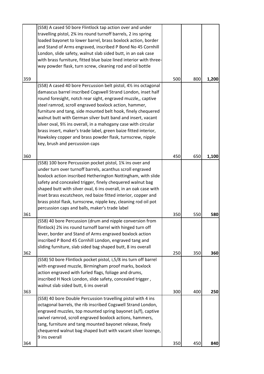| 364 | 9 ins overall                                                                                      | 350 | 450 | 840   |
|-----|----------------------------------------------------------------------------------------------------|-----|-----|-------|
|     | chequered walnut bag shaped butt with vacant silver lozenge,                                       |     |     |       |
|     | tang, furniture and tang mounted bayonet release, finely                                           |     |     |       |
|     | swivel ramrod, scroll engraved boxlock actions, hammers,                                           |     |     |       |
|     | engraved muzzles, top mounted spring bayonet (a/f), captive                                        |     |     |       |
|     | octagonal barrels, the rib inscribed Cogswell Strand London,                                       |     |     |       |
|     | (S58) 40 bore Double Percussion travelling pistol with 4 ins                                       |     |     |       |
| 363 |                                                                                                    | 300 | 400 | 250   |
|     | inscribed H Nock London, slide safety, concealed trigger,<br>walnut slab sided butt, 6 ins overall |     |     |       |
|     | action engraved with furled flags, foliage and drums,                                              |     |     |       |
|     | with engraved muzzle, Birmingham proof marks, boxlock                                              |     |     |       |
|     | (S58) 50 bore Flintlock pocket pistol, i,5/8 ins turn off barrel                                   |     |     |       |
| 362 |                                                                                                    | 250 | 350 | 360   |
|     | sliding furniture, slab sided bag shaped butt, 8 ins overall                                       |     |     |       |
|     | inscribed P Bond 45 Cornhill London, engraved tang and                                             |     |     |       |
|     | lever, border and Stand of Arms engraved boxlock action                                            |     |     |       |
|     | flintlock) 2% ins round turnoff barrel with hinged turn off                                        |     |     |       |
|     | (S58) 40 bore Percussion (drum and nipple conversion from                                          |     |     |       |
| 361 |                                                                                                    | 350 | 550 | 580   |
|     | percussion caps and balls, maker's trade label                                                     |     |     |       |
|     | brass pistol flask, turnscrew, nipple key, cleaning rod oil pot                                    |     |     |       |
|     | inset brass escutcheon, red baize fitted interior, copper and                                      |     |     |       |
|     | shaped butt with silver oval, 6 ins overall, in an oak case with                                   |     |     |       |
|     | safety and concealed trigger, finely chequered walnut bag                                          |     |     |       |
|     | boxlock action inscribed Hetherington Nottingham, with slide                                       |     |     |       |
|     | under turn over turnoff barrels, acanthus scroll engraved                                          |     |     |       |
| 360 | (S58) 100 bore Percussion pocket pistol, 1 <sup>3</sup> / <sub>4</sub> ins over and                | 450 | 650 | 1,100 |
|     |                                                                                                    |     |     |       |
|     | key, brush and percussion caps                                                                     |     |     |       |
|     | Hawksley copper and brass powder flask, turnscrew, nipple                                          |     |     |       |
|     | brass insert, maker's trade label, green baize fitted interior,                                    |     |     |       |
|     | silver oval, 9% ins overall, in a mahogany case with circular                                      |     |     |       |
|     | walnut butt with German silver butt band and insert, vacant                                        |     |     |       |
|     | furniture and tang, side mounted belt hook, finely chequered                                       |     |     |       |
|     | steel ramrod, scroll engraved boxlock action, hammer,                                              |     |     |       |
|     | round foresight, notch rear sight, engraved muzzle,, captive                                       |     |     |       |
|     | damascus barrel inscribed Cogswell Strand London, inset half                                       |     |     |       |
|     | (S58) A cased 40 bore Percussion belt pistol, 41/2 ins octagonal                                   |     |     |       |
| 359 |                                                                                                    | 500 | 800 | 1,200 |
|     |                                                                                                    |     |     |       |
|     | way powder flask, turn screw, cleaning rod and oil bottle                                          |     |     |       |
|     | with brass furniture, fitted blue baize lined interior with three-                                 |     |     |       |
|     | London, slide safety, walnut slab sided butt, in an oak case                                       |     |     |       |
|     | and Stand of Arms engraved, inscribed P Bond No 45 Cornhill                                        |     |     |       |
|     | loaded bayonet to lower barrel, brass boxlock action, border                                       |     |     |       |
|     | travelling pistol, 2% ins round turnoff barrels, 2 ins spring                                      |     |     |       |
|     | (S58) A cased 50 bore Flintlock tap action over and under                                          |     |     |       |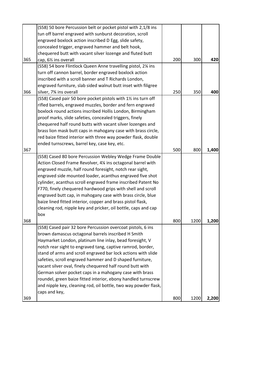|     | (S58) 50 bore Percussion belt or pocket pistol with 2,1/8 ins   |     |      |       |
|-----|-----------------------------------------------------------------|-----|------|-------|
|     | tun off barrel engraved with sunburst decoration, scroll        |     |      |       |
|     | engraved boxlock action inscribed D Egg, slide safety,          |     |      |       |
|     | concealed trigger, engraved hammer and belt hook,               |     |      |       |
|     | chequered butt with vacant silver lozenge and fluted butt       |     |      |       |
| 365 | cap, 61/ <sub>2</sub> ins overall                               | 200 | 300  | 420   |
|     | (S58) 54 bore Flintlock Queen Anne travelling pistol, 2¼ ins    |     |      |       |
|     | turn off cannon barrel, border engraved boxlock action          |     |      |       |
|     | inscribed with a scroll banner and T Richards London,           |     |      |       |
|     | engraved furniture, slab sided walnut butt inset with filigree  |     |      |       |
| 366 | silver, 7% ins overall                                          | 250 | 350  | 400   |
|     | (S58) Cased pair 50 bore pocket pistols with 11/2 ins turn off  |     |      |       |
|     | rifled barrels, engraved muzzles, border and fern engraved      |     |      |       |
|     | boxlock round actions inscribed Hollis London, Birmingham       |     |      |       |
|     | proof marks, slide safeties, concealed triggers, finely         |     |      |       |
|     | chequered half round butts with vacant silver lozenges and      |     |      |       |
|     | brass lion mask butt caps in mahogany case with brass circle,   |     |      |       |
|     | red baize fitted interior with three way powder flask, double   |     |      |       |
|     | ended turnscrews, barrel key, case key, etc.                    |     |      |       |
| 367 |                                                                 | 500 | 800  | 1,400 |
|     | (S58) Cased 80 bore Percussion Webley Wedge Frame Double        |     |      |       |
|     | Action Closed Frame Revolver, 4% ins octagonal barrel with      |     |      |       |
|     | engraved muzzle, half round foresight, notch rear sight,        |     |      |       |
|     | engraved side mounted loader, acanthus engraved five shot       |     |      |       |
|     | cylinder, acanthus scroll engraved frame inscribed Patent No    |     |      |       |
|     | F770, finely chequered hardwood grips with shell and scroll     |     |      |       |
|     | engraved butt cap, in mahogany case with brass circle, blue     |     |      |       |
|     | baize lined fitted interior, copper and brass pistol flask,     |     |      |       |
|     | cleaning rod, nipple key and pricker, oil bottle, caps and cap  |     |      |       |
|     | box                                                             |     |      |       |
| 368 |                                                                 | 800 | 1200 | 1,200 |
|     | (S58) Cased pair 32 bore Percussion overcoat pistols, 6 ins     |     |      |       |
|     | brown damascus octagonal barrels inscribed H Smith              |     |      |       |
|     | Haymarket London, platinum line inlay, bead foresight, V        |     |      |       |
|     | notch rear sight to engraved tang, captive ramrod, border,      |     |      |       |
|     | stand of arms and scroll engraved bar lock actions with slide   |     |      |       |
|     | safeties, scroll engraved hammer and D shaped furniture,        |     |      |       |
|     | vacant silver oval, finely chequered half round butt with       |     |      |       |
|     | German solver pocket caps in a mahogany case with brass         |     |      |       |
|     | roundel, green baize fitted interior, ebony handled turnscrew   |     |      |       |
|     | and nipple key, cleaning rod, oil bottle, two way powder flask, |     |      |       |
|     | caps and key,                                                   |     |      |       |
| 369 |                                                                 | 800 | 1200 | 2,200 |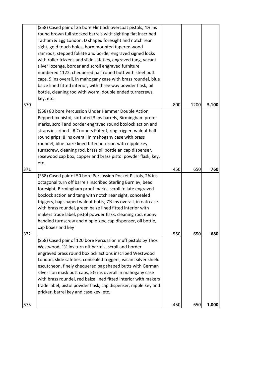| 373 |                                                                                                                              | 450 | 650  | 1,000 |
|-----|------------------------------------------------------------------------------------------------------------------------------|-----|------|-------|
|     | pricker, barrel key and case key, etc.                                                                                       |     |      |       |
|     | trade label, pistol powder flask, cap dispenser, nipple key and                                                              |     |      |       |
|     | with brass roundel, red baize lined fitted interior with makers                                                              |     |      |       |
|     | escutcheon, finely chequered bag shaped butts with German<br>silver lion mask butt caps, 5% ins overall in mahogany case     |     |      |       |
|     | London, slide safeties, concealed triggers, vacant silver shield                                                             |     |      |       |
|     | engraved brass round boxlock actions inscribed Westwood                                                                      |     |      |       |
|     | Westwood, 11/2 ins turn off barrels, scroll and border                                                                       |     |      |       |
|     | (S58) Cased pair of 120 bore Percussion muff pistols by Thos                                                                 |     |      |       |
| 372 |                                                                                                                              | 550 | 650  | 680   |
|     | cap boxes and key                                                                                                            |     |      |       |
|     | handled turnscrew and nipple key, cap dispenser, oil bottle,                                                                 |     |      |       |
|     | makers trade label, pistol powder flask, cleaning rod, ebony                                                                 |     |      |       |
|     | with brass roundel, green baize lined fitted interior with                                                                   |     |      |       |
|     | triggers, bag shaped walnut butts, 71/2 ins overall, in oak case                                                             |     |      |       |
|     | boxlock action and tang with notch rear sight, concealed                                                                     |     |      |       |
|     | foresight, Birmingham proof marks, scroll foliate engraved                                                                   |     |      |       |
|     | octagonal turn off barrels inscribed Sterling Burnley, bead                                                                  |     |      |       |
|     | (S58) Cased pair of 50 bore Percussion Pocket Pistols, 2% ins                                                                |     |      |       |
| 371 |                                                                                                                              | 450 | 650  | 760   |
|     | etc.                                                                                                                         |     |      |       |
|     | rosewood cap box, copper and brass pistol powder flask, key,                                                                 |     |      |       |
|     | turnscrew, cleaning rod, brass oil bottle an cap dispenser,                                                                  |     |      |       |
|     | roundel, blue baize lined fitted interior, with nipple key,                                                                  |     |      |       |
|     | round grips, 8 ins overall in mahogany case with brass                                                                       |     |      |       |
|     | marks, scroll and border engraved round boxlock action and<br>straps inscribed J R Coopers Patent, ring trigger, walnut half |     |      |       |
|     |                                                                                                                              |     |      |       |
|     | (S58) 80 bore Percussion Under Hammer Double Action<br>Pepperbox pistol, six fluted 3 ins barrels, Birmingham proof          |     |      |       |
| 370 |                                                                                                                              | 800 | 1200 | 5,100 |
|     | key, etc.                                                                                                                    |     |      |       |
|     | bottle, cleaning rod with worm, double ended turnscrews,                                                                     |     |      |       |
|     | baize lined fitted interior, with three way powder flask, oil                                                                |     |      |       |
|     | caps, 9 ins overall, in mahogany case with brass roundel, blue                                                               |     |      |       |
|     | numbered 1122. chequered half round butt with steel butt                                                                     |     |      |       |
|     | silver lozenge, border and scroll engraved furniture                                                                         |     |      |       |
|     | with roller frizzens and slide safeties, engraved tang, vacant                                                               |     |      |       |
|     | ramrods, stepped foliate and border engraved signed locks                                                                    |     |      |       |
|     | sight, gold touch holes, horn mounted tapered wood                                                                           |     |      |       |
|     | Tatham & Egg London, D shaped foresight and notch rear                                                                       |     |      |       |
|     | round brown full stocked barrels with sighting flat inscribed                                                                |     |      |       |
|     | (S58) Cased pair of 25 bore Flintlock overcoat pistols, 41/2 ins                                                             |     |      |       |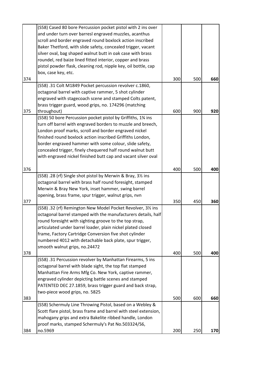|     | (S58) Cased 80 bore Percussion pocket pistol with 2 ins over     |     |     |     |
|-----|------------------------------------------------------------------|-----|-----|-----|
|     | and under turn over barresl engraved muzzles, acanthus           |     |     |     |
|     | scroll and border engraved round boxlock action inscribed        |     |     |     |
|     | Baker Thetford, with slide safety, concealed trigger, vacant     |     |     |     |
|     | silver oval, bag shaped walnut butt in oak case with brass       |     |     |     |
|     | roundel, red baize lined fitted interior, copper and brass       |     |     |     |
|     | pistol powder flask, cleaning rod, nipple key, oil bottle, cap   |     |     |     |
|     | box, case key, etc.                                              |     |     |     |
| 374 |                                                                  | 300 | 500 | 660 |
|     | (S58) .31 Colt M1849 Pocket percussion revolver c.1860,          |     |     |     |
|     | octagonal barrel with captive rammer, 5 shot cylinder            |     |     |     |
|     | engraved with stagecoach scene and stamped Colts patent,         |     |     |     |
|     | brass trigger guard, wood grips, no. 174296 (matching            |     |     |     |
| 375 | throughout)                                                      | 600 | 900 | 920 |
|     | (S58) 50 bore Percussion pocket pistol by Griffiths, 1% ins      |     |     |     |
|     | turn off barrel with engraved borders to muzzle and breech,      |     |     |     |
|     | London proof marks, scroll and border engraved nickel            |     |     |     |
|     | finished round boxlock action inscribed Griffiths London,        |     |     |     |
|     | border engraved hammer with some colour, slide safety,           |     |     |     |
|     | concealed trigger, finely chequered half round walnut butt       |     |     |     |
|     | with engraved nickel finished butt cap and vacant silver oval    |     |     |     |
|     |                                                                  |     |     |     |
| 376 |                                                                  | 400 | 500 | 400 |
|     | (S58) .28 (rf) Single shot pistol by Merwin & Bray, 31/2 ins     |     |     |     |
|     | octagonal barrel with brass half round foresight, stamped        |     |     |     |
|     | Merwin & Bray New York, inset hammer, swing barrel               |     |     |     |
|     | opening, brass frame, spur trigger, walnut grips, nvn            |     |     |     |
| 377 |                                                                  | 350 | 450 | 360 |
|     | (S58) .32 (rf) Remington New Model Pocket Revolver, 31/2 ins     |     |     |     |
|     | octagonal barrel stamped with the manufacturers details, half    |     |     |     |
|     | round foresight with sighting groove to the top strap,           |     |     |     |
|     | articulated under barrel loader, plain nickel plated closed      |     |     |     |
|     | frame, Factory Cartridge Conversion five shot cylinder           |     |     |     |
|     | numbered 4012 with detachable back plate, spur trigger,          |     |     |     |
|     | smooth walnut grips, no.24472                                    |     |     |     |
| 378 |                                                                  | 400 | 500 | 400 |
|     | (S58) .31 Percussion revolver by Manhattan Firearms, 5 ins       |     |     |     |
|     | octagonal barrel with blade sight, the top flat stamped          |     |     |     |
|     | Manhattan Fire Arms Mfg Co. New York, captive rammer,            |     |     |     |
|     | engraved cylinder depicting battle scenes and stamped            |     |     |     |
|     | PATENTED DEC 27.1859, brass trigger guard and back strap,        |     |     |     |
|     | two-piece wood grips, no. 5825                                   |     |     |     |
| 383 |                                                                  | 500 | 600 | 660 |
|     | (S58) Schermuly Line Throwing Pistol, based on a Webley &        |     |     |     |
|     | Scott flare pistol, brass frame and barrel with steel extension, |     |     |     |
|     | mahogany grips and extra Bakelite ribbed handle, London          |     |     |     |
|     | proof marks, stamped Schermuly's Pat No.503324/S6,               |     |     |     |
| 384 | no.5969                                                          | 200 | 250 | 170 |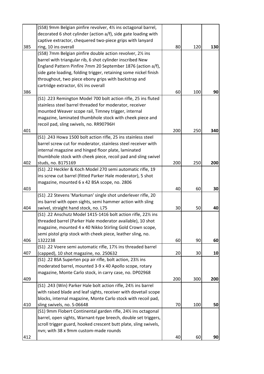|     | (S58) 9mm Belgian pinfire revolver, 41/2 ins octagonal barrel,             |     |     |     |
|-----|----------------------------------------------------------------------------|-----|-----|-----|
|     | decorated 6 shot cylinder (action a/f), side gate loading with             |     |     |     |
|     | captive extractor, chequered two-piece grips with lanyard                  |     |     |     |
| 385 | ring, 10 ins overall                                                       | 80  | 120 | 130 |
|     | (S58) 7mm Belgian pinfire double action revolver, 21/2 ins                 |     |     |     |
|     | barrel with triangular rib, 6 shot cylinder inscribed New                  |     |     |     |
|     | England Pattern Pinfire 7mm 20 September 1876 (action a/f),                |     |     |     |
|     | side gate loading, folding trigger, retaining some nickel finish           |     |     |     |
|     | throughout, two piece ebony grips with backstrap and                       |     |     |     |
|     | cartridge extractor, 61/2 ins overall                                      |     |     |     |
| 386 |                                                                            | 60  | 100 | 90  |
|     | (S1) .223 Remington Model 700 bolt action rifle, 25 ins fluted             |     |     |     |
|     | stainless steel barrel threaded for moderator, receiver                    |     |     |     |
|     | mounted Weaver scope rail, Timney trigger, internal                        |     |     |     |
|     | magazine, laminated thumbhole stock with cheek piece and                   |     |     |     |
|     | recoil pad, sling swivels, no. RR90796H                                    |     |     |     |
| 401 |                                                                            | 200 | 250 | 340 |
|     | (S1) .243 Howa 1500 bolt action rifle, 25 ins stainless steel              |     |     |     |
|     | barrel screw cut for moderator, stainless steel receiver with              |     |     |     |
|     | internal magazine and hinged floor plate, laminated                        |     |     |     |
|     | thumbhole stock with cheek piece, recoil pad and sling swivel              |     |     |     |
| 402 | studs, no. B175169                                                         | 200 | 250 | 200 |
|     | (S1) .22 Heckler & Koch Model 270 semi automatic rifle, 19                 |     |     |     |
|     | ins screw cut barrel (fitted Parker Hale moderator), 5 shot                |     |     |     |
|     | magazine, mounted 6 x 42 BSA scope, no. 2806                               |     |     |     |
| 403 |                                                                            | 40  | 60  | 30  |
|     | (S1) .22 Stevens 'Marksman' single shot underlever rifle, 20               |     |     |     |
|     | ins barrel with open sights, semi hammer action with sling                 |     |     |     |
| 404 | swivel, straight hand stock, no. L75                                       | 30  | 50  | 40  |
|     | (S1) .22 Anschutz Model 1415-1416 bolt action rifle, 221/ <sub>2</sub> ins |     |     |     |
|     | threaded barrel (Parker Hale moderator available), 10 shot                 |     |     |     |
|     | magazine, mounted 4 x 40 Nikko Stirling Gold Crown scope,                  |     |     |     |
|     | semi pistol grip stock with cheek piece, leather sling, no.                |     |     |     |
| 406 | 1322238                                                                    | 60  | 90  | 60  |
|     | (S1) .22 Voere semi automatic rifle, 17% ins threaded barrel               |     |     |     |
| 407 | (capped), 10 shot magazine, no. 250632                                     | 20  | 30  | 10  |
|     | (S1) .22 BSA Superten pcp air rifle, bolt action, 231/2 ins                |     |     |     |
|     | moderated barrel, mounted 3-9 x 40 Apollo scope, rotary                    |     |     |     |
|     | magazine, Monte Carlo stock, in carry case, no. DP02968                    |     |     |     |
| 409 |                                                                            | 200 | 300 | 200 |
|     | (S1) .243 (Win) Parker Hale bolt action rifle, 241/2 ins barrel            |     |     |     |
|     | with raised blade and leaf sights, receiver with dovetail scope            |     |     |     |
|     | blocks, internal magazine, Monte Carlo stock with recoil pad,              |     |     |     |
| 410 | sling swivels, no. S-06648                                                 | 70  | 100 | 50  |
|     | (S1) 9mm Flobert Continental garden rifle, 241/2 ins octagonal             |     |     |     |
|     | barrel, open sights, Warnant-type breech, double set triggers,             |     |     |     |
|     | scroll trigger guard, hooked crescent butt plate, sling swivels,           |     |     |     |
|     | nvn; with 38 x 9mm custom-made rounds                                      |     |     |     |
| 412 |                                                                            | 40  | 60  | 90  |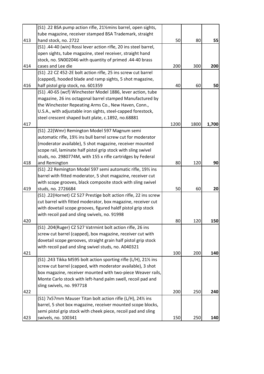|     | (S1) .22 BSA pump action rifle, 21% mins barrel, open sights,    |      |      |       |
|-----|------------------------------------------------------------------|------|------|-------|
|     | tube magazine, receiver stamped BSA Trademark, straight          |      |      |       |
| 413 | hand stock, no. 2722                                             | 50   | 80   | 55    |
|     | (S1) .44-40 (win) Rossi lever action rifle, 20 ins steel barrel, |      |      |       |
|     | open sights, tube magazine, steel receiver, straight hand        |      |      |       |
|     | stock, no. SN002046 with quantity of primed .44-40 brass         |      |      |       |
| 414 | cases and Lee die                                                | 200  | 300  | 200   |
|     | (S1) .22 CZ 452-2E bolt action rifle, 25 ins screw cut barrel    |      |      |       |
|     | (capped), hooded blade and ramp sights, 5 shot magazine,         |      |      |       |
| 416 | half pistol grip stock, no. 601359                               | 40   | 60   | 50    |
|     | (S1) .40-65 (wcf) Winchester Model 1886, lever action, tube      |      |      |       |
|     | magazine, 26 ins octagonal barrel stamped Manufactured by        |      |      |       |
|     | the Winchester Repeating Arms Co., New Haven, Conn.,             |      |      |       |
|     | U.S.A., with adjustable iron sights, steel-capped forestock,     |      |      |       |
|     | steel crescent shaped butt plate, c.1892, no.68881               |      |      |       |
| 417 |                                                                  | 1200 | 1800 | 1,700 |
|     | (S1) .22(Wmr) Remington Model 597 Magnum semi                    |      |      |       |
|     | automatic rifle, 191/2 ins bull barrel screw cut for moderator   |      |      |       |
|     | (moderator available), 5 shot magazine, receiver mounted         |      |      |       |
|     | scope rail, laminate half pistol grip stock with sling swivel    |      |      |       |
|     | studs, no. 2980774M, with 155 x rifle cartridges by Federal      |      |      |       |
| 418 | and Remington                                                    | 80   | 120  | 90    |
|     | (S1) .22 Remington Model 597 semi automatic rifle, 191/2 ins     |      |      |       |
|     | barrel with fitted moderator, 5 shot magazine, receiver cut      |      |      |       |
|     | with scope grooves, black composite stock with sling swivel      |      |      |       |
| 419 | studs, no. 2726684                                               | 50   | 60   | 20    |
|     | (S1) .22(Hornet) CZ 527 Prestige bolt action rifle, 22 ins screw |      |      |       |
|     | cut barrel with fitted moderator, box magazine, receiver cut     |      |      |       |
|     | with dovetail scope grooves, figured haldf pistol grip stock     |      |      |       |
|     | with recoil pad and sling swivels, no. 91998                     |      |      |       |
| 420 |                                                                  | 80   | 120  | 150   |
|     | (S1) .204(Ruger) CZ 527 Vatrmint bolt action rifle, 26 ins       |      |      |       |
|     | screw cut barrel (capped), box magazine, receiver cut with       |      |      |       |
|     | dovetail scope gerooves, straight grain half pistol grip stock   |      |      |       |
|     | with recoil pad and sling swivel studs, no. A040321              |      |      |       |
| 421 |                                                                  | 100  | 200  | 140   |
|     | (S1) .243 Tikka M595 bolt action sporting rifle (L/H), 211/2 ins |      |      |       |
|     | screw cut barrel (capped, with moderator available), 3 shot      |      |      |       |
|     | box magazine, receiver mounted with two-piece Weaver rails,      |      |      |       |
|     | Monte Carlo stock with left-hand palm swell, recoil pad and      |      |      |       |
|     | sling swivels, no. 997718                                        |      |      |       |
| 422 |                                                                  | 200  | 250  | 240   |
|     | (S1) 7x57mm Mauser Titan bolt action rifle (L/H), 241/2 ins      |      |      |       |
|     | barrel, 5 shot box magazine, receiver mounted scope blocks,      |      |      |       |
|     | semi pistol grip stock with cheek piece, recoil pad and sling    |      |      |       |
| 423 | swivels, no. 100341                                              | 150  | 250  | 140   |
|     |                                                                  |      |      |       |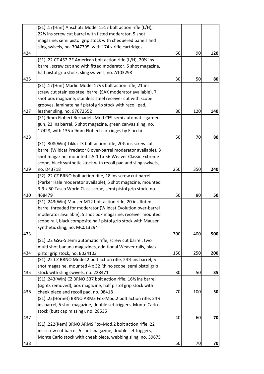|     | (S1) .17(Hmr) Anschutz Model 1517 bolt action rifle (L/H),      |     |     |     |
|-----|-----------------------------------------------------------------|-----|-----|-----|
|     | 22% ins screw cut barrel with fitted moderator, 5 shot          |     |     |     |
|     | magazine, semi pistol grip stock with chequered panels and      |     |     |     |
|     | sling swivels, no. 3047395, with 174 x rifle cartridges         |     |     |     |
| 424 |                                                                 | 60  | 90  | 120 |
|     | (S1) .22 CZ 452-2E American bolt action rifle (L/H), 201/2 ins  |     |     |     |
|     | barrel, screw cut and with fitted moderator, 5 shot magazine,   |     |     |     |
|     | half pistol grip stock, sling swivels, no. A103298              |     |     |     |
| 425 |                                                                 | 30  | 50  | 80  |
|     | (S1) .17(Hmr) Marlin Model 17VS bolt action rifle, 21 ins       |     |     |     |
|     | screw cut stainless steel barrel (SAK moderator available), 7   |     |     |     |
|     | shot box magazine, stainless steel receiver cut with scope      |     |     |     |
|     | grooves, laminate half pistol grip stock with recoil pad,       |     |     |     |
| 427 | leather sling, no. 97672552                                     | 80  | 120 | 140 |
|     | (S1) 9mm Flobert Bernadelli Mod.CF9 semi automatic garden       |     |     |     |
|     | gun, 23 ins barrel, 5 shot magazine, green canvas sling, no.    |     |     |     |
|     | 17428, with 135 x 9mm Flobert cartridges by Fiocchi             |     |     |     |
| 428 |                                                                 | 50  | 70  | 80  |
|     | (S1) .308(Win) Tikka T3 bolt action rifle, 201/2 ins screw cut  |     |     |     |
|     | barrel (Wildcat Predator 8 over-barrel moderator available), 3  |     |     |     |
|     | shot magazine, mounted 2.5-10 x 56 Weaver Classic Extreme       |     |     |     |
|     | scope, black synthetic stock with recoil pad and sling swivels, |     |     |     |
| 429 | no. D43718                                                      | 250 | 350 | 240 |
|     | (S2) .22 CZ BRNO bolt action rifle, 18 ins screw cut barrel     |     |     |     |
|     | (Parker Hale moderator available), 5 shot magazine, mounted     |     |     |     |
|     | 3-9 x 50 Tasco World Class scope, semi pistol grip stock, no.   |     |     |     |
| 430 | 468479                                                          | 50  | 80  | 50  |
|     | (S1) .243(Win) Mauser M12 bolt action rifle, 20 ins fluted      |     |     |     |
|     | barrel threaded for moderator (Wildcat Evolution over-barrel    |     |     |     |
|     | moderator available), 5 shot box magazine, receiver mounted     |     |     |     |
|     | scope rail, black composite half pistol grip stock with Mauser  |     |     |     |
|     | synthetic cling, no. MC013294                                   |     |     |     |
| 433 |                                                                 | 300 | 400 | 500 |
|     | (S1) .22 GSG-5 semi automatic rifle, screw cut barrel, two      |     |     |     |
|     | multi shot banana magazines, additional Weaver rails, black     |     |     |     |
| 434 | pistol grip stock, no. B024103                                  | 150 | 250 | 200 |
|     | (S1) .22 CZ BRNO Model 2 bolt action rifle, 241/2 ins barrel, 5 |     |     |     |
|     | shot magazine, mounted 4 x 32 Rhino scope, semi pistol grip     |     |     |     |
| 435 | stock with sling swivels, no. 228471                            | 30  | 50  | 35  |
|     | (S1) .243(Win) CZ BRNO 537 bolt action rifle, 161/2 ins barrel  |     |     |     |
|     | (sights removed), box magazine, half pistol grip stock with     |     |     |     |
| 436 | cheek piece and recoil pad, no. 08418                           | 70  | 100 | 50  |
|     | (S1) .22(Hornet) BRNO ARMS Fox-Mod.2 bolt action rifle, 241/2   |     |     |     |
|     | ins barrel, 5 shot magazine, double set triggers, Monte Carlo   |     |     |     |
|     | stock (butt cap missing), no. 28535                             |     |     |     |
| 437 |                                                                 | 40  | 60  | 70  |
|     | (S1) .222(Rem) BRNO ARMS Fox-Mod.2 bolt action rifle, 22        |     |     |     |
|     | ins screw cut barrel, 5 shot magazine, double set triggers,     |     |     |     |
|     | Monte Carlo stock with cheek piece, webbing sling, no. 39675    |     |     |     |
| 438 |                                                                 | 50  | 70  | 70  |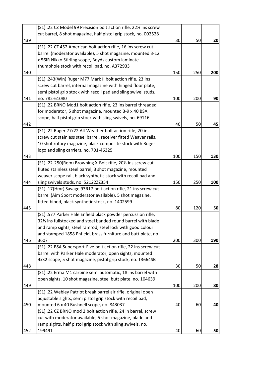|     | (S1) .22 CZ Model 99 Precision bolt action rifle, 221/2 ins screw |     |     |     |
|-----|-------------------------------------------------------------------|-----|-----|-----|
|     | cut barrel, 8 shot magazine, half pistol grip stock, no. 002528   |     |     |     |
| 439 |                                                                   | 30  | 50  | 20  |
|     | (S1) .22 CZ 452 American bolt action rifle, 16 ins screw cut      |     |     |     |
|     | barrel (moderator available), 5 shot magazine, mounted 3-12       |     |     |     |
|     | x 56IR Nikko Stirling scope, Boyds custom laminate                |     |     |     |
|     | thumbhole stock with recoil pad, no. A372933                      |     |     |     |
| 440 |                                                                   | 150 | 250 | 200 |
|     | (S1) .243(Win) Ruger M77 Mark II bolt action rifle, 23 ins        |     |     |     |
|     | screw cut barrel, internal magazine with hinged floor plate,      |     |     |     |
|     | semi pistol grip stock with recoil pad and sling swivel studs,    |     |     |     |
| 441 | no. 782-61080                                                     | 100 | 200 | 90  |
|     | (S1) .22 BRNO Mod1 bolt action rifle, 23 ins barrel threaded      |     |     |     |
|     | for moderator, 5 shot magazine, mounted 3-9 x 40 BSA              |     |     |     |
|     | scope, half pistol grip stock with sling swivels, no. 69116       |     |     |     |
| 442 |                                                                   | 40  | 50  | 45  |
|     | (S1) .22 Ruger 77/22 All-Weather bolt action rifle, 20 ins        |     |     |     |
|     | screw cut stainless steel barrel, receiver fitted Weaver rails,   |     |     |     |
|     |                                                                   |     |     |     |
|     | 10 shot rotary magazine, black composite stock with Ruger         |     |     |     |
|     | logo and sling carriers, no. 701-46325                            |     |     |     |
| 443 |                                                                   | 100 | 150 | 130 |
|     | (S1) .22-250(Rem) Browning X-Bolt rifle, 201/2 ins screw cut      |     |     |     |
|     | fluted stainless steel barrel, 3 shot magazine, mounted           |     |     |     |
|     | weaver scope rail, black synthetic stock with recoil pad and      |     |     |     |
| 444 | sling swivels studs, no. 52122ZZ354                               | 150 | 250 | 100 |
|     | (S1) .17(Hmr) Savage 93R17 bolt action rifle, 21 ins screw cut    |     |     |     |
|     | barrel (Aim Sport moderator available), 5 shot magazine,          |     |     |     |
|     | fitted bipod, black synthetic stock, no. 1402599                  |     |     |     |
| 445 |                                                                   | 80  | 120 | 50  |
|     | (S1) .577 Parker Hale Enfield black powder percussion rifle,      |     |     |     |
|     | 32% ins fullstocked and steel banded round barrel with blade      |     |     |     |
|     | and ramp sights, steel ramrod, steel lock with good colour        |     |     |     |
|     | and stamped 1858 Enfield, brass furniture and butt plate, no.     |     |     |     |
| 446 | 3607                                                              | 200 | 300 | 190 |
|     | (S1) .22 BSA Supersport-Five bolt action rifle, 22 ins screw cut  |     |     |     |
|     | barrel with Parker Hale moderator, open sights, mounted           |     |     |     |
|     | 4x32 scope, 5 shot magazine, pistol grip stock, no. T3664SB       |     |     |     |
| 448 |                                                                   | 30  | 50  | 28  |
|     | (S1) .22 Erma M1 carbine semi automatic, 18 ins barrel with       |     |     |     |
|     | open sights, 10 shot magazine, steel butt plate, no. 104639       |     |     |     |
| 449 |                                                                   | 100 | 200 | 80  |
|     | (S1) .22 Webley Patriot break barrel air rifle, original open     |     |     |     |
|     | adjustable sights, semi pistol grip stock with recoil pad,        |     |     |     |
| 450 | mounted 6 x 40 Bushnell scope, no. 843037                         | 40  | 60  | 40  |
|     | (S1) .22 CZ BRNO mod 2 bolt action rifle, 24 in barrel, screw     |     |     |     |
|     | cut with moderator available, 5 shot magazine, blade and          |     |     |     |
|     | ramp sights, half pistol grip stock with sling swivels, no.       |     |     |     |
| 452 | 199491                                                            | 40  | 60  | 50  |
|     |                                                                   |     |     |     |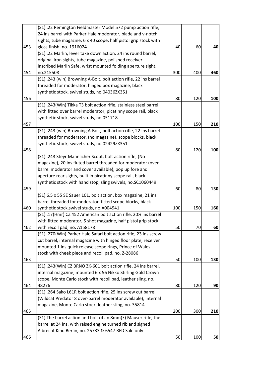|     | (S1) .22 Remington Fieldmaster Model 572 pump action rifle,       |     |     |     |
|-----|-------------------------------------------------------------------|-----|-----|-----|
|     | 24 ins barrel with Parker Hale moderator, blade and v-notch       |     |     |     |
|     | sights, tube magazine, 6 x 40 scope, half pistol grip stock with  |     |     |     |
| 453 | gloss finish, no. 1916024                                         | 40  | 60  | 40  |
|     | (S1) .22 Marlin, lever take down action, 24 ins round barrel,     |     |     |     |
|     | original iron sights, tube magazine, polished receiver            |     |     |     |
|     | inscribed Marlin Safe, wrist mounted folding aperture sight,      |     |     |     |
| 454 | no.215508                                                         | 300 | 400 | 460 |
|     | (S1) .243 (win) Browning A-Bolt, bolt action rifle, 22 ins barrel |     |     |     |
|     | threaded for moderator, hinged box magazine, black                |     |     |     |
|     | synthetic stock, swivel studs, no.04036ZX351                      |     |     |     |
| 456 |                                                                   | 80  | 120 | 100 |
|     | (S1) .243(Win) Tikka T3 bolt action rifle, stainless steel barrel |     |     |     |
|     | with fitted over barrel moderator, picatinny scope rail, black    |     |     |     |
|     | synthetic stock, swivel studs, no.051718                          |     |     |     |
| 457 |                                                                   | 100 | 150 | 210 |
|     | (S1) .243 (win) Browning A-Bolt, bolt action rifle, 22 ins barrel |     |     |     |
|     |                                                                   |     |     |     |
|     | threaded for moderator, (no magazine), scope blocks, black        |     |     |     |
|     | synthetic stock, swivel studs, no.02429ZX351                      |     |     |     |
| 458 |                                                                   | 80  | 120 | 100 |
|     | (S1) .243 Steyr Mannlicher Scout, bolt action rifle, (No          |     |     |     |
|     | magazine), 20 ins fluted barrel threaded for moderator (over      |     |     |     |
|     | barrel moderator and cover available), pop up fore and            |     |     |     |
|     | aperture rear sights, built in picatinny scope rail, black        |     |     |     |
|     | synthetic stock with hand stop, sling swivels, no.SC1060449       |     |     |     |
| 459 |                                                                   | 60  | 80  | 130 |
|     | (S1) 6.5 x 55 SE Sauer 101, bolt action, box magazine, 21 ins     |     |     |     |
|     | barrel threaded for moderator, fitted scope blocks, black         |     |     |     |
| 460 | synthetic stock, swivel studs, no.A004941                         | 100 | 150 | 160 |
|     | (S1) .17(Hmr) CZ 452 American bolt action rifle, 201/2 ins barrel |     |     |     |
|     | with fitted moderator, 5 shot magazine, half pistol grip stock    |     |     |     |
| 462 | with recoil pad, no. A158178                                      | 50  | 70  | 60  |
|     | (S1) .270(Win) Parker Hale Safari bolt action rifle, 23 ins screw |     |     |     |
|     | cut barrel, internal magazine with hinged floor plate, receiver   |     |     |     |
|     | mounted 1 ins quick release scope rings, Prince of Wales          |     |     |     |
|     | stock with cheek piece and recoil pad, no. Z-28086                |     |     |     |
| 463 |                                                                   | 50  | 100 | 130 |
|     | (S1) .243(Win) CZ BRNO ZK-601 bolt action rifle, 24 ins barrel,   |     |     |     |
|     | internal magazine, mounted 6 x 56 Nikko Stirling Gold Crown       |     |     |     |
|     | scope, Monte Carlo stock with recoil pad, leather sling, no.      |     |     |     |
| 464 | 48276                                                             | 80  | 120 | 90  |
|     | (S1) .264 Sako L61R bolt action rifle, 25 ins screw cut barrel    |     |     |     |
|     | (Wildcat Predator 8 over-barrel moderator available), internal    |     |     |     |
|     | magazine, Monte Carlo stock, leather sling, no. 35814             |     |     |     |
| 465 |                                                                   | 200 | 300 | 210 |
|     | (S1) The barrel action and bolt of an 8mm(?) Mauser rifle, the    |     |     |     |
|     | barrel at 24 ins, with raised engine turned rib and signed        |     |     |     |
|     |                                                                   |     |     |     |
|     | Albrecht Kind Berlin, no. 25733 & 6547 RFD Sale only              |     |     |     |
| 466 |                                                                   | 50  | 100 | 50  |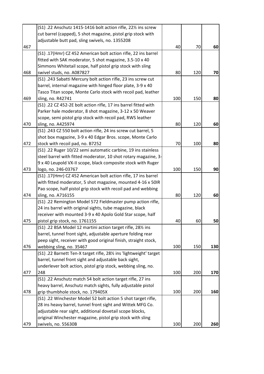|     | (S1) .22 Anschutz 1415-1416 bolt action rifle, 221% ins screw       |     |     |     |
|-----|---------------------------------------------------------------------|-----|-----|-----|
|     | cut barrel (capped), 5 shot magazine, pistol grip stock with        |     |     |     |
|     | adjustable butt pad, sling swivels, no. 1355208                     |     |     |     |
| 467 |                                                                     | 40  | 70  | 60  |
|     | (S1) .17(Hmr) CZ 452 American bolt action rifle, 22 ins barrel      |     |     |     |
|     | fitted with SAK moderator, 5 shot magazine, 3.5-10 x 40             |     |     |     |
|     | Simmons Whitetail scope, half pistol grip stock with sling          |     |     |     |
| 468 | swivel studs, no. A087827                                           | 80  | 120 | 70  |
|     | (S1) .243 Sabatti Mercury bolt action rifle, 23 ins screw cut       |     |     |     |
|     | barrel, internal magazine with hinged floor plate, 3-9 x 40         |     |     |     |
|     | Tasco Titan scope, Monte Carlo stock with recoil pad, leather       |     |     |     |
| 469 | sling, no. R42741                                                   | 100 | 150 | 80  |
|     | (S1) .22 CZ 452-2E bolt action rifle, 17 ins barrel fitted with     |     |     |     |
|     | Parker hale moderator, 8 shot magazine, 3-12 x 50 Weaver            |     |     |     |
|     | scope, semi pistol grip stock with recoil pad, RWS leather          |     |     |     |
| 470 | sling, no. A425974                                                  | 80  | 120 | 60  |
|     | (S1) .243 CZ 550 bolt action rifle, 24 ins screw cut barrel, 5      |     |     |     |
|     | shot box magazine, 3-9 x 40 Edgar Bros. scope, Monte Carlo          |     |     |     |
| 472 | stock with recoil pad, no. B7252                                    | 70  | 100 | 80  |
|     | (S1) .22 Ruger 10/22 semi automatic carbine, 19 ins stainless       |     |     |     |
|     | steel barrel with fitted moderator, 10 shot rotary magazine, 3-     |     |     |     |
|     | 9 x 40 Leupold VX-II scope, black composite stock with Ruger        |     |     |     |
| 473 | logo, no. 246-03767                                                 | 100 | 150 | 90  |
|     | (S1) .17(Hmr) CZ 452 American bolt action rifle, 17 ins barrel      |     |     |     |
|     | with fitted moderator, 5 shot magazine, mounted 4-16 x 50IR         |     |     |     |
|     | Pao scope, half pistol grip stock with recoil pad and webbing       |     |     |     |
| 474 | sling, no. A716155                                                  | 80  | 120 | 60  |
|     | (S1) .22 Remington Model 572 Fieldmaster pump action rifle,         |     |     |     |
|     | 24 ins barrel with original sights, tube magazine, black            |     |     |     |
|     | receiver with mounted 3-9 x 40 Apolo Gold Star scope, half          |     |     |     |
| 475 | pistol grip stock, no. 1761155                                      | 40  | 60  | 50  |
|     | (S1) .22 BSA Model 12 martini action target rifle, 281/2 ins        |     |     |     |
|     | barrel, tunnel front sight, adjustable aperture folding rear        |     |     |     |
|     | peep sight, receiver with good original finish, straight stock,     |     |     |     |
| 476 | webbing sling, no. 35467                                            | 100 | 150 | 130 |
|     | (S1) .22 Barnett Ten-X target rifle, 281/2 ins 'lightweight' target |     |     |     |
|     | barrel, tunnel front sight and adjustable back sight,               |     |     |     |
|     | underlever bolt action, pistol grip stock, webbing sling, no.       |     |     |     |
| 477 | 248                                                                 | 100 | 200 | 170 |
|     | (S1) .22 Anschutz match 54 bolt action target rifle, 27 ins         |     |     |     |
|     | heavy barrel, Anschutz match sights, fully adjustable pistol        |     |     |     |
| 478 | grip thumbhole stock, no. 179405X                                   | 100 | 200 | 160 |
|     | (S1) .22 Winchester Model 52 bolt action 5 shot target rifle,       |     |     |     |
|     | 28 ins heavy barrel, tunnel front sight and Wittek MFG Co.          |     |     |     |
|     | adjustable rear sight, additional dovetail scope blocks,            |     |     |     |
|     | original Winchester magazine, pistol grip stock with sling          |     |     |     |
| 479 | swivels, no. 55630B                                                 | 100 | 200 | 260 |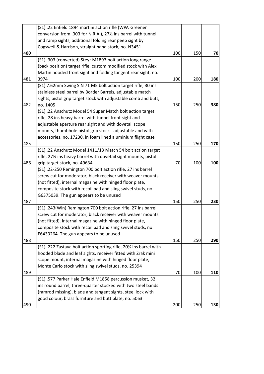|     | (S1) .22 Enfield 1894 martini action rifle (WW. Greener           |     |     |     |
|-----|-------------------------------------------------------------------|-----|-----|-----|
|     | conversion from .303 for N.R.A.), 27% ins barrel with tunnel      |     |     |     |
|     | and ramp sights, additional folding rear peep sight by            |     |     |     |
|     | Cogswell & Harrison, straight hand stock, no. N3451               |     |     |     |
| 480 |                                                                   | 100 | 150 | 70  |
|     | (S1) .303 (converted) Steyr M1893 bolt action long range          |     |     |     |
|     | (back position) target rifle, custom modified stock with Alex     |     |     |     |
|     | Martin hooded front sight and folding tangent rear sight, no.     |     |     |     |
| 481 | 3974                                                              | 100 | 200 | 180 |
|     | (S1) 7.62mm Swing SIN 71 M5 bolt action target rifle, 30 ins      |     |     |     |
|     | stainless steel barrel by Border Barrels, adjustable match        |     |     |     |
|     | sights, pistol grip target stock with adjustable comb and butt,   |     |     |     |
| 482 | no. 1405                                                          | 150 | 250 | 380 |
|     | (S1) .22 Anschutz Model 54 Super Match bolt action target         |     |     |     |
|     | rifle, 28 ins heavy barrel with tunnel front sight and            |     |     |     |
|     | adjustable aperture rear sight and with dovetail scope            |     |     |     |
|     | mounts, thumbhole pistol grip stock - adjustable and with         |     |     |     |
|     | accessories, no. 17230, in foam lined aluminium flight case       |     |     |     |
| 485 |                                                                   | 150 | 250 | 170 |
|     | (S1) .22 Anschutz Model 1411/13 Match 54 bolt action target       |     |     |     |
|     | rifle, 27% ins heavy barrel with dovetail sight mounts, pistol    |     |     |     |
| 486 | grip target stock, no. 49634                                      | 70  | 100 | 100 |
|     | (S1) .22-250 Remington 700 bolt action rifle, 27 ins barrel       |     |     |     |
|     | screw cut for moderator, black receiver with weaver mounts        |     |     |     |
|     | (not fitted), internal magazine with hinged floor plate,          |     |     |     |
|     | composite stock with recoil pad and sling swivel studs, no.       |     |     |     |
|     | G6375039. The gun appears to be unused                            |     |     |     |
| 487 |                                                                   | 150 | 250 | 230 |
|     | (S1) .243(Win) Remington 700 bolt action rifle, 27 ins barrel     |     |     |     |
|     | screw cut for moderator, black receiver with weaver mounts        |     |     |     |
|     | (not fitted), internal magazine with hinged floor plate,          |     |     |     |
|     | composite stock with recoil pad and sling swivel studs, no.       |     |     |     |
|     | E6433264. The gun appears to be unused                            |     |     |     |
| 488 |                                                                   | 150 | 250 | 290 |
|     | (S1) .222 Zastava bolt action sporting rifle, 20% ins barrel with |     |     |     |
|     | hooded blade and leaf sights, receiver fitted with Zrak mini      |     |     |     |
|     | scope mount, internal magazine with hinged floor plate,           |     |     |     |
|     | Monte Carlo stock with sling swivel studs, no. 25394              |     |     |     |
| 489 |                                                                   | 70  | 100 | 110 |
|     | (S1) .577 Parker Hale Enfield M1858 percussion musket, 32         |     |     |     |
|     | ins round barrel, three-quarter stocked with two steel bands      |     |     |     |
|     | (ramrod missing), blade and tangent sights, steel lock with       |     |     |     |
|     | good colour, brass furniture and butt plate, no. 5063             |     |     |     |
| 490 |                                                                   | 200 | 250 | 130 |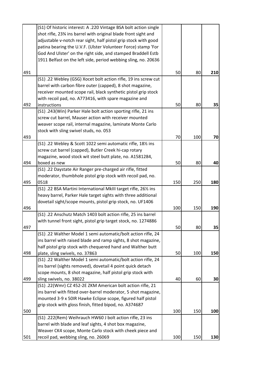|     | (S1) Of historic interest: A .220 Vintage BSA bolt action single |     |     |     |
|-----|------------------------------------------------------------------|-----|-----|-----|
|     | shot rifle, 23% ins barrel with original blade front sight and   |     |     |     |
|     | adjustable v-notch rear sight, half pistol grip stock with good  |     |     |     |
|     | patina bearing the U.V.F. (Ulster Volunteer Force) stamp 'For    |     |     |     |
|     | God And Ulster' on the right side, and stamped Braddell Estb     |     |     |     |
|     | 1911 Belfast on the left side, period webbing sling, no. 20636   |     |     |     |
| 491 |                                                                  | 50  | 80  | 210 |
|     | (S1) .22 Webley (GSG) Xocet bolt action rifle, 19 ins screw cut  |     |     |     |
|     | barrel with carbon fibre outer (capped), 8 shot magazine,        |     |     |     |
|     | receiver mounted scope rail, black synthetic pistol grip stock   |     |     |     |
|     | with recoil pad, no. A773416, with spare magazine and            |     |     |     |
| 492 | instructions                                                     | 50  | 80  | 35  |
|     | (S1) .243(Win) Parker Hale bolt action sporting rifle, 21 ins    |     |     |     |
|     | screw cut barrel, Mauser action with receiver mounted            |     |     |     |
|     | weaver scope rail, internal magazine, laminate Monte Carlo       |     |     |     |
|     | stock with sling swivel studs, no. 053                           |     |     |     |
| 493 |                                                                  | 70  | 100 | 70  |
|     | (S1) .22 Webley & Scott 1022 semi automatic rifle, 181/2 ins     |     |     |     |
|     | screw cut barrel (capped), Butler Creek hi-cap rotary            |     |     |     |
|     | magazine, wood stock wit steel butt plate, no. A1581284,         |     |     |     |
| 494 | boxed as new                                                     | 50  | 80  | 40  |
|     | (S1) .22 Daystate Air Ranger pre-charged air rifle, fitted       |     |     |     |
|     | moderator, thumbhole pistol grip stock with recoil pad, no.      |     |     |     |
| 495 | 0518                                                             | 150 | 250 | 180 |
|     | (S1) .22 BSA Martini International MkIII target rifle, 261/2 ins |     |     |     |
|     | heavy barrel, Parker Hale target sights with three additional    |     |     |     |
|     | dovetail sight/scope mounts, pistol grip stock, no. UF1406       |     |     |     |
| 496 |                                                                  | 100 | 150 | 190 |
|     | (S1) .22 Anschutz Match 1403 bolt action rifle, 25 ins barrel    |     |     |     |
|     | with tunnel front sight, pistol grip target stock, no. 1274886   |     |     |     |
| 497 |                                                                  | 50  | 80  | 35  |
|     | (S1) .22 Walther Model 1 semi automatic/bolt action rifle, 24    |     |     |     |
|     | ins barrel with raised blade and ramp sights, 8 shot magazine,   |     |     |     |
|     | half pistol grip stock with chequered hand and Walther butt      |     |     |     |
| 498 | plate, sling swivels, no. 37863                                  | 50  | 100 | 150 |
|     | (S1) .22 Walther Model 1 semi automatic/bolt action rifle, 24    |     |     |     |
|     | ins barrel (sights removed), dovetail 4 point quick detach       |     |     |     |
|     | scope mounts, 8 shot magazine, half pistol grip stock with       |     |     |     |
| 499 | sling swivels, no. 38022                                         | 40  | 60  | 30  |
|     | (S1) .22(Wmr) CZ 452-2E ZKM American bolt action rifle, 21       |     |     |     |
|     | ins barrel with fitted over-barrel moderator, 5 shot magazine,   |     |     |     |
|     | mounted 3-9 x 50IR Hawke Eclipse scope, figured half pistol      |     |     |     |
|     | grip stock with gloss finish, fitted bipod, no. A374687          |     |     |     |
| 500 |                                                                  | 100 | 150 | 100 |
|     | (S1) .222(Rem) Weihrauch HW60 J bolt action rifle, 23 ins        |     |     |     |
|     | barrel with blade and leaf sights, 4 shot box magazine,          |     |     |     |
|     | Weaver CK4 scope, Monte Carlo stock with cheek piece and         |     |     |     |
| 501 | recoil pad, webbing sling, no. 26069                             | 100 | 150 | 130 |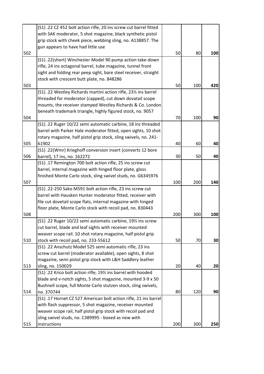|     | (S1) .22 CZ 452 bolt action rifle, 20 ins screw cut barrel fitted |     |     |     |
|-----|-------------------------------------------------------------------|-----|-----|-----|
|     | with SAK moderator, 5 shot magazine, black synthetic pistol       |     |     |     |
|     | grip stock with cheek piece, webbing sling, no. A138857. The      |     |     |     |
|     | gun appears to have had little use                                |     |     |     |
| 502 |                                                                   | 50  | 80  | 100 |
|     | (S1) .22(short) Winchester Model 90 pump action take-down         |     |     |     |
|     | rifle, 24 ins octagonal barrel, tube magazine, tunnel front       |     |     |     |
|     | sight and folding rear peep sight, bare steel receiver, straight  |     |     |     |
|     | stock with crescent butt plate, no. 848286                        |     |     |     |
| 503 |                                                                   | 50  | 100 | 420 |
|     | (S1) .22 Westley Richards martini action rifle, 231/2 ins barrel  |     |     |     |
|     | threaded for moderator (capped), cut down dovatail scope          |     |     |     |
|     | mounts, the receiver stamped Westley Richards & Co. London        |     |     |     |
|     | beneath trademark triangle, highly figured stock, no. 9057        |     |     |     |
| 504 |                                                                   | 70  | 100 | 90  |
|     | (S1) .22 Ruger 10/22 semi automatic carbine, 18 ins threaded      |     |     |     |
|     | barrel with Parker Hale moderator fitted, open sights, 10 shot    |     |     |     |
|     | rotary magazine, half pistol grip stock, sling swivels, no. 241-  |     |     |     |
| 505 | 61902                                                             | 40  | 60  | 40  |
|     | (S1) .22(Wmr) Krieghoff conversion insert (converts 12 bore       |     |     |     |
| 506 | barrel), 17 ins, no. 162272                                       | 30  | 50  | 40  |
|     | (S1) .17 Remington 700 bolt action rifle, 25 ins screw cut        |     |     |     |
|     | barrel, internal magazine with hinged floor plate, gloss          |     |     |     |
|     | finished Monte Carlo stock, sling swivel studs, no. G6345976      |     |     |     |
| 507 |                                                                   | 100 | 200 | 140 |
|     | (S1) .22-250 Sako M591 bolt action rifle, 23 ins screw cut        |     |     |     |
|     | barrel with Hausken Hunter moderator fitted, receiver with        |     |     |     |
|     | file cut dovetail scope flats, internal magazine with hinged      |     |     |     |
|     | floor plate, Monte Carlo stock with recoil pad, no. 830443        |     |     |     |
| 508 |                                                                   | 200 | 300 | 100 |
|     | (S1) .22 Ruger 10/22 semi automatic carbine, 191/2 ins screw      |     |     |     |
|     | cut barrel, blade and leaf sights with receiver mounted           |     |     |     |
|     | weaver scope rail. 10 shot rotary magazine, half pistol grip      |     |     |     |
| 510 | stock with recoil pad, no. 233-55612                              | 50  | 70  | 30  |
|     | (S1) .22 Anschutz Model 525 semi automatic rifle, 23 ins          |     |     |     |
|     | screw cut barrel (moderator available), open sights, 8 shot       |     |     |     |
|     | magazine, semi pistol grip stock with L&H Saddlery leather        |     |     |     |
| 513 | sling, no. 150029                                                 | 20  | 40  | 20  |
|     | (S1) .22 Krico bolt action rifle, 191/2 ins barrel with hooded    |     |     |     |
|     | blade and v-notch sights, 5 shot magazine, mounted 3-9 x 50       |     |     |     |
|     | Bushnell scope, full Monte Carlo stutzen stock, sling swivels,    |     |     |     |
| 514 | no. 370744                                                        | 80  | 120 | 90  |
|     | (S1) .17 Hornet CZ 527 American bolt action rifle, 21 ins barrel  |     |     |     |
|     | with flash suppressor, 5 shot magazine, receiver mounted          |     |     |     |
|     | weaver scope rail, half pistol grip stock with recoil pad and     |     |     |     |
|     | sling swivel studs, no. C389995 - boxed as new with               |     |     |     |
| 515 | instructions                                                      | 200 | 300 | 250 |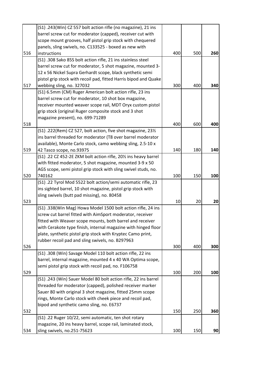|     | (S1) .243(Win) CZ 557 bolt action rifle (no magazine), 21 ins    |     |     |     |
|-----|------------------------------------------------------------------|-----|-----|-----|
|     | barrel screw cut for moderator (capped), receiver cut with       |     |     |     |
|     | scope mount grooves, half pistol grip stock with chequered       |     |     |     |
|     | panels, sling swivels, no. C133525 - boxed as new with           |     |     |     |
| 516 | instructions                                                     | 400 | 500 | 260 |
|     | (S1) .308 Sako 85S bolt action rifle, 21 ins stainless steel     |     |     |     |
|     | barrel screw cut for moderator, 5 shot magazine, mounted 3-      |     |     |     |
|     | 12 x 56 Nickel Supra Gerhardt scope, black synthetic semi        |     |     |     |
|     | pistol grip stock with recoil pad, fitted Harris bipod and Quake |     |     |     |
| 517 | webbing sling, no. 327032                                        | 300 | 400 | 340 |
|     | (S1) 6.5mm (CM) Ruger American bolt action rifle, 23 ins         |     |     |     |
|     | barrel screw cut for moderator, 10 shot box magazine,            |     |     |     |
|     | receiver mounted weaver scope rail, MDT Oryx custom pistol       |     |     |     |
|     | grip stock (original Ruger composite stock and 3 shot            |     |     |     |
|     | magazine present), no. 699-71289                                 |     |     |     |
| 518 |                                                                  | 400 | 600 | 400 |
|     | (S1) .222(Rem) CZ 527, bolt action, five shot magazine, 231/2    |     |     |     |
|     | ins barrel threaded for moderator (T8 over barrel moderator      |     |     |     |
|     | available), Monte Carlo stock, camo webbing sling, 2.5-10 x      |     |     |     |
| 519 | 42 Tasco scope, no.93975                                         | 140 | 180 | 140 |
|     | (S1) .22 CZ 452-2E ZKM bolt action rifle, 201/2 ins heavy barrel |     |     |     |
|     | with fitted moderator, 5 shot magazine, mounted 3-9 x 50         |     |     |     |
|     | AGS scope, semi pistol grip stock with sling swivel studs, no.   |     |     |     |
| 520 | 740162                                                           | 100 | 150 | 100 |
|     | (S1) .22 Tyrol Mod 5522 bolt action/semi automatic rifle, 23     |     |     |     |
|     | ins sighted barrel, 10 shot magazine, pistol grip stock with     |     |     |     |
|     | sling swivels (butt pad missing), no. 80458                      |     |     |     |
| 523 |                                                                  | 10  | 20  | 20  |
|     | (S1) .338(Win Mag) Howa Model 1500 bolt action rifle, 24 ins     |     |     |     |
|     | screw cut barrel fitted with AimSport moderator, receiver        |     |     |     |
|     | fitted with Weaver scope mounts, both barrel and receiver        |     |     |     |
|     | with Cerakote type finish, internal magazine with hinged floor   |     |     |     |
|     | plate, synthetic pistol grip stock with Kryptec Camo print,      |     |     |     |
|     | rubber recoil pad and sling swivels, no. B297963                 |     |     |     |
| 526 |                                                                  | 300 | 400 | 300 |
|     | (S1) .308 (Win) Savage Model 110 bolt action rifle, 22 ins       |     |     |     |
|     | barrel, internal magazine, mounted 4 x 40 WA Optima scope,       |     |     |     |
|     | semi pistol grip stock with recoil pad, no. F106758              |     |     |     |
| 529 |                                                                  | 100 | 200 | 100 |
|     | (S1) .243 (Win) Sauer Model 80 bolt action rifle, 22 ins barrel  |     |     |     |
|     | threaded for moderator (capped), polished receiver marker        |     |     |     |
|     | Sauer 80 with original 3 shot magazine, fitted 25mm scope        |     |     |     |
|     | rings, Monte Carlo stock with cheek piece and recoil pad,        |     |     |     |
|     | bipod and synthetic camo sling, no. E6737                        |     |     |     |
| 532 |                                                                  | 150 | 250 | 360 |
|     | (S1) .22 Ruger 10/22, semi automatic, ten shot rotary            |     |     |     |
|     | magazine, 20 ins heavy barrel, scope rail, laminated stock,      |     |     |     |
| 534 | sling swivels, no.251-75623                                      | 100 | 150 | 90  |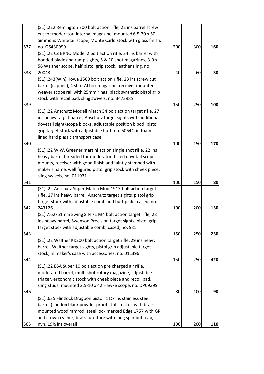|     | (S1) .222 Remington 700 bolt action rifle, 22 ins barrel screw  |     |     |     |
|-----|-----------------------------------------------------------------|-----|-----|-----|
|     | cut for moderator, internal magazine, mounted 6.5-20 x 50       |     |     |     |
|     | Simmons Whitetail scope, Monte Carlo stock with gloss finish,   |     |     |     |
| 537 | no. G6430999                                                    | 200 | 300 | 160 |
|     | (S1) .22 CZ BRNO Model 2 bolt action rifle, 24 ins barrel with  |     |     |     |
|     | hooded blade and ramp sights, 5 & 10 shot magazines, 3-9 x      |     |     |     |
|     | 56 Walther scope, half pistol grip stock, leather sling, no.    |     |     |     |
| 538 | 20043                                                           | 40  | 60  | 30  |
|     | (S1) .243(Win) Howa 1500 bolt action rifle, 23 ins screw cut    |     |     |     |
|     | barrel (capped), 4 shot AI box magazine, receiver mounter       |     |     |     |
|     | weaver scope rail with 25mm rings, black synthetic pistol grip  |     |     |     |
|     | stock with recoil pad, sling swivels, no. B473985               |     |     |     |
| 539 |                                                                 | 150 | 250 | 100 |
|     | (S1) .22 Anschutz Modell Match 54 bolt action target rifle, 27  |     |     |     |
|     | ins heavy target barrel, Anschutz target sights with additional |     |     |     |
|     | dovetail sight/scope blocks, adjustable position bipod, pistol  |     |     |     |
|     | grip target stock with adjustable butt, no. 60644, in foam      |     |     |     |
|     | lined hard plastic transport case                               |     |     |     |
| 540 |                                                                 | 100 | 150 | 170 |
|     | (S1) .22 W.W. Greener martini action single shot rifle, 22 ins  |     |     |     |
|     | heavy barrel threaded for moderator, fitted dovetail scope      |     |     |     |
|     | mounts, receiver with good finish and faintly stamped with      |     |     |     |
|     | maker's name, well figured pistol grip stock with cheek piece,  |     |     |     |
|     | sling swivels, no. 011931                                       |     |     |     |
| 541 |                                                                 | 100 | 150 | 80  |
|     | (S1) .22 Anschutz Super-Match Mod.1913 bolt action target       |     |     |     |
|     | rifle, 27 ins heavy barrel, Anschutz target sights, pistol grip |     |     |     |
|     | target stock with adjustable comb and butt plate, cased, no.    |     |     |     |
| 542 | 243126                                                          | 100 | 200 | 150 |
|     | (S1) 7.62x51mm Swing SIN 71 M4 bolt action target rifle, 28     |     |     |     |
|     | ins heavy barrel, Swenson Precision target sights, pistol grip  |     |     |     |
|     | target stock with adjustable comb, cased, no. 981               |     |     |     |
| 543 |                                                                 | 150 | 250 | 250 |
|     | (S1) .22 Walther KK200 bolt action target rifle, 29 ins heavy   |     |     |     |
|     | barrel, Walther target sights, pistol grip adjustable target    |     |     |     |
|     | stock, in maker's case with accessories, no. 011396             |     |     |     |
| 544 |                                                                 | 150 | 250 | 420 |
|     | (S1) .22 BSA Super 10 bolt action pre charged air rifle,        |     |     |     |
|     | moderated barrel, multi shot rotary magazine, adjustable        |     |     |     |
|     | trigger, ergonomic stock with cheek piece and recoil pad,       |     |     |     |
|     | sling studs, mounted 2.5-10 x 42 Hawke scope, no. DP09399       |     |     |     |
| 546 |                                                                 | 80  | 100 | 90  |
|     | (S1) .635 Flintlock Dragoon pistol, 111/2 ins stainless steel   |     |     |     |
|     | barrel (London black powder proof), fullstocked with brass      |     |     |     |
|     | mounted wood ramrod, steel lock marked Edge 1757 with GR        |     |     |     |
|     | and crown cypher, brass furniture with long spur butt cap,      |     |     |     |
| 565 | nvn, 191/2 ins overall                                          | 100 | 200 | 110 |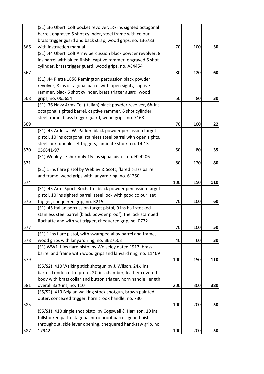|     | (S1) .36 Uberti Colt pocket revolver, 51/2 ins sighted octagonal  |     |     |     |
|-----|-------------------------------------------------------------------|-----|-----|-----|
|     | barrel, engraved 5 shot cylinder, steel frame with colour,        |     |     |     |
|     | brass trigger guard and back strap, wood grips, no. 136783        |     |     |     |
| 566 | with instruction manual                                           | 70  | 100 | 50  |
|     | (S1) .44 Uberti Colt Army percussion black powder revolver, 8     |     |     |     |
|     | ins barrel with blued finish, captive rammer, engraved 6 shot     |     |     |     |
|     | cylinder, brass trigger guard, wood grips, no. A64454             |     |     |     |
| 567 |                                                                   | 80  | 120 | 60  |
|     | (S1) .44 Pietta 1858 Remington percussion black powder            |     |     |     |
|     | revolver, 8 ins octagonal barrel with open sights, captive        |     |     |     |
|     | rammer, black 6 shot cylinder, brass trigger guard, wood          |     |     |     |
| 568 | grips, no. 065654                                                 | 50  | 80  | 30  |
|     | (S1) .36 Navy Arms Co. (Italian) black powder revolver, 61/4 ins  |     |     |     |
|     | octagonal sighted barrel, captive rammer, 6 shot cylinder,        |     |     |     |
|     | steel frame, brass trigger guard, wood grips, no. 7168            |     |     |     |
| 569 |                                                                   | 70  | 100 | 22  |
|     | (S1) .45 Ardessa 'W. Parker' black powder percussion target       |     |     |     |
|     | pistol, 10 ins octagonal stainless steel barrel with open sights, |     |     |     |
|     | steel lock, double set triggers, laminate stock, no. 14-13-       |     |     |     |
| 570 | 056841-97                                                         | 50  | 80  | 35  |
|     | (S1) Webley - Schermuly 11/2 ins signal pistol, no. H24206        |     |     |     |
| 571 |                                                                   | 80  | 120 | 80  |
|     |                                                                   |     |     |     |
|     | (S1) 1 ins flare pistol by Webley & Scott, flared brass barrel    |     |     |     |
|     | and frame, wood grips with lanyard ring, no. 61250                |     |     |     |
| 574 |                                                                   | 100 | 150 | 110 |
|     | (S1) .45 Armi Sport 'Rochatte' black powder percussion target     |     |     |     |
|     | pistol, 10 ins sighted barrel, steel lock with good colour, set   |     |     |     |
| 576 | trigger, chequered grip, no. R215                                 | 70  | 100 | 60  |
|     | (S1) .45 Italian percussion target pistol, 9 ins half stocked     |     |     |     |
|     | stainless steel barrel (black powder proof), the lock stamped     |     |     |     |
|     | Rochatte and with set trigger, chequered grip, no. 0772           |     |     |     |
| 577 |                                                                   | 70  | 100 | 50  |
|     | (S1) 1 ins flare pistol, with swamped alloy barrel and frame,     |     |     |     |
| 578 | wood grips with lanyard ring, no. BE27503                         | 40  | 60  | 30  |
|     | (S1) WW1 1 ins flare pistol by Wolseley dated 1917, brass         |     |     |     |
|     | barrel and frame with wood grips and lanyard ring, no. 11469      |     |     |     |
| 579 |                                                                   | 100 | 150 | 110 |
|     | (S5/S2) .410 Walking stick shotgun by J. Wilson, 241/2 ins        |     |     |     |
|     | barrel, London nitro proof, 21/2 ins chamber, leather covered     |     |     |     |
|     | body with brass collar and button trigger, horn handle, length    |     |     |     |
| 581 | overall 331/2 ins, no. 110                                        | 200 | 300 | 380 |
|     | (S5/S2) .410 Belgian walking stock shotgun, brown painted         |     |     |     |
|     | outer, concealed trigger, horn crook handle, no. 730              |     |     |     |
| 585 |                                                                   | 100 | 200 | 50  |
|     | (S5/S1) .410 single shot pistol by Cogswell & Harrison, 10 ins    |     |     |     |
|     | fullstocked part octagonal nitro proof barrel, good finish        |     |     |     |
|     | throughout, side lever opening, chequered hand-saw grip, no.      |     |     |     |
| 587 | 17942                                                             | 100 | 200 | 50  |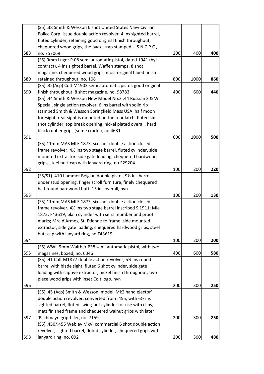|     | (S5) .38 Smith & Wesson 6 shot United States Navy Civilian                                                             |     |      |     |
|-----|------------------------------------------------------------------------------------------------------------------------|-----|------|-----|
|     | Police Corp. issue double action revolver, 4 ins sighted barrel,                                                       |     |      |     |
|     | fluted cylinder, retaining good original finish throughout,                                                            |     |      |     |
|     | chequered wood grips, the back strap stamped U.S.N.C.P.C.,                                                             |     |      |     |
| 588 | no. 757069                                                                                                             | 200 | 400  | 400 |
|     | (S5) 9mm Luger P.08 semi automatic pistol, dated 1941 (byf                                                             |     |      |     |
|     | contract), 4 ins sighted barrel, Waffen stamps, 8 shot                                                                 |     |      |     |
|     | magazine, chequered wood grips, most original blued finish                                                             |     |      |     |
| 589 | retained throughout, no. 108                                                                                           | 800 | 1000 | 860 |
|     | (S5) .32(Acp) Colt M1903 semi automatic pistol, good original                                                          |     |      |     |
| 590 | finish throughout, 8 shot magazine, no. 98783                                                                          | 400 | 600  | 440 |
|     | (S5) .44 Smith & Wesson New Model No.3 .44 Russian S & W                                                               |     |      |     |
|     | Special, single action revolver, 6 ins barrel with solid rib                                                           |     |      |     |
|     | stamped Smith & Wesson Springfield Mass USA, half moon                                                                 |     |      |     |
|     | foresight, rear sight is mounted on the rear latch, fluted six                                                         |     |      |     |
|     | shot cylinder, top break opening, nickel plated overall, hard                                                          |     |      |     |
|     | black rubber grips (some cracks), no.4631                                                                              |     |      |     |
| 591 |                                                                                                                        | 600 | 1000 | 500 |
|     | (S5) 11mm MAS MLE 1873, six shot double action closed                                                                  |     |      |     |
|     | frame revolver, 41/2 ins two stage barrel, fluted cylinder, side                                                       |     |      |     |
|     | mounted extractor, side gate loading, chequered hardwood                                                               |     |      |     |
|     | grips, steel butt cap with lanyard ring, no.F29204                                                                     |     |      |     |
| 592 |                                                                                                                        | 100 | 200  | 220 |
|     | (S5/S1) .410 hammer Belgian double pistol, 91/2 ins barrels,                                                           |     |      |     |
|     | under stud opening, finger scroll furniture, finely chequered                                                          |     |      |     |
|     | half round hardwood butt, 15 ins overall, nvn                                                                          |     |      |     |
| 593 |                                                                                                                        | 100 | 200  | 130 |
|     | (S5) 11mm MAS MLE 1873, six shot double action closed                                                                  |     |      |     |
|     | frame revolver, 4% ins two stage barrel inscribed S.1911; Mle                                                          |     |      |     |
|     | 1873; F43619; plain cylinder with serial number and proof                                                              |     |      |     |
|     | marks; Mre d'Armes, St. Etienne to frame, side mounted                                                                 |     |      |     |
|     | extractor, side gate loading, chequered hardwood grips, steel                                                          |     |      |     |
|     | butt cap with lanyard ring, no.F43619                                                                                  |     |      |     |
| 594 |                                                                                                                        | 100 | 200  | 200 |
|     | (S5) WWII 9mm Walther P38 semi automatic pistol, with two                                                              |     |      |     |
| 595 | magazines, boxed, no. 6046                                                                                             | 400 | 600  | 580 |
|     | (S5) .41 Colt M1877 double action revolver, 5% ins round<br>barrel with blade sight, fluted 6 shot cylinder, side gate |     |      |     |
|     | loading with captive extractor, nickel finish throughout, two                                                          |     |      |     |
|     |                                                                                                                        |     |      |     |
| 596 | piece wood grips with inset Colt logo, nvn                                                                             | 200 | 300  | 250 |
|     | (S5) .45 (Acp) Smith & Wesson, model 'Mk2 hand ejector'                                                                |     |      |     |
|     | double action revolver, converted from .455, with 61/2 ins                                                             |     |      |     |
|     | sighted barrel, fluted swing-out cylinder for use with clips,                                                          |     |      |     |
|     | matt finished frame and chequered walnut grips with later                                                              |     |      |     |
| 597 | 'Pachmayr' grip-filler, no. 7159                                                                                       | 200 | 300  | 250 |
|     | (S5) .450/.455 Webley MkVI commercial 6 shot double action                                                             |     |      |     |
|     | revolver, sighted barrel, fluted cylinder, chequered grips with                                                        |     |      |     |
| 598 | lanyard ring, no. 092                                                                                                  | 200 | 300  | 480 |
|     |                                                                                                                        |     |      |     |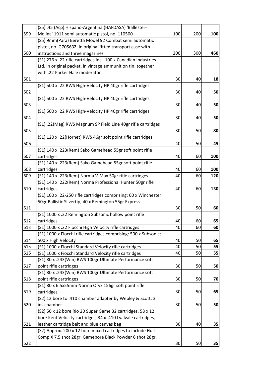|     | (S5) .45 (Acp) Hispano-Argentina (HAFDASA) 'Ballester-           |     |     |     |
|-----|------------------------------------------------------------------|-----|-----|-----|
| 599 | Molina' 1911 semi automatic pistol, no. 110500                   | 100 | 200 | 100 |
|     | (S5) 9mm(Para) Beretta Model 92 Combat semi automatic            |     |     |     |
|     | pistol, no. G70563Z, in original fitted transport case with      |     |     |     |
| 600 | instructions and three magazines                                 | 200 | 300 | 460 |
|     | (S1) 276 x .22 rifle cartridges incl. 100 x Canadian Industries  |     |     |     |
|     | Ltd. In original packet, in vintage ammunition tin; together     |     |     |     |
|     | with .22 Parker Hale moderator                                   |     |     |     |
| 601 |                                                                  | 30  | 40  | 18  |
|     | (S1) 500 x .22 RWS High-Velocity HP 40gr rifle cartridges        |     |     |     |
| 602 |                                                                  | 30  | 40  | 50  |
|     | (S1) 500 x .22 RWS High-Velocity HP 40gr rifle cartridges        |     |     |     |
| 603 |                                                                  | 30  | 40  | 50  |
|     | (S1) 500 x .22 RWS High-Velocity HP 40gr rifle cartridges        |     |     |     |
| 604 |                                                                  | 30  | 40  | 50  |
|     | (S1) .22(Mag) RWS Magnum SP Field Line 40gr rifle cartridges     |     |     |     |
| 605 |                                                                  | 30  | 50  | 80  |
|     | (S1) 120 x .22(Hornet) RWS 46gr soft point rifle cartridges      |     |     |     |
| 606 |                                                                  | 40  | 50  | 45  |
|     | (S1) 140 x .223(Rem) Sako Gamehead 55gr soft point rifle         |     |     |     |
| 607 | cartridges                                                       | 40  | 60  | 100 |
|     |                                                                  |     |     |     |
|     | (S1) 140 x .223(Rem) Sako Gamehead 55gr soft point rifle         |     |     |     |
| 608 | cartridges                                                       | 40  | 60  | 100 |
| 609 | (S1) 140 x .223(Rem) Norma V-Max 50gr rifle cartridges           | 40  | 60  | 120 |
|     | (S1) 140 x .222(Rem) Norma Professional Hunter 50gr rifle        |     |     |     |
| 610 | cartridges                                                       | 40  | 60  | 130 |
|     | (S1) 100 x .22-250 rifle cartridges comprising: 60 x Winchester  |     |     |     |
|     | 50gr Ballistic Silvertip; 40 x Remington 55gr Express            |     |     |     |
| 611 |                                                                  | 30  | 50  | 60  |
|     | (S1) 1000 x .22 Remington Subsonic hollow point rifle            |     |     |     |
| 612 | cartridges                                                       | 40  | 60  | 65  |
| 613 | (S1) 1000 x .22 Fiocchi High Velocity rifle cartridges           | 40  | 60  | 60  |
|     | (S1) 1000 x Fiocchi rifle cartridges comprising: 500 x Subsonic; |     |     |     |
| 614 | 500 x High Velocity                                              | 40  | 50  | 65  |
| 615 | (S1) 1000 x Fiocchi Standard Velocity rifle cartridges           | 40  | 50  | 55  |
| 616 | (S1) 1000 x Fiocchi Standard Velocity rifle cartridges           | 40  | 50  | 55  |
|     | (S1) 80 x .243(Win) RWS 100gr Ultimate Performance soft          |     |     |     |
| 617 | point rifle cartridges                                           | 30  | 50  | 50  |
|     | (S1) 80 x .243(Win) RWS 100gr Ultimate Performance soft          |     |     |     |
| 618 | point rifle cartridges                                           | 30  | 50  | 70  |
|     | (S1) 80 x 6.5x55mm Norma Oryx 156gr soft point rifle             |     |     |     |
| 619 | cartridges                                                       | 30  | 50  | 65  |
|     | (S2) 12 bore to .410 chamber adapter by Webley & Scott, 3        |     |     |     |
| 620 | ins chamber                                                      | 30  | 50  | 50  |
|     | (S2) 50 x 12 bore Rio 20 Super Game 32 cartridges, 58 x 12       |     |     |     |
|     | bore Kent Velocity cartridges, 34 x .410 Lyalvale cartridges,    |     |     |     |
| 621 | leather cartridge belt and blue canvas bag                       | 30  | 40  | 35  |
|     | (S2) Approx. 200 x 12 bore mixed cartridges to include Hull      |     |     |     |
|     | Comp X 7.5 shot 28gr, Gamebore Black Powder 6 shot 28gr,         |     |     |     |
| 622 |                                                                  | 30  | 50  | 35  |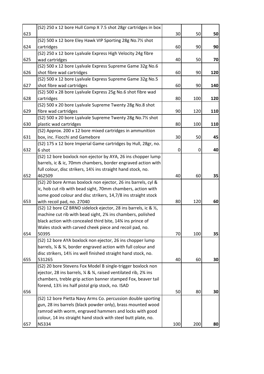|     | (S2) 250 x 12 bore Hull Comp X 7.5 shot 28gr cartridges in box                                                                             |     |     |     |
|-----|--------------------------------------------------------------------------------------------------------------------------------------------|-----|-----|-----|
| 623 |                                                                                                                                            | 30  | 50  | 50  |
|     | (S2) 500 x 12 bore Eley Hawk VIP Sporting 28g No.71% shot                                                                                  |     |     |     |
| 624 | cartridges                                                                                                                                 | 60  | 90  | 90  |
|     | (S2) 250 x 12 bore Lyalvale Express High Velocity 24g fibre                                                                                |     |     |     |
| 625 | wad cartridges                                                                                                                             | 40  | 50  | 70  |
|     | (S2) 500 x 12 bore Lyalvale Express Supreme Game 32g No.6                                                                                  |     |     |     |
| 626 | shot fibre wad cartridges                                                                                                                  | 60  | 90  | 120 |
|     | (S2) 500 x 12 bore Lyalvale Express Supreme Game 32g No.5                                                                                  |     |     |     |
| 627 | shot fibre wad cartridges                                                                                                                  | 60  | 90  | 140 |
|     | (S2) 500 x 28 bore Lyalvale Express 25g No.6 shot fibre wad                                                                                |     |     |     |
| 628 | cartridges                                                                                                                                 | 80  | 100 | 120 |
|     | (S2) 500 x 20 bore Lyalvale Supreme Twenty 28g No.8 shot                                                                                   |     |     |     |
| 629 | fibre wad cartridges                                                                                                                       | 90  | 120 | 110 |
|     | (S2) 500 x 20 bore Lyalvale Supreme Twenty 28g No.71% shot                                                                                 |     |     |     |
| 630 | plastic wad cartridges                                                                                                                     | 80  | 100 | 110 |
|     | (S2) Approx. 200 x 12 bore mixed cartridges in ammunition                                                                                  |     |     |     |
| 631 | box, inc. Fiocchi and Gamebore                                                                                                             | 30  | 50  | 45  |
|     | (S2) 175 x 12 bore Imperial Game cartridges by Hull, 28gr, no.                                                                             |     |     |     |
| 632 | 6 shot                                                                                                                                     | 0   | O   | 40  |
|     | (S2) 12 bore boxlock non ejector by AYA, 26 ins chopper lump                                                                               |     |     |     |
|     | barrels, ic & ic, 70mm chambers, border engraved action with                                                                               |     |     |     |
|     | full colour, disc strikers, 141/2 ins straight hand stock, no.                                                                             |     |     |     |
| 652 | 462509                                                                                                                                     | 40  | 60  | 35  |
|     | (S2) 20 bore Armas boxlock non ejector, 26 ins barrels, cyl &                                                                              |     |     |     |
|     | ic, hob cut rib with bead sight, 70mm chambers, action with                                                                                |     |     |     |
|     | some good colour and disc strikers, 14,7/8 ins straight stock                                                                              |     |     |     |
| 653 | with recoil pad, no. 27040                                                                                                                 | 80  | 120 | 60  |
|     | (S2) 12 bore CZ BRNO sidelock ejector, 28 ins barrels, ic & 1/2,                                                                           |     |     |     |
|     | machine cut rib with bead sight, 2% ins chambers, polished                                                                                 |     |     |     |
|     | black action with concealed third bite, 14% ins prince of                                                                                  |     |     |     |
|     | Wales stock with carved cheek piece and recoil pad, no.<br>50395                                                                           |     |     |     |
| 654 |                                                                                                                                            | 70  | 100 | 35  |
|     | (S2) 12 bore AYA boxlock non ejector, 26 ins chopper lump                                                                                  |     |     |     |
|     | barrels, % & %, border engraved action with full colour and<br>disc strikers, 141/ <sub>2</sub> ins well finished straight hand stock, no. |     |     |     |
| 655 | 531265                                                                                                                                     | 40  | 60  | 30  |
|     | (S2) 20 bore Stevens Fox Model B single-trigger boxlock non                                                                                |     |     |     |
|     | ejector, 28 ins barrels, % & %, raised ventilated rib, 2% ins                                                                              |     |     |     |
|     | chambers, treble grip action banner stamped Fox, beaver tail                                                                               |     |     |     |
|     | forend, 131/2 ins half pistol grip stock, no. ISAD                                                                                         |     |     |     |
| 656 |                                                                                                                                            | 50  | 80  | 30  |
|     | (S2) 12 bore Pietta Navy Arms Co. percussion double sporting                                                                               |     |     |     |
|     | gun, 28 ins barrels (black powder only), brass mounted wood                                                                                |     |     |     |
|     | ramrod with worm, engraved hammers and locks with good                                                                                     |     |     |     |
|     | colour, 14 ins straight hand stock with steel butt plate, no.                                                                              |     |     |     |
| 657 | N5334                                                                                                                                      | 100 | 200 | 80  |
|     |                                                                                                                                            |     |     |     |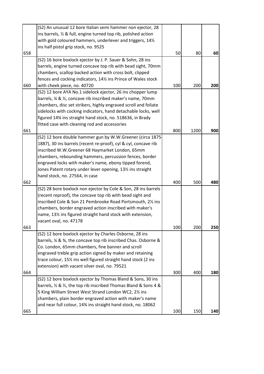|     | (S2) An unusual 12 bore Italian semi hammer non ejector, 28       |     |      |     |
|-----|-------------------------------------------------------------------|-----|------|-----|
|     | ins barrels, 1/2 & full, engine turned top rib, polished action   |     |      |     |
|     | with gold coloured hammers, underlever and triggers, 141/2        |     |      |     |
|     | ins half pistol grip stock, no. 9525                              |     |      |     |
| 658 |                                                                   | 50  | 80   | 60  |
|     | (S2) 16 bore boxlock ejector by J. P. Sauer & Sohn, 28 ins        |     |      |     |
|     | barrels, engine turned concave top rib with bead sight, 70mm      |     |      |     |
|     | chambers, scallop backed action with cross bolt, clipped          |     |      |     |
|     | fences and cocking indicators, 141% ins Prince of Wales stock     |     |      |     |
| 660 | with cheek piece, no. 40720                                       | 100 | 200  | 200 |
|     | (S2) 12 bore AYA No.1 sidelock ejector, 26 ins chopper lump       |     |      |     |
|     | barrels, % & %, concave rib inscribed maker's name, 70mm          |     |      |     |
|     | chambers, disc set strikers, highly engraved scroll and foliate   |     |      |     |
|     | sidelocks with cocking indicators, hand detachable locks, well    |     |      |     |
|     | figured 14% ins straight hand stock, no. 518636, in Brady         |     |      |     |
|     | fitted case with cleaning rod and accessories                     |     |      |     |
| 661 |                                                                   | 800 | 1200 | 900 |
|     | (S2) 12 bore double hammer gun by W.W.Greener (circa 1875-        |     |      |     |
|     | 1887), 30 ins barrels (recent re-proof), cyl & cyl, concave rib   |     |      |     |
|     | inscribed W.W.Greener 68 Haymarket London, 65mm                   |     |      |     |
|     | chambers, rebounding hammers, percussion fences, border           |     |      |     |
|     | engraved locks with maker's name, ebony tipped forend,            |     |      |     |
|     | Jones Patent rotary under lever opening, 131/2 ins straight       |     |      |     |
|     | hand stock, no. 27564, in case                                    |     |      |     |
| 662 |                                                                   | 400 | 500  | 480 |
|     | (S2) 28 bore boxlock non ejector by Cole & Son, 28 ins barrels    |     |      |     |
|     | (recent reproof), the concave top rib with bead sight and         |     |      |     |
|     | inscribed Cole & Son 21 Pembrooke Road Portsmouth, 21/2 ins       |     |      |     |
|     | chambers, border engraved action inscribed with maker's           |     |      |     |
|     | name, 131% ins figured straight hand stock with extension,        |     |      |     |
|     | vacant oval, no. 47178                                            |     |      |     |
| 663 |                                                                   | 100 | 200  | 250 |
|     | (S2) 12 bore boxlock ejector by Charles Osborne, 28 ins           |     |      |     |
|     | barrels, % & %, the concave top rib inscribed Chas. Osborne &     |     |      |     |
|     | Co. London, 65mm chambers, fine banner and scroll                 |     |      |     |
|     | engraved treble grip action signed by maker and retaining         |     |      |     |
|     | trace colour, 15% ins well figured straight hand stock (2 ins     |     |      |     |
|     | extension) with vacant silver oval, no. 79521                     |     |      |     |
| 664 |                                                                   | 300 | 400  | 180 |
|     | (S2) 12 bore boxlock ejector by Thomas Bland & Sons, 30 ins       |     |      |     |
|     | barrels, 1/2 & 1/2, the top rib inscribed Thomas Bland & Sons 4 & |     |      |     |
|     | 5 King William Street West Strand London WC2, 21/2 ins            |     |      |     |
|     | chambers, plain border engraved action with maker's name          |     |      |     |
|     | and near full colour, 14% ins straight hand stock, no. 18062      |     |      |     |
| 665 |                                                                   | 100 | 150  | 140 |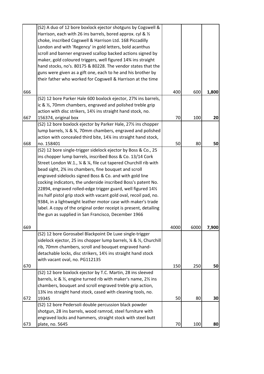|     | (S2) A duo of 12 bore boxlock ejector shotguns by Cogswell &                  |      |      |       |
|-----|-------------------------------------------------------------------------------|------|------|-------|
|     | Harrison, each with 26 ins barrels, bored approx. cyl & 1/2                   |      |      |       |
|     | choke, inscribed Cogswell & Harrison Ltd. 168 Piccadilly                      |      |      |       |
|     | London and with 'Regency' in gold letters, bold acanthus                      |      |      |       |
|     | scroll and banner engraved scallop backed actions signed by                   |      |      |       |
|     | maker, gold coloured triggers, well figured 14% ins straight                  |      |      |       |
|     | hand stocks, no's. 80175 & 80228. The vendor states that the                  |      |      |       |
|     | guns were given as a gift one, each to he and his brother by                  |      |      |       |
|     | their father who worked for Cogswell & Harrison at the time                   |      |      |       |
|     |                                                                               | 400  |      |       |
| 666 |                                                                               |      | 600  | 1,800 |
|     | (S2) 12 bore Parker Hale 600 boxlock ejector, 27 <sup>3</sup> /4 ins barrels, |      |      |       |
|     | ic & $\frac{1}{2}$ , 70mm chambers, engraved and polished treble grip         |      |      |       |
|     | action with disc strikers, 141/2 ins straight hand stock, no.                 |      |      |       |
| 667 | 156374, original box                                                          | 70   | 100  | 20    |
|     | (S2) 12 bore boxlock ejector by Parker Hale, 27% ins chopper                  |      |      |       |
|     | lump barrels, ¼ & ¾, 70mm chambers, engraved and polished                     |      |      |       |
|     | action with concealed third bite, 14% ins straight hand stock,                |      |      |       |
| 668 | no. 158401                                                                    | 50   | 80   | 50    |
|     | (S2) 12 bore single-trigger sidelock ejector by Boss & Co., 25                |      |      |       |
|     | ins chopper lump barrels, inscribed Boss & Co. 13/14 Cork                     |      |      |       |
|     | Street London W.1., ¼ & ¼, file cut tapered Churchill rib with                |      |      |       |
|     | bead sight, 2% ins chambers, fine bouquet and scroll                          |      |      |       |
|     | engraved sidelocks signed Boss & Co. and with gold line                       |      |      |       |
|     | cocking indicators, the underside inscribed Boss's patent No.                 |      |      |       |
|     | 22894, engraved rolled-edge trigger guard, well figured 141/2                 |      |      |       |
|     | ins half pistol grip stock with vacant gold oval, recoil pad, no.             |      |      |       |
|     | 9384, in a lightweight leather motor case with maker's trade                  |      |      |       |
|     | label. A copy of the original order receipt is present, detailing             |      |      |       |
|     | the gun as supplied in San Francisco, December 1966                           |      |      |       |
| 669 |                                                                               | 4000 | 6000 | 7,900 |
|     | (S2) 12 bore Gorosabel Blackpoint De Luxe single-trigger                      |      |      |       |
|     | sidelock ejector, 25 ins chopper lump barrels, 1/4 & 1/2, Churchill           |      |      |       |
|     | rib, 70mm chambers, scroll and bouquet engraved hand-                         |      |      |       |
|     | detachable locks, disc strikers, 141/2 ins straight hand stock                |      |      |       |
|     |                                                                               |      |      |       |
| 670 | with vacant oval, no. PG112135                                                | 150  | 250  | 50    |
|     | (S2) 12 bore boxlock ejector by T.C. Martin, 28 ins sleeved                   |      |      |       |
|     | barrels, ic & ½, engine turned rib with maker's name, 2½ ins                  |      |      |       |
|     | chambers, bouquet and scroll engraved treble grip action,                     |      |      |       |
|     | 13% ins straight hand stock, cased with cleaning tools, no.                   |      |      |       |
| 672 | 19345                                                                         | 50   | 80   | 30    |
|     | (S2) 12 bore Pedersoli double percussion black powder                         |      |      |       |
|     | shotgun, 28 ins barrels, wood ramrod, steel furniture with                    |      |      |       |
|     |                                                                               |      |      |       |
|     | engraved locks and hammers, straight stock with steel butt                    |      |      |       |
| 673 | plate, no. 5645                                                               | 70   | 100  | 80    |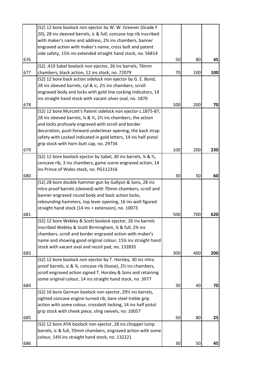|     | (S2) 12 bore boxlock non ejector by W. W. Greener (Grade F                                       |     |     |     |
|-----|--------------------------------------------------------------------------------------------------|-----|-----|-----|
|     | 20), 28 ins sleeved barrels, ic & full, concave top rib inscribed                                |     |     |     |
|     | with maker's name and address, 2% ins chambers, banner                                           |     |     |     |
|     | engraved action with maker's name, cross bolt and patent                                         |     |     |     |
|     | side safety, 15% ins extended straight hand stock, no. 56814                                     |     |     |     |
| 676 |                                                                                                  | 50  | 80  | 45  |
|     | (S2) .410 Sabel boxlock non ejector, 26 ins barrels, 76mm                                        |     |     |     |
| 677 | chambers, black action, 12 ins stock, no. 72079                                                  | 70  | 100 | 100 |
|     | (S2) 12 bore back action sidelock non ejector by G. E. Bond,                                     |     |     |     |
|     | 28 ins sleeved barrels, cyl & ic, 21/2 ins chambers, scroll                                      |     |     |     |
|     | engraved body and locks with gold line cocking indicators, 14                                    |     |     |     |
|     | ins straight hand stock with vacant silver oval, no. 1870                                        |     |     |     |
| 678 |                                                                                                  | 100 | 200 | 70  |
|     | (S2) 12 bore Murcott's Patent sidelock non ejector c.1875-87,                                    |     |     |     |
|     | 28 ins sleeved barrels, $\frac{1}{4}$ & $\frac{1}{2}$ , 2 $\frac{1}{2}$ ins chambers, the action |     |     |     |
|     | and locks profusely engraved with scroll and border                                              |     |     |     |
|     | decoration, push-forward underlever opening, the back strap                                      |     |     |     |
|     | safety with Locked indicated in gold letters, 14 ins half pistol                                 |     |     |     |
|     | grip stock with horn butt cap, no. 29734                                                         |     |     |     |
| 679 |                                                                                                  | 100 | 200 | 230 |
|     | (S2) 12 bore boxlock ejector by Sabel, 30 ins barrels, ¼ & ½,                                    |     |     |     |
|     | concave rib, 3 ins chambers, game scene engraved action, 14                                      |     |     |     |
|     | ins Prince of Wales stock, no. PG112316                                                          |     |     |     |
| 680 |                                                                                                  | 30  | 50  | 60  |
|     | (S2) 28 bore double hammer gun by Gallyon & Sons, 28 ins                                         |     |     |     |
|     | nitro proof barrels (sleeved) with 70mm chambers, scroll and                                     |     |     |     |
|     | banner engraved round body and back action locks,                                                |     |     |     |
|     | rebounding hammers, top lever opening, 16 ins well figured                                       |     |     |     |
|     | straight hand stock (14 ins + extension), no. 10073                                              |     |     |     |
| 681 |                                                                                                  | 500 | 700 | 620 |
|     | (S2) 12 bore Webley & Scott boxlock ejector, 26 ins barrels                                      |     |     |     |
|     | inscribed Webley & Scott Birmingham, 1/4 & full, 23/4 ins                                        |     |     |     |
|     | chambers, scroll and border engraved action with maker's                                         |     |     |     |
|     | name and showing good original colour, 15% ins straight hand                                     |     |     |     |
|     | stock with vacant oval and recoil pad, no. 132835                                                |     |     |     |
| 683 |                                                                                                  | 300 | 400 | 200 |
|     | (S2) 12 bore boxlock non ejector by T. Horsley, 30 ins nitro                                     |     |     |     |
|     | proof barrels, ic & 3⁄4, concave rib (loose), 21/2 ins chambers,                                 |     |     |     |
|     | scroll engraved action signed T. Horsley & Sons and retaining                                    |     |     |     |
|     | some original colour, 14 ins straight hand stock, no. 3977                                       |     |     |     |
| 684 |                                                                                                  | 30  | 40  | 70  |
|     | (S2) 16 bore German boxlock non ejector, 29% ins barrels,                                        |     |     |     |
|     | sighted concave engine turned rib, bare steel treble grip                                        |     |     |     |
|     | action with some colour, crossbolt locking, 14 ins half pistol                                   |     |     |     |
|     | grip stock with cheek piece, sling swivels, no. 10057                                            |     |     |     |
| 685 |                                                                                                  | 50  | 80  | 25  |
|     | (S2) 12 bore AYA boxlock non ejector, 28 ins chopper lump                                        |     |     |     |
|     | barrels, ic & full, 70mm chambers, engraved action with some                                     |     |     |     |
|     | colour, 14% ins straight hand stock, no. 132221                                                  |     |     |     |
| 686 |                                                                                                  | 30  | 50  | 45  |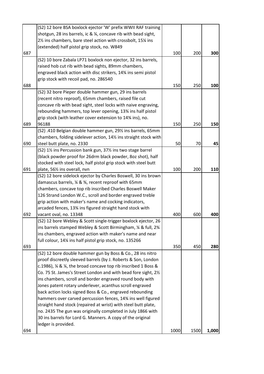|     | (S2) 12 bore BSA boxlock ejector 'W' prefix WWII RAF training   |      |      |       |
|-----|-----------------------------------------------------------------|------|------|-------|
|     | shotgun, 28 ins barrels, ic & ¼, concave rib with bead sight,   |      |      |       |
|     | 21/2 ins chambers, bare steel action with crossbolt, 151/4 ins  |      |      |       |
|     | (extended) half pistol grip stock, no. W849                     |      |      |       |
| 687 |                                                                 | 100  | 200  | 300   |
|     | (S2) 10 bore Zabala LP71 boxlock non ejector, 32 ins barrels,   |      |      |       |
|     | raised hob cut rib with bead sights, 89mm chambers,             |      |      |       |
|     | engraved black action with disc strikers, 14% ins semi pistol   |      |      |       |
|     | grip stock with recoil pad, no. 286540                          |      |      |       |
| 688 |                                                                 | 150  | 250  | 100   |
|     | (S2) 32 bore Pieper double hammer gun, 29 ins barrels           |      |      |       |
|     | (recent nitro reproof), 65mm chambers, raised file cut          |      |      |       |
|     | concave rib with bead sight, steel locks with naive engraving,  |      |      |       |
|     | rebounding hammers, top lever opening, 13% ins half pistol      |      |      |       |
|     | grip stock (with leather cover extension to 14% ins), no.       |      |      |       |
| 689 | 96188                                                           | 150  | 250  | 150   |
|     | (S2) .410 Belgian double hammer gun, 291/2 ins barrels, 65mm    |      |      |       |
|     | chambers, folding sidelever action, 14% ins straight stock with |      |      |       |
| 690 | steel butt plate, no. 2330                                      | 50   | 70   | 45    |
|     | (S2) 1½ ins Percussion bank gun, 37½ ins two stage barrel       |      |      |       |
|     | (black powder proof for 26drm black powder, 8oz shot), half     |      |      |       |
|     | stocked with steel lock, half pistol grip stock with steel butt |      |      |       |
| 691 | plate, 56% ins overall, nvn                                     | 100  | 200  | 110   |
|     | (S2) 12 bore sidelock ejector by Charles Boswell, 30 ins brown  |      |      |       |
|     | damascus barrels, ¼ & ¾, recent reproof with 65mm               |      |      |       |
|     | chambers, concave top rib inscribed Charles Boswell Maker       |      |      |       |
|     | 126 Strand London W.C., scroll and border engraved treble       |      |      |       |
|     | grip action with maker's name and cocking indicators,           |      |      |       |
|     | arcaded fences, 13% ins figured straight hand stock with        |      |      |       |
| 692 | vacant oval, no. 13348                                          | 400  | 600  | 400   |
|     | (S2) 12 bore Webley & Scott single-trigger boxlock ejector, 26  |      |      |       |
|     | ins barrels stamped Webley & Scott Birmingham, % & full, 2%     |      |      |       |
|     | ins chambers, engraved action with maker's name and near        |      |      |       |
|     | full colour, 14% ins half pistol grip stock, no. 135266         |      |      |       |
| 693 |                                                                 | 350  | 450  | 280   |
|     | (S2) 12 bore double hammer gun by Boss & Co., 28 ins nitro      |      |      |       |
|     | proof discreetly sleeved barrels (by J. Roberts & Son, London   |      |      |       |
|     | c.1986), ¼ & ¼, the broad concave top rib inscribed 1 Boss &    |      |      |       |
|     | Co. 75 St. James's Street London and with bead fore sight, 21/2 |      |      |       |
|     | ins chambers, scroll and border engraved round body with        |      |      |       |
|     | Jones patent rotary underlever, acanthus scroll engraved        |      |      |       |
|     | back action locks signed Boss & Co., engraved rebounding        |      |      |       |
|     | hammers over carved percussion fences, 14% ins well figured     |      |      |       |
|     | straight hand stock (repaired at wrist) with steel butt plate,  |      |      |       |
|     |                                                                 |      |      |       |
|     | no. 2435 The gun was originally completed in July 1866 with     |      |      |       |
|     | 30 ins barrels for Lord G. Manners. A copy of the original      |      |      |       |
|     | ledger is provided.                                             | 1000 |      |       |
| 694 |                                                                 |      | 1500 | 1,000 |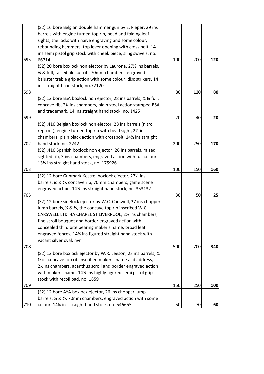|     | (S2) 16 bore Belgian double hammer gun by E. Pieper, 29 ins                      |     |     |     |
|-----|----------------------------------------------------------------------------------|-----|-----|-----|
|     | barrels with engine turned top rib, bead and folding leaf                        |     |     |     |
|     | sights, the locks with naive engraving and some colour,                          |     |     |     |
|     | rebounding hammers, top lever opening with cross bolt, 14                        |     |     |     |
|     | ins semi pistol grip stock with cheek piece, sling swivels, no.                  |     |     |     |
| 695 | 66714                                                                            | 100 | 200 | 120 |
|     | (S2) 20 bore boxlock non ejector by Laurona, 271/2 ins barrels,                  |     |     |     |
|     | % & full, raised file cut rib, 70mm chambers, engraved                           |     |     |     |
|     | baluster treble grip action with some colour, disc strikers, 14                  |     |     |     |
|     | ins straight hand stock, no.72120                                                |     |     |     |
| 698 |                                                                                  | 80  | 120 | 80  |
|     | (S2) 12 bore BSA boxlock non ejector, 28 ins barrels, 1/4 & full,                |     |     |     |
|     | concave rib, 2% ins chambers, plain steel action stamped BSA                     |     |     |     |
|     | and trademark, 14 ins straight hand stock, no. 1425                              |     |     |     |
| 699 |                                                                                  | 20  | 40  | 20  |
|     | (S2) .410 Belgian boxlock non ejector, 28 ins barrels (nitro                     |     |     |     |
|     | reproof), engine turned top rib with bead sight, 21/2 ins                        |     |     |     |
|     | chambers, plain black action with crossbolt, 141/2 ins straight                  |     |     |     |
| 702 | hand stock, no. 2242                                                             | 200 | 250 | 170 |
|     | (S2) .410 Spanish boxlock non ejector, 26 ins barrels, raised                    |     |     |     |
|     | sighted rib, 3 ins chambers, engraved action with full colour,                   |     |     |     |
|     | 131/2 ins straight hand stock, no. 175926                                        |     |     |     |
| 703 |                                                                                  | 100 | 150 | 160 |
|     | (S2) 12 bore Gunmark Kestrel boxlock ejector, 271/2 ins                          |     |     |     |
|     | barrels, ic & ½, concave rib, 70mm chambers, game scene                          |     |     |     |
|     | engraved action, 141/2 ins straight hand stock, no. 353132                       |     |     |     |
| 705 |                                                                                  | 30  | 50  | 25  |
|     | (S2) 12 bore sidelock ejector by W.C. Carswell, 27 ins chopper                   |     |     |     |
|     | lump barrels, $\frac{1}{2}$ & $\frac{1}{2}$ , the concave top rib inscribed W.C. |     |     |     |
|     | CARSWELL LTD. 4A CHAPEL ST LIVERPOOL, 21/2 ins chambers,                         |     |     |     |
|     | fine scroll bouquet and border engraved action with                              |     |     |     |
|     | concealed third bite bearing maker's name, broad leaf                            |     |     |     |
|     | engraved fences, 14% ins figured straight hand stock with                        |     |     |     |
|     | vacant silver oval, nvn                                                          |     |     |     |
| 708 |                                                                                  | 500 | 700 | 340 |
|     | (S2) 12 bore boxlock ejector by W.R. Leeson, 28 ins barrels, 1/4                 |     |     |     |
|     | & ic, concave top rib inscribed maker's name and address,                        |     |     |     |
|     | 21/2 ins chambers, acanthus scroll and border engraved action                    |     |     |     |
|     | with maker's name, 14% ins highly figured semi pistol grip                       |     |     |     |
|     | stock with recoil pad, no. 1859                                                  |     |     |     |
| 709 |                                                                                  | 150 | 250 | 100 |
|     | (S2) 12 bore AYA boxlock ejector, 26 ins chopper lump                            |     |     |     |
|     | barrels, % & %, 70mm chambers, engraved action with some                         |     |     |     |
| 710 | colour, 14% ins straight hand stock, no. 546655                                  | 50  | 70  | 60  |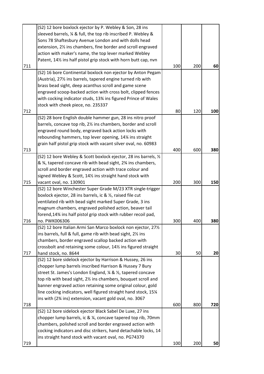|     | (S2) 12 bore boxlock ejector by P. Webley & Son, 28 ins          |     |     |     |
|-----|------------------------------------------------------------------|-----|-----|-----|
|     | sleeved barrels, % & full, the top rib inscribed P. Webley &     |     |     |     |
|     | Sons 78 Shaftesbury Avenue London and with dolls head            |     |     |     |
|     | extension, 2% ins chambers, fine border and scroll engraved      |     |     |     |
|     | action with maker's name, the top lever marked Webley            |     |     |     |
|     | Patent, 141/2 ins half pistol grip stock with horn butt cap, nvn |     |     |     |
| 711 |                                                                  | 100 | 200 | 60  |
|     | (S2) 16 bore Continental boxlock non ejector by Anton Pegam      |     |     |     |
|     | (Austria), 27% ins barrels, tapered engine turned rib with       |     |     |     |
|     | brass bead sight, deep acanthus scroll and game scene            |     |     |     |
|     | engraved scoop-backed action with cross bolt, clipped fences     |     |     |     |
|     | with cocking indicator studs, 13% ins figured Prince of Wales    |     |     |     |
|     | stock with cheek piece, no. 235337                               |     |     |     |
| 712 |                                                                  | 80  | 120 | 100 |
|     | (S2) 28 bore English double hammer gun, 28 ins nitro proof       |     |     |     |
|     | barrels, concave top rib, 2% ins chambers, border and scroll     |     |     |     |
|     | engraved round body, engraved back action locks with             |     |     |     |
|     | rebounding hammers, top lever opening, 14% ins straight          |     |     |     |
|     | grain half pistol grip stock with vacant silver oval, no. 60983  |     |     |     |
| 713 |                                                                  | 400 | 600 | 380 |
|     | (S2) 12 bore Webley & Scott boxlock ejector, 28 ins barrels, 1/2 |     |     |     |
|     | & 3⁄4, tapered concave rib with bead sight, 23⁄4 ins chambers,   |     |     |     |
|     | scroll and border engraved action with trace colour and          |     |     |     |
|     | signed Webley & Scott, 141/2 ins straight hand stock with        |     |     |     |
| 715 | vacant oval, no. 130901                                          | 200 | 300 | 150 |
|     | (S2) 12 bore Winchester Super Grade M/23 XTR single-trigger      |     |     |     |
|     | boxlock ejector, 28 ins barrels, ic & 1/2, raised file cut       |     |     |     |
|     | ventilated rib with bead sight marked Super Grade, 3 ins         |     |     |     |
|     | magnum chambers, engraved polished action, beaver tail           |     |     |     |
|     | forend, 14% ins half pistol grip stock with rubber recoil pad,   |     |     |     |
| 716 | no. PWK006306                                                    | 300 | 400 | 380 |
|     | (S2) 12 bore Italian Armi San Marco boxlock non ejector, 271/2   |     |     |     |
|     | ins barrels, full & full, game rib with bead sight, 21/2 ins     |     |     |     |
|     | chambers, border engraved scallop backed action with             |     |     |     |
|     | crossbolt and retaining some colour, 141% ins figured straight   |     |     |     |
| 717 | hand stock, no. 8644                                             | 30  | 50  | 20  |
|     | (S2) 12 bore sidelock ejector by Harrison & Hussey, 26 ins       |     |     |     |
|     | chopper lump barrels inscribed Harrison & Hussey 7 Bury          |     |     |     |
|     | street St. James's London England, 1/4 & 1/2, tapered concave    |     |     |     |
|     | top rib with bead sight, 21/2 ins chambers, bouquet scroll and   |     |     |     |
|     | banner engraved action retaining some original colour, gold      |     |     |     |
|     | line cocking indicators, well figured straight hand stock, 15¼   |     |     |     |
|     | ins with (2% ins) extension, vacant gold oval, no. 3067          |     |     |     |
| 718 |                                                                  | 600 | 800 | 720 |
|     | (S2) 12 bore sidelock ejector Black Sabel De Luxe, 27 ins        |     |     |     |
|     | chopper lump barrels, ic & ¼, concave tapered top rib, 70mm      |     |     |     |
|     | chambers, polished scroll and border engraved action with        |     |     |     |
|     | cocking indicators and disc strikers, hand detachable locks, 14  |     |     |     |
|     | ins straight hand stock with vacant oval, no. PG74370            |     |     |     |
| 719 |                                                                  | 100 | 200 | 50  |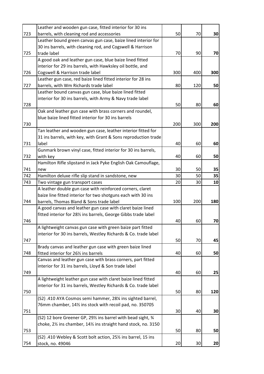|     | Leather and wooden gun case, fitted interior for 30 ins                                  |     |     |                 |
|-----|------------------------------------------------------------------------------------------|-----|-----|-----------------|
| 723 | barrels, with cleaning rod and accessories                                               | 50  | 70  | 30              |
|     | Leather bound green canvas gun case, baize lined interior for                            |     |     |                 |
|     | 30 ins barrels, with cleaning rod, and Cogswell & Harrison                               |     |     |                 |
| 725 | trade label                                                                              | 70  | 90  | 70              |
|     | A good oak and leather gun case, blue baize lined fitted                                 |     |     |                 |
|     | interior for 29 ins barrels, with Hawksley oil bottle, and                               |     |     |                 |
| 726 | Cogswell & Harrison trade label                                                          | 300 | 400 | 300             |
|     | Leather gun case, red baize lined fitted interior for 28 ins                             |     |     |                 |
| 727 | barrels, with Wm Richards trade label                                                    | 80  | 120 | 50              |
|     | Leather bound canvas gun case, blue baize lined fitted                                   |     |     |                 |
|     | interior for 30 ins barrels, with Army & Navy trade label                                |     |     |                 |
| 728 |                                                                                          | 50  | 80  | 60              |
|     | Oak and leather gun case with brass corners and roundel,                                 |     |     |                 |
|     | blue baize lined fitted interior for 30 ins barrels                                      |     |     |                 |
| 730 |                                                                                          | 200 | 300 | 200             |
|     | Tan leather and wooden gun case, leather interior fitted for                             |     |     |                 |
|     | 31 ins barrels, with key, with Grant & Sons reproduction trade                           |     |     |                 |
| 731 | label                                                                                    | 40  | 60  | 60              |
|     | Gunmark brown vinyl case, fitted interior for 30 ins barrels,                            |     |     |                 |
| 732 | with key                                                                                 | 40  | 60  | 50              |
|     | Hamilton Rifle slipstand in Jack Pyke English Oak Camouflage,                            |     |     |                 |
| 741 | new                                                                                      | 30  | 50  | 35              |
| 742 | Hamilton deluxe rifle slip stand in sandstone, new                                       | 30  | 50  | 35              |
| 743 | Two vintage gun transport cases                                                          | 20  | 30  | 10              |
|     | A leather double gun case with reinforced corners, claret                                |     |     |                 |
|     | baize line fitted interior for two shotguns each with 30 ins                             |     |     |                 |
| 744 | barrels, Thomas Bland & Sons trade label                                                 | 100 | 200 | 180             |
|     | A good canvas and leather gun case with claret baize lined                               |     |     |                 |
|     | fitted interior for 281/2 ins barrels, George Gibbs trade label                          |     |     |                 |
| 746 |                                                                                          | 40  | 60  | 70              |
|     | A lightweight canvas gun case with green baize part fitted                               |     |     |                 |
|     | interior for 30 ins barrels, Westley Richards & Co. trade label                          |     |     |                 |
|     |                                                                                          |     |     |                 |
| 747 |                                                                                          | 50  | 70  | 45              |
|     | Brady canvas and leather gun case with green baize lined                                 |     |     |                 |
| 748 | fitted interior for 26% ins barrels                                                      | 40  | 60  | 50              |
|     | Canvas and leather gun case with brass corners, part fitted                              |     |     |                 |
|     | interior for 31 ins barrels, Lloyd & Son trade label                                     |     |     |                 |
| 749 |                                                                                          | 40  | 60  | 25              |
|     | A lightweight leather gun case with claret baize lined fitted                            |     |     |                 |
|     | interior for 31 ins barrels, Westley Richards & Co. trade label                          |     |     |                 |
| 750 |                                                                                          | 50  | 80  | 120             |
|     | (S2) .410 AYA Cosmos semi hammer, 28¼ ins sighted barrel,                                |     |     |                 |
|     | 76mm chamber, 141/ <sub>2</sub> ins stock with recoil pad, no. 350705                    |     |     |                 |
| 751 |                                                                                          | 30  | 40  | 30              |
|     | (S2) 12 bore Greener GP, 29% ins barrel with bead sight, %                               |     |     |                 |
|     | choke, 21/ <sub>2</sub> ins chamber, 141/ <sub>2</sub> ins straight hand stock, no. 3150 |     |     |                 |
| 753 |                                                                                          | 50  | 80  | 50              |
|     | (S2) .410 Webley & Scott bolt action, 25% ins barrel, 15 ins                             |     |     |                 |
| 754 | stock, no. 49046                                                                         | 20  | 30  | 20 <sub>l</sub> |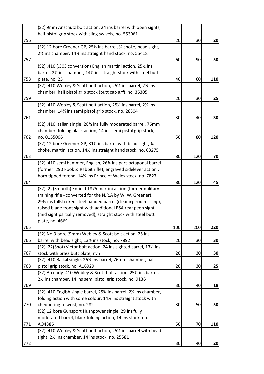|     | (S2) 9mm Anschutz bolt action, 24 ins barrel with open sights,               |     |     |     |
|-----|------------------------------------------------------------------------------|-----|-----|-----|
|     | half pistol grip stock with sling swivels, no. 553061                        |     |     |     |
| 756 |                                                                              | 20  | 30  | 20  |
|     | (S2) 12 bore Greener GP, 25% ins barrel, % choke, bead sight,                |     |     |     |
|     | 2% ins chamber, 14% ins straight hand stock, no. 55418                       |     |     |     |
| 757 |                                                                              | 60  | 90  | 50  |
|     | (S2) .410 (.303 conversion) English martini action, 251/2 ins                |     |     |     |
|     | barrel, 2% ins chamber, 14% ins straight stock with steel butt               |     |     |     |
| 758 | plate, no. 25                                                                | 40  | 60  | 110 |
|     | (S2) .410 Webley & Scott bolt action, 25% ins barrel, 2% ins                 |     |     |     |
|     | chamber, half pistol grip stock (butt cap a/f), no. 36305                    |     |     |     |
| 759 |                                                                              | 20  | 30  | 25  |
|     | (S2) .410 Webley & Scott bolt action, 25% ins barrel, 2% ins                 |     |     |     |
|     | chamber, 14% ins semi pistol grip stock, no. 28504                           |     |     |     |
| 761 |                                                                              | 30  | 40  | 30  |
|     | (S2) .410 Italian single, 281/ <sub>2</sub> ins fully moderated barrel, 76mm |     |     |     |
|     | chamber, folding black action, 14 ins semi pistol grip stock,                |     |     |     |
| 762 | no. 0155006                                                                  | 50  | 80  | 120 |
|     | (S2) 12 bore Greener GP, 31% ins barrel with bead sight, 34                  |     |     |     |
|     | choke, martini action, 141/2 ins straight hand stock, no. 63275              |     |     |     |
| 763 |                                                                              | 80  | 120 | 70  |
|     | (S2) .410 semi hammer, English, 26% ins part-octagonal barrel                |     |     |     |
|     | (former .290 Rook & Rabbit rifle), engraved sidelever action,                |     |     |     |
|     | horn tipped forend, 14% ins Prince of Wales stock, no. 7827                  |     |     |     |
| 764 |                                                                              | 80  | 120 | 45  |
|     | (S2) .22(Smooth) Enfield 1875 martini action (former military                |     |     |     |
|     | training rifle - converted for the N.R.A by W. W. Greener),                  |     |     |     |
|     | 29% ins fullstocked steel banded barrel (cleaning rod missing),              |     |     |     |
|     | raised blade front sight with additional BSA rear peep sight                 |     |     |     |
|     | (mid sight partially removed), straight stock with steel butt                |     |     |     |
|     | plate, no. 4669                                                              |     |     |     |
| 765 |                                                                              | 100 | 200 | 220 |
|     | (S2) No.3 bore (9mm) Webley & Scott bolt action, 25 ins                      |     |     |     |
| 766 | barrel with bead sight, 131/2 ins stock, no. 7892                            | 20  | 30  | 30  |
|     | (S2) .22(Shot) Victor bolt action, 24 ins sighted barrel, 131/2 ins          |     |     |     |
| 767 | stock with brass butt plate, nvn                                             | 20  | 30  | 30  |
|     | (S2) .410 Baikal single, 261/2 ins barrel, 76mm chamber, half                |     |     |     |
| 768 | pistol grip stock, no. A16929                                                | 20  | 30  | 25  |
|     | (S2) An early .410 Webley & Scott bolt action, 25% ins barrel,               |     |     |     |
|     | 21/ <sub>2</sub> ins chamber, 14 ins semi pistol grip stock, no. 9136        |     |     |     |
| 769 |                                                                              | 30  | 40  | 18  |
|     | (S2) .410 English single barrel, 25% ins barrel, 2% ins chamber,             |     |     |     |
|     | folding action with some colour, 141/2 ins straight stock with               |     |     |     |
| 770 | chequering to wrist, no. 282                                                 | 30  | 50  | 50  |
|     | (S2) 12 bore Gunsport Hushpower single, 29 ins fully                         |     |     |     |
|     | moderated barrel, black folding action, 14 ins stock, no.                    |     |     |     |
| 771 | AO4886                                                                       | 50  | 70  | 110 |
|     | (S2) .410 Webley & Scott bolt action, 25% ins barrel with bead               |     |     |     |
|     | sight, 21/ <sub>2</sub> ins chamber, 14 ins stock, no. 25581                 |     |     |     |
| 772 |                                                                              | 30  | 40  | 20  |
|     |                                                                              |     |     |     |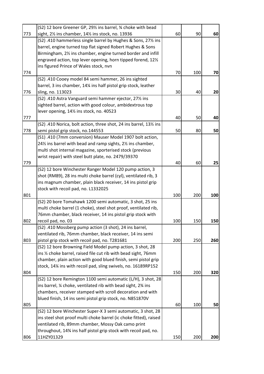|     | (S2) 12 bore Greener GP, 291/ <sub>2</sub> ins barrel, 3/4 choke with bead             |     |     |     |
|-----|----------------------------------------------------------------------------------------|-----|-----|-----|
| 773 | sight, 21/ <sub>2</sub> ins chamber, 141/ <sub>2</sub> ins stock, no. 13936            | 60  | 90  | 60  |
|     | (S2) .410 hammerless single barrel by Hughes & Sons, 27% ins                           |     |     |     |
|     | barrel, engine turned top flat signed Robert Hughes & Sons                             |     |     |     |
|     | Birmingham, 2 <sup>1</sup> / <sub>2</sub> ins chamber, engine turned border and infill |     |     |     |
|     | engraved action, top lever opening, horn tipped forend, 121/2                          |     |     |     |
|     | ins figured Prince of Wales stock, nvn                                                 |     |     |     |
| 774 |                                                                                        | 70  | 100 | 70  |
|     | (S2) .410 Cooey model 84 semi hammer, 26 ins sighted                                   |     |     |     |
|     | barrel, 3 ins chamber, 14¼ ins half pistol grip stock, leather                         |     |     |     |
| 776 | sling, no. 113023                                                                      | 30  | 40  | 20  |
|     | (S2) .410 Astra Vanguard semi hammer ejector, 271/2 ins                                |     |     |     |
|     | sighted barrel, action with good colour, ambidextrous top                              |     |     |     |
|     | lever opening, 141/2 ins stock, no. 40523                                              |     |     |     |
| 777 |                                                                                        | 40  | 50  | 40  |
|     | (S2) .410 Norica, bolt action, three shot, 24 ins barrel, 131/2 ins                    |     |     |     |
| 778 | semi pistol grip stock, no.144553                                                      | 50  | 80  | 50  |
|     | (S1) .410 (7mm conversion) Mauser Model 1907 bolt action,                              |     |     |     |
|     | 24% ins barrel with bead and ramp sights, 2% ins chamber,                              |     |     |     |
|     | multi shot internal magazine, sporterised stock (previous                              |     |     |     |
|     | wrist repair) with steel butt plate, no. 2479/39370                                    |     |     |     |
| 779 |                                                                                        | 40  | 60  | 25  |
|     | (S2) 12 bore Winchester Ranger Model 120 pump action, 3                                |     |     |     |
|     | shot (RM89), 28 ins multi choke barrel (cyl), ventilated rib, 3                        |     |     |     |
|     | ins magnum chamber, plain black receiver, 14 ins pistol grip                           |     |     |     |
|     | stock with recoil pad, no. L1332025                                                    |     |     |     |
| 801 |                                                                                        | 100 | 200 | 100 |
|     | (S2) 20 bore Tomahawk 1200 semi automatic, 3 shot, 25 ins                              |     |     |     |
|     | multi choke barrel (1 choke), steel shot proof, ventilated rib,                        |     |     |     |
|     | 76mm chamber, black receiver, 14 ins pistol grip stock with                            |     |     |     |
| 802 | recoil pad, no. 03                                                                     | 100 | 150 | 150 |
|     | (S2) .410 Mossberg pump action (3 shot), 24 ins barrel,                                |     |     |     |
|     | ventilated rib, 76mm chamber, black receiver, 14 ins semi                              |     |     |     |
| 803 | pistol grip stock with recoil pad, no. T281681                                         | 200 | 250 | 260 |
|     | (S2) 12 bore Browning Field Model pump action, 3 shot, 28                              |     |     |     |
|     | ins 1/2 choke barrel, raised file cut rib with bead sight, 76mm                        |     |     |     |
|     | chamber, plain action with good blued finish, semi pistol grip                         |     |     |     |
|     | stock, 14% ins with recoil pad, sling swivels, no. 16189RP152                          |     |     |     |
| 804 |                                                                                        | 150 | 200 | 320 |
|     | (S2) 12 bore Remington 1100 semi automatic (L/H), 3 shot, 28                           |     |     |     |
|     | ins barrel, 1/4 choke, ventilated rib with bead sight, 23/4 ins                        |     |     |     |
|     | chambers, receiver stamped with scroll decoration and with                             |     |     |     |
|     | blued finish, 14 ins semi pistol grip stock, no. N851870V                              |     |     |     |
| 805 |                                                                                        | 60  | 100 | 50  |
|     | (S2) 12 bore Winchester Super-X 3 semi automatic, 3 shot, 28                           |     |     |     |
|     | ins steel shot proof multi choke barrel (ic choke fitted), raised                      |     |     |     |
|     | ventilated rib, 89mm chamber, Mossy Oak camo print                                     |     |     |     |
|     | throughout, 14% ins half pistol grip stock with recoil pad, no.                        |     |     |     |
| 806 | 11HZY01329                                                                             | 150 | 200 | 200 |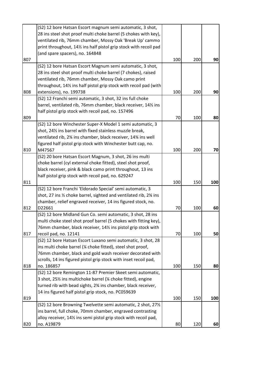|     | (S2) 12 bore Hatsan Escort magnum semi automatic, 3 shot,             |     |     |     |
|-----|-----------------------------------------------------------------------|-----|-----|-----|
|     | 28 ins steel shot proof multi choke barrel (5 chokes with key),       |     |     |     |
|     | ventilated rib, 76mm chamber, Mossy Oak 'Break Up' cammo              |     |     |     |
|     | print throughout, 141/2 ins half pistol grip stock with recoil pad    |     |     |     |
|     | (and spare spacers), no. 164848                                       |     |     |     |
| 807 |                                                                       | 100 | 200 | 90  |
|     | (S2) 12 bore Hatsan Escort Magnum semi automatic, 3 shot,             |     |     |     |
|     | 28 ins steel shot proof multi choke barrel (7 chokes), raised         |     |     |     |
|     | ventilated rib, 76mm chamber, Mossy Oak camo print                    |     |     |     |
|     | throughout, 14% ins half pistol grip stock with recoil pad (with      |     |     |     |
| 808 | extensions), no. 199738                                               | 100 | 200 | 90  |
|     | (S2) 12 Franchi semi automatic, 3 shot, 32 ins full choke             |     |     |     |
|     | barrel, ventilated rib, 76mm chamber, black receiver, 141/2 ins       |     |     |     |
|     | half pistol grip stock with recoil pad, no. 157496                    |     |     |     |
| 809 |                                                                       | 70  | 100 | 80  |
|     | (S2) 12 bore Winchester Super-X Model 1 semi automatic, 3             |     |     |     |
|     | shot, 241/ <sub>2</sub> ins barrel with fixed stainless muzzle break, |     |     |     |
|     | ventilated rib, 2% ins chamber, black receiver, 14% ins well          |     |     |     |
|     | figured half pistol grip stock with Winchester butt cap, no.          |     |     |     |
| 810 | M47567                                                                | 100 | 200 | 70  |
|     | (S2) 20 bore Hatsan Escort Magnum, 3 shot, 26 ins multi               |     |     |     |
|     | choke barrel (cyl external choke fitted), steel shot proof,           |     |     |     |
|     | black receiver, pink & black camo print throughout, 13 ins            |     |     |     |
|     | half pistol grip stock with recoil pad, no. 629247                    |     |     |     |
| 811 |                                                                       | 100 | 150 | 100 |
|     | (S2) 12 bore Franchi 'Eldorado Special' semi automatic, 3             |     |     |     |
|     | shot, 27 ins 1/2 choke barrel, sighted and ventilated rib, 2% ins     |     |     |     |
|     | chamber, relief engraved receiver, 14 ins figured stock, no.          |     |     |     |
| 812 | D22661                                                                | 70  | 100 | 60  |
|     | (S2) 12 bore Midland Gun Co. semi automatic, 3 shot, 28 ins           |     |     |     |
|     | multi choke steel shot proof barrel (5 chokes with fitting key),      |     |     |     |
|     | 76mm chamber, black receiver, 141/2 ins pistol grip stock with        |     |     |     |
| 817 | recoil pad, no. 12141                                                 | 70  | 100 | 50  |
|     | (S2) 12 bore Hatsan Escort Luxano semi automatic, 3 shot, 28          |     |     |     |
|     | ins multi choke barrel (1/4 choke fitted), steel shot proof,          |     |     |     |
|     | 76mm chamber, black and gold wash receiver decorated with             |     |     |     |
|     | scrolls, 14 ins figured pistol grip stock with inset recoil pad,      |     |     |     |
| 818 | no. 186857                                                            | 100 | 150 | 80  |
|     | (S2) 12 bore Remington 11-87 Premier Skeet semi automatic,            |     |     |     |
|     | 3 shot, 25% ins multichoke barrel (% choke fitted), engine            |     |     |     |
|     | turned rib with bead sights, 2% ins chamber, black receiver,          |     |     |     |
|     | 14 ins figured half pistol grip stock, no. PC059639                   |     |     |     |
| 819 |                                                                       | 100 | 150 | 100 |
|     | (S2) 12 bore Browning Twelvette semi automatic, 2 shot, 271/2         |     |     |     |
|     | ins barrel, full choke, 70mm chamber, engraved contrasting            |     |     |     |
|     | alloy receiver, 141/2 ins semi pistol grip stock with recoil pad,     |     |     |     |
| 820 | no. A19879                                                            | 80  | 120 | 60  |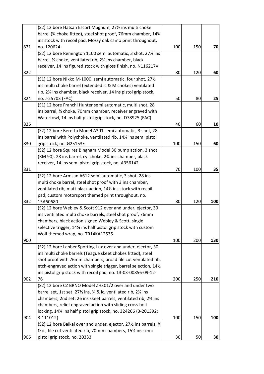|     | (S2) 12 bore Hatsan Escort Magnum, 27% ins multi choke            |     |     |     |
|-----|-------------------------------------------------------------------|-----|-----|-----|
|     | barrel (% choke fitted), steel shot proof, 76mm chamber, 14%      |     |     |     |
|     | ins stock with recoil pad, Mossy oak camo print throughout,       |     |     |     |
| 821 | no. 120624                                                        | 100 | 150 | 70  |
|     | (S2) 12 bore Remington 1100 semi automatic, 3 shot, 27% ins       |     |     |     |
|     | barrel, 1/2 choke, ventilated rib, 23/4 ins chamber, black        |     |     |     |
|     | receiver, 14 ins figured stock with gloss finish, no. N116217V    |     |     |     |
| 822 |                                                                   | 80  | 120 | 60  |
|     | (S1) 12 bore Nikko M-1000, semi automatic, four shot, 271/2       |     |     |     |
|     | ins multi choke barrel (extended ic & M chokes) ventilated        |     |     |     |
|     | rib, 2% ins chamber, black receiver, 14 ins pistol grip stock,    |     |     |     |
| 824 | no. J-25703 (FAC)                                                 | 50  | 80  | 25  |
|     | (S1) 12 bore Franchi Hunter semi automatic, multi shot, 28        |     |     |     |
|     | ins barrel, 1/2 choke, 70mm chamber, receiver engraved with       |     |     |     |
|     | Waterfowl, 14 ins half pistol grip stock, no. D78925 (FAC)        |     |     |     |
| 826 |                                                                   | 40  | 60  | 10  |
|     | (S2) 12 bore Beretta Model A301 semi automatic, 3 shot, 28        |     |     |     |
|     | ins barrel with Polychoke, ventilated rib, 14¼ ins semi pistol    |     |     |     |
| 830 | grip stock, no. G25153E                                           | 100 | 150 | 60  |
|     | (S2) 12 bore Squires Bingham Model 30 pump action, 3 shot         |     |     |     |
|     | (RM 90), 28 ins barrel, cyl choke, 2% ins chamber, black          |     |     |     |
|     | receiver, 14 ins semi pistol grip stock, no. A356142              |     |     |     |
| 831 |                                                                   | 70  | 100 | 35  |
|     | (S2) 12 bore Armsan A612 semi automatic, 3 shot, 28 ins           |     |     |     |
|     | multi choke barrel, steel shot proof with 3 ins chamber,          |     |     |     |
|     | ventilated rib, matt black action, 141/2 ins stock with recoil    |     |     |     |
|     | pad, custom motorsport themed print throughout, no.               |     |     |     |
| 832 | 15A60680                                                          | 80  | 120 | 100 |
|     | (S2) 12 bore Webley & Scott 912 over and under, ejector, 30       |     |     |     |
|     | ins ventilated multi choke barrels, steel shot proof, 76mm        |     |     |     |
|     | chambers, black action signed Webley & Scott, single              |     |     |     |
|     | selective trigger, 14% ins half pistol grip stock with custom     |     |     |     |
|     | Wolf themed wrap, no. TR14KA12535                                 |     |     |     |
| 900 |                                                                   | 100 | 200 | 130 |
|     | (S2) 12 bore Lanber Sporting-Lux over and under, ejector, 30      |     |     |     |
|     | ins multi choke barrels (Teague skeet chokes fitted), steel       |     |     |     |
|     | shot proof with 76mm chambers, broad file cut ventilated rib,     |     |     |     |
|     | etch-engraved action with single trigger, barrel selection, 141/2 |     |     |     |
|     | ins pistol grip stock with recoil pad, no. 13-03-00856-09-12-     |     |     |     |
| 902 | 76                                                                | 200 | 250 | 210 |
|     | (S2) 12 bore CZ BRNO Model ZH301/2 over and under two             |     |     |     |
|     | barrel set, 1st set: 27% ins, % & ic, ventilated rib, 2% ins      |     |     |     |
|     | chambers; 2nd set: 26 ins skeet barrels, ventilated rib, 2% ins   |     |     |     |
|     | chambers, relief engraved action with sliding cross bolt          |     |     |     |
|     | locking, 14% ins half pistol grip stock, no. 324266 (3-201392;    |     |     |     |
| 904 | 3-111012)                                                         | 100 | 150 | 100 |
|     | (S2) 12 bore Baikal over and under, ejector, 27% ins barrels, %   |     |     |     |
|     | & ic, file cut ventilated rib, 70mm chambers, 151/2 ins semi      |     |     |     |
| 906 | pistol grip stock, no. 20333                                      | 30  | 50  | 30  |
|     |                                                                   |     |     |     |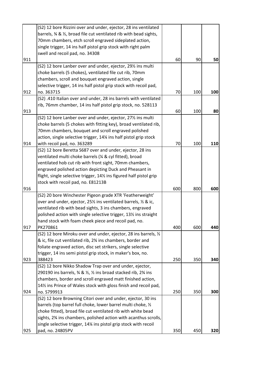|     | (S2) 12 bore Rizzini over and under, ejector, 28 ins ventilated                          |     |     |     |
|-----|------------------------------------------------------------------------------------------|-----|-----|-----|
|     | barrels, $\frac{3}{4}$ & $\frac{1}{2}$ , broad file cut ventilated rib with bead sights, |     |     |     |
|     | 70mm chambers, etch scroll engraved sideplated action,                                   |     |     |     |
|     | single trigger, 14 ins half pistol grip stock with right palm                            |     |     |     |
|     | swell and recoil pad, no. 34308                                                          |     |     |     |
| 911 |                                                                                          | 60  | 90  | 50  |
|     | (S2) 12 bore Lanber over and under, ejector, 291/2 ins multi                             |     |     |     |
|     | choke barrels (5 chokes), ventilated file cut rib, 70mm                                  |     |     |     |
|     | chambers, scroll and bouquet engraved action, single                                     |     |     |     |
|     | selective trigger, 14 ins half pistol grip stock with recoil pad,                        |     |     |     |
| 912 | no. 363715                                                                               | 70  | 100 | 100 |
|     | (S2) .410 Italian over and under, 28 ins barrels with ventilated                         |     |     |     |
|     | rib, 76mm chamber, 14 ins half pistol grip stock, no. 528113                             |     |     |     |
| 913 |                                                                                          | 60  | 100 | 80  |
|     | (S2) 12 bore Lanber over and under, ejector, 271/2 ins multi                             |     |     |     |
|     | choke barrels (5 chokes with fitting key), broad ventilated rib,                         |     |     |     |
|     | 70mm chambers, bouquet and scroll engraved polished                                      |     |     |     |
|     | action, single selective trigger, 14¼ ins half pistol grip stock                         |     |     |     |
| 914 | with recoil pad, no. 363289                                                              | 70  | 100 | 110 |
|     | (S2) 12 bore Beretta S687 over and under, ejector, 28 ins                                |     |     |     |
|     | ventilated multi choke barrels (1/4 & cyl fitted), broad                                 |     |     |     |
|     | ventilated hob cut rib with front sight, 70mm chambers,                                  |     |     |     |
|     | engraved polished action depicting Duck and Pheasant in                                  |     |     |     |
|     | flight, single selective trigger, 141/2 ins figured half pistol grip                     |     |     |     |
|     | stock with recoil pad, no. E81213B                                                       |     |     |     |
| 916 |                                                                                          | 600 | 800 | 600 |
|     | (S2) 20 bore Winchester Pigeon grade XTR 'Featherweight'                                 |     |     |     |
|     | over and under, ejector, 25% ins ventilated barrels, % & ic,                             |     |     |     |
|     | ventilated rib with bead sights, 3 ins chambers, engraved                                |     |     |     |
|     | polished action with single selective trigger, 131/2 ins straight                        |     |     |     |
|     | hand stock with foam cheek piece and recoil pad, no.                                     |     |     |     |
| 917 | PK270861                                                                                 | 400 | 600 | 440 |
|     | (S2) 12 bore Miroku over and under, ejector, 28 ins barrels, 1/2                         |     |     |     |
|     | & ic, file cut ventilated rib, 2% ins chambers, border and                               |     |     |     |
|     | foliate engraved action, disc set strikers, single selective                             |     |     |     |
|     | trigger, 14 ins semi pistol grip stock, in maker's box, no.                              |     |     |     |
| 923 | 388423                                                                                   | 250 | 350 | 340 |
|     | (S2) 12 bore Nikko Shadow Trap over and under, ejector,                                  |     |     |     |
|     | 290190 ins barrels, 3⁄4 & 1/2, 1/2 ins broad stacked rib, 23/4 ins                       |     |     |     |
|     | chambers, border and scroll engraved matt finished action,                               |     |     |     |
|     | 14% ins Prince of Wales stock with gloss finish and recoil pad,                          |     |     |     |
| 924 | no. S799913                                                                              | 250 | 350 | 300 |
|     | (S2) 12 bore Browning Citori over and under, ejector, 30 ins                             |     |     |     |
|     | barrels (top barrel full choke, lower barrel multi choke, 1/2                            |     |     |     |
|     | choke fitted), broad file cut ventilated rib with white bead                             |     |     |     |
|     | sights, 2% ins chambers, polished action with acanthus scrolls,                          |     |     |     |
|     | single selective trigger, 14% ins pistol grip stock with recoil                          |     |     |     |
| 925 | pad, no. 24805PV                                                                         | 350 | 450 | 320 |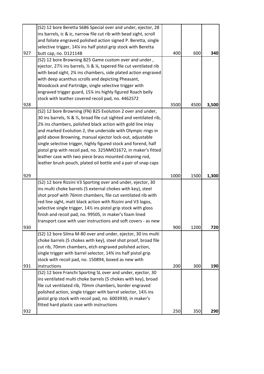|     | (S2) 12 bore Beretta S686 Special over and under, ejector, 28                |      |      |       |
|-----|------------------------------------------------------------------------------|------|------|-------|
|     | ins barrels, ic & ic, narrow file cut rib with bead sight, scroll            |      |      |       |
|     | and foliate engraved polished action signed P. Beretta, single               |      |      |       |
|     | selective trigger, 14% ins half pistol grip stock with Beretta               |      |      |       |
| 927 | butt cap, no. D12114B                                                        | 400  | 600  | 340   |
|     | (S2) 12 bore Browning B25 Game custom over and under,                        |      |      |       |
|     | ejector, 27% ins barrels, $\frac{1}{2}$ & %, tapered file cut ventilated rib |      |      |       |
|     | with bead sight, 2% ins chambers, side plated action engraved                |      |      |       |
|     | with deep acanthus scrolls and depicting Pheasant,                           |      |      |       |
|     | Woodcock and Partridge, single selective trigger with                        |      |      |       |
|     | engraved trigger guard, 15% ins highly figured Roach belly                   |      |      |       |
|     | stock with leather covered recoil pad, no. 4462S72                           |      |      |       |
| 928 |                                                                              | 3500 | 4500 | 3,500 |
|     | (S2) 12 bore Browning (FN) B25 Evolution 2 over and under,                   |      |      |       |
|     | 30 ins barrels, 34 & 1/2, broad file cut sighted and ventilated rib,         |      |      |       |
|     | 2% ins chambers, polished black action with gold line inlay                  |      |      |       |
|     | and marked Evolution 2, the underside with Olympic rings in                  |      |      |       |
|     | gold above Browning, manual ejector lock-out, adjustable                     |      |      |       |
|     | single selective trigger, highly figured stock and forend, half              |      |      |       |
|     | pistol grip with recoil pad, no. 325NMO1672, in maker's fitted               |      |      |       |
|     | leather case with two piece brass mounted cleaning rod,                      |      |      |       |
|     | leather brush pouch, plated oil bottle and a pair of snap caps               |      |      |       |
| 929 |                                                                              | 1000 | 1500 | 1,300 |
|     | (S2) 12 bore Rizzini V3 Sporting over and under, ejector, 30                 |      |      |       |
|     | ins multi choke barrels (5 external chokes with key), steel                  |      |      |       |
|     |                                                                              |      |      |       |
|     |                                                                              |      |      |       |
|     | shot proof with 76mm chambers, file cut ventilated rib with                  |      |      |       |
|     | red line sight, matt black action with Rizzini and V3 logos,                 |      |      |       |
|     | selective single trigger, 14% ins pistol grip stock with gloss               |      |      |       |
|     | finish and recoil pad, no. 99505, in maker's foam lined                      |      |      |       |
| 930 | transport case with user instructions and soft covers - as new               | 900  | 1200 | 720   |
|     | (S2) 12 bore Silma M-80 over and under, ejector, 30 ins multi                |      |      |       |
|     | choke barrels (5 chokes with key), steel shot proof, broad file              |      |      |       |
|     | cut rib, 70mm chambers, etch engraved polished action,                       |      |      |       |
|     | single trigger with barrel selector, 14% ins half pistol grip                |      |      |       |
|     | stock with recoil pad, no. 150894, boxed as new with                         |      |      |       |
| 931 | instructions                                                                 | 200  | 300  | 190   |
|     | (S2) 12 bore Franchi Sporting SL over and under, ejector, 30                 |      |      |       |
|     | ins ventilated multi choke barrels (5 chokes with key), broad                |      |      |       |
|     | file cut ventilated rib, 70mm chambers, border engraved                      |      |      |       |
|     | polished action, single trigger with barrel selector, 141/2 ins              |      |      |       |
|     | pistol grip stock with recoil pad, no. 6003930, in maker's                   |      |      |       |
|     | fitted hard plastic case with instructions                                   |      |      |       |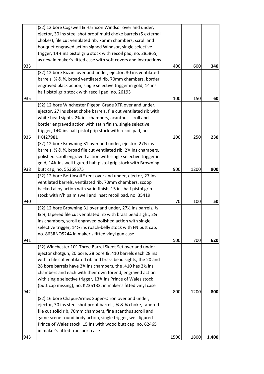|     | (S2) 12 bore Cogswell & Harrison Windsor over and under,                                              |      |      |       |
|-----|-------------------------------------------------------------------------------------------------------|------|------|-------|
|     | ejector, 30 ins steel shot proof multi choke barrels (5 external                                      |      |      |       |
|     | chokes), file cut ventilated rib, 76mm chambers, scroll and                                           |      |      |       |
|     | bouquet engraved action signed Windsor, single selective                                              |      |      |       |
|     | trigger, 141/ <sub>2</sub> ins pistol grip stock with recoil pad, no. 285865,                         |      |      |       |
|     | as new in maker's fitted case with soft covers and instructions                                       |      |      |       |
| 933 |                                                                                                       | 400  | 600  | 340   |
|     | (S2) 12 bore Rizzini over and under, ejector, 30 ins ventilated                                       |      |      |       |
|     | barrels, % & %, broad ventilated rib, 70mm chambers, border                                           |      |      |       |
|     | engraved black action, single selective trigger in gold, 14 ins                                       |      |      |       |
|     | half pistol grip stock with recoil pad, no. 26193                                                     |      |      |       |
| 935 |                                                                                                       | 100  | 150  | 60    |
|     | (S2) 12 bore Winchester Pigeon Grade XTR over and under,                                              |      |      |       |
|     | ejector, 27 ins skeet choke barrels, file cut ventilated rib with                                     |      |      |       |
|     | white bead sights, 2% ins chambers, acanthus scroll and                                               |      |      |       |
|     | border engraved action with satin finish, single selective                                            |      |      |       |
|     | trigger, 14% ins half pistol grip stock with recoil pad, no.                                          |      |      |       |
| 936 | PK427981                                                                                              | 200  | 250  | 230   |
|     | (S2) 12 bore Browning B1 over and under, ejector, 271/2 ins                                           |      |      |       |
|     | barrels, $\frac{1}{2}$ & $\frac{1}{4}$ , broad file cut ventilated rib, 2 $\frac{1}{4}$ ins chambers, |      |      |       |
|     | polished scroll engraved action with single selective trigger in                                      |      |      |       |
|     | gold, 14% ins well figured half pistol grip stock with Browning                                       |      |      |       |
| 938 | butt cap, no. 55368S75                                                                                | 900  | 1200 | 900   |
|     | (S2) 12 bore Bettinsoli Skeet over and under, ejector, 27 ins                                         |      |      |       |
|     | ventilated barrels, ventilated rib, 70mm chambers, scoop                                              |      |      |       |
|     | backed alloy action with satin finish, 15 ins half pistol grip                                        |      |      |       |
|     | stock with r/h palm swell and inset recoil pad, no. 35419                                             |      |      |       |
| 940 |                                                                                                       | 70   | 100  | 50    |
|     | (S2) 12 bore Browning B1 over and under, $27\frac{1}{2}$ ins barrels, $\frac{1}{2}$                   |      |      |       |
|     | & ¼, tapered file cut ventilated rib with brass bead sight, 2¾                                        |      |      |       |
|     | ins chambers, scroll engraved polished action with single                                             |      |      |       |
|     | selective trigger, 14% ins roach-belly stock with FN butt cap,                                        |      |      |       |
|     | no. 863RNO5244 in maker's fitted vinyl gun case                                                       |      |      |       |
| 941 |                                                                                                       | 500  | 700  | 620   |
|     | (S2) Winchester 101 Three Barrel Skeet Set over and under                                             |      |      |       |
|     | ejector shotgun, 20 bore, 28 bore & .410 barrels each 28 ins                                          |      |      |       |
|     | with a file cut ventilated rib and brass bead sights, the 20 and                                      |      |      |       |
|     | 28 bore barrels have 2% ins chambers, the .410 has 2% ins                                             |      |      |       |
|     | chambers and each with their own forend, engraved action                                              |      |      |       |
|     | with single selective trigger, 13% ins Prince of Wales stock                                          |      |      |       |
|     | (butt cap missing), no. K235133, in maker's fitted vinyl case                                         |      |      |       |
| 942 |                                                                                                       | 800  | 1200 | 800   |
|     | (S2) 16 bore Chapui-Armes Super-Orion over and under,                                                 |      |      |       |
|     | ejector, 30 ins steel shot proof barrels, 34 & 34 choke, tapered                                      |      |      |       |
|     | file cut solid rib, 70mm chambers, fine acanthus scroll and                                           |      |      |       |
|     | game scene round body action, single trigger, well figured                                            |      |      |       |
|     | Prince of Wales stock, 15 ins with wood butt cap, no. 62465                                           |      |      |       |
|     | in maker's fitted transport case                                                                      |      |      |       |
| 943 |                                                                                                       | 1500 | 1800 | 1,400 |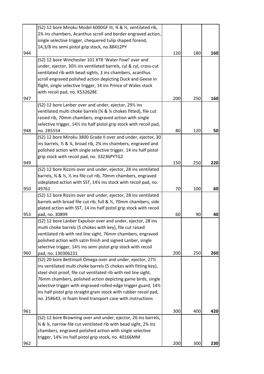|     | (S2) 12 bore Miroku Model 6000GF III, 3/4 & 1/2, ventilated rib,                                   |     |     |     |
|-----|----------------------------------------------------------------------------------------------------|-----|-----|-----|
|     | 2% ins chambers, Acanthus scroll and border engraved action,                                       |     |     |     |
|     | single selective trigger, chequered tulip shaped forend,                                           |     |     |     |
|     | 14,3/8 ins semi pistol grip stock, no.88412PY                                                      |     |     |     |
| 944 |                                                                                                    | 120 | 180 | 160 |
|     | (S2) 12 bore Winchester 101 XTR 'Water Fowl' over and                                              |     |     |     |
|     | under, ejector, 301/2 ins ventilated barrels, cyl & cyl, cross-cut                                 |     |     |     |
|     | ventilated rib with bead sights, 3 ins chambers, acanthus                                          |     |     |     |
|     | scroll engraved polished action depicting Duck and Geese in                                        |     |     |     |
|     | flight, single selective trigger, 14 ins Prince of Wales stock                                     |     |     |     |
|     | with recoil pad, no. K532628E                                                                      |     |     |     |
| 947 |                                                                                                    | 200 | 250 | 160 |
|     | (S2) 12 bore Lanber over and under, ejector, 29% ins                                               |     |     |     |
|     | ventilated multi choke barrels (3/4 & 1/4 chokes fitted), file cut                                 |     |     |     |
|     | raised rib, 70mm chambers, engraved action with single                                             |     |     |     |
|     | selective trigger, 14% ins half pistol grip stock with recoil pad,                                 |     |     |     |
| 948 | no. 285554                                                                                         | 80  | 120 | 50  |
|     | (S2) 12 bore Miroku 3800 Grade II over and under, ejector, 30                                      |     |     |     |
|     | ins barrels, $\frac{1}{2}$ & $\frac{1}{4}$ , broad rib, 2 $\frac{1}{4}$ ins chambers, engraved and |     |     |     |
|     | polished action with single selective trigger, 14 ins half pistol                                  |     |     |     |
|     | grip stock with recoil pad, no. 33236PYTG2                                                         |     |     |     |
| 949 |                                                                                                    | 150 | 250 | 220 |
|     | (S2) 12 bore Rizzini over and under, ejector, 28 ins ventilated                                    |     |     |     |
|     | barrels, % & 1/2, 1/2 ins file cut rib, 70mm chambers, engraved                                    |     |     |     |
|     | sideplated action with SST, 14% ins stock with recoil pad, no.                                     |     |     |     |
| 950 | 49761                                                                                              | 70  | 100 | 60  |
|     | (S2) 12 bore Rizzini over and under, ejector, 28 ins ventilated                                    |     |     |     |
|     | barrels with broad file cut rib, full & 1/2, 70mm chambers, side                                   |     |     |     |
|     | plated action with SST, 14 ins half pistol grip stock with recoil                                  |     |     |     |
| 953 | pad, no. 30899                                                                                     | 60  | 90  | 40  |
|     | (S2) 12 bore Lanber Expulsor over and under, ejector, 28 ins                                       |     |     |     |
|     | multi choke barrels (5 chokes with key), file cut raised                                           |     |     |     |
|     | ventilated rib with red line sight, 76mm chambers, engraved                                        |     |     |     |
|     | polished action with satin finish and signed Lanber, single                                        |     |     |     |
|     | selective trigger, 14% ins semi pistol grip stock with recoil                                      |     |     |     |
| 960 | pad, no. 130306231                                                                                 | 200 | 250 | 260 |
|     | (S2) 20 bore Bettinsoli Omega over and under, ejector, 271/2                                       |     |     |     |
|     | ins ventilated multi choke barrels (5 chokes with fitting key),                                    |     |     |     |
|     | steel shot proof, file cut ventilated rib with red line sight,                                     |     |     |     |
|     | 76mm chambers, polished action depicting game birds, single                                        |     |     |     |
|     | selective trigger with engraved rolled-edge trigger guard, 141/2                                   |     |     |     |
|     | ins half pistol grip straight grain stock with rubber recoil pad,                                  |     |     |     |
|     | no. 258643, in foam lined transport case with instructions                                         |     |     |     |
|     |                                                                                                    |     |     |     |
| 961 |                                                                                                    | 300 | 400 | 420 |
|     | (S2) 12 bore Browning over and under, ejector, 26 ins barrels,                                     |     |     |     |
|     | 3⁄4 & 1⁄4, narrow file cut ventilated rib with bead sight, 2 <sup>3</sup> /4 ins                   |     |     |     |
|     | chambers, engraved polished action with single selective                                           |     |     |     |
|     | trigger, 14% ins half pistol grip stock, no. 40166MM                                               |     |     |     |
| 962 |                                                                                                    | 200 | 300 | 230 |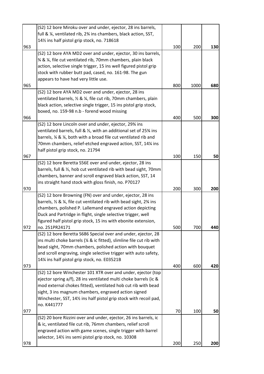|     | (S2) 12 bore Miroku over and under, ejector, 28 ins barrels,                             |     |      |     |
|-----|------------------------------------------------------------------------------------------|-----|------|-----|
|     | full & ¼, ventilated rib, 2¾ ins chambers, black action, SST,                            |     |      |     |
|     | 141/ <sub>2</sub> ins half pistol grip stock, no. 718618                                 |     |      |     |
| 963 |                                                                                          | 100 | 200  | 130 |
|     | (S2) 12 bore AYA MD2 over and under, ejector, 30 ins barrels,                            |     |      |     |
|     | 3⁄4 & 1⁄4, file cut ventilated rib, 70mm chambers, plain black                           |     |      |     |
|     | action, selective single trigger, 15 ins well figured pistol grip                        |     |      |     |
|     | stock with rubber butt pad, cased, no. 161-98. The gun                                   |     |      |     |
|     | appears to have had very little use.                                                     |     |      |     |
| 965 |                                                                                          | 800 | 1000 | 680 |
|     | (S2) 12 bore AYA MD2 over and under, ejector, 28 ins                                     |     |      |     |
|     | ventilated barrels, 1/2 & 1/4, file cut rib, 70mm chambers, plain                        |     |      |     |
|     | black action, selective single trigger, 15 ins pistol grip stock,                        |     |      |     |
|     | boxed, no. 159-98 n.b - forend wood missing                                              |     |      |     |
| 966 |                                                                                          | 400 | 500  | 300 |
|     | (S2) 12 bore Lincoln over and under, ejector, 29% ins                                    |     |      |     |
|     | ventilated barrels, full & 1/2, with an additional set of 25% ins                        |     |      |     |
|     | barrels, % & %, both with a broad file cut ventilated rib and                            |     |      |     |
|     | 70mm chambers, relief-etched engraved action, SST, 14% ins                               |     |      |     |
|     | half pistol grip stock, no. 21794                                                        |     |      |     |
| 967 |                                                                                          | 100 | 150  | 50  |
|     | (S2) 12 bore Beretta S56E over and under, ejector, 28 ins                                |     |      |     |
|     | barrels, full & 1/2, hob cut ventilated rib with bead sight, 70mm                        |     |      |     |
|     | chambers, banner and scroll engraved black action, SST, 14                               |     |      |     |
|     |                                                                                          |     |      |     |
|     | ins straight hand stock with gloss finish, no. P70127                                    |     |      |     |
| 970 |                                                                                          | 200 | 300  | 200 |
|     | (S2) 12 bore Browning (FN) over and under, ejector, 28 ins                               |     |      |     |
|     | barrels, $\frac{1}{2}$ & $\frac{1}{4}$ , file cut ventilated rib with bead sight, 2% ins |     |      |     |
|     | chambers, polished P. Lallemand engraved action depicting                                |     |      |     |
|     | Duck and Partridge in flight, single selective trigger, well                             |     |      |     |
|     | figured half pistol grip stock, 15 ins with ebonite extension,                           |     |      |     |
| 972 | no. 251PR24171                                                                           | 500 | 700  | 440 |
|     | (S2) 12 bore Beretta S686 Special over and under, ejector, 28                            |     |      |     |
|     | ins multi choke barrels (1/4 & ic fitted), slimline file cut rib with                    |     |      |     |
|     | bead sight, 70mm chambers, polished action with bouquet                                  |     |      |     |
|     | and scroll engraving, single selective trigger with auto safety,                         |     |      |     |
|     | 14% ins half pistol grip stock, no. E03521B                                              |     |      |     |
| 973 |                                                                                          | 400 | 600  | 420 |
|     | (S2) 12 bore Winchester 101 XTR over and under, ejector (top                             |     |      |     |
|     | ejector spring a/f), 28 ins ventilated multi choke barrels (ic &                         |     |      |     |
|     | mod external chokes fitted), ventilated hob cut rib with bead                            |     |      |     |
|     | sight, 3 ins magnum chambers, engraved action signed                                     |     |      |     |
|     | Winchester, SST, 141/2 ins half pistol grip stock with recoil pad,                       |     |      |     |
|     | no. K441777                                                                              |     |      |     |
| 977 |                                                                                          | 70  | 100  | 50  |
|     | (S2) 20 bore Rizzini over and under, ejector, 26 ins barrels, ic                         |     |      |     |
|     | & ic, ventilated file cut rib, 76mm chambers, relief scroll                              |     |      |     |
|     | engraved action with game scenes, single trigger with barrel                             |     |      |     |
|     | selector, 141/2 ins semi pistol grip stock, no. 10308                                    |     |      |     |
| 978 |                                                                                          | 200 | 250  | 200 |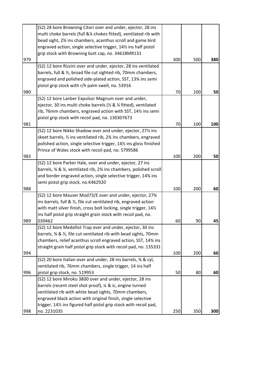|     | (S2) 28 bore Browning Citori over and under, ejector, 28 ins                                                          |     |     |     |
|-----|-----------------------------------------------------------------------------------------------------------------------|-----|-----|-----|
|     | multi choke barrels (full & % chokes fitted), ventilated rib with                                                     |     |     |     |
|     | bead sight, 2% ins chambers, acanthus scroll and game bird                                                            |     |     |     |
|     | engraved action, single selective trigger, 14% ins half pistol                                                        |     |     |     |
|     | grip stock with Browning butt cap, no. 34618MR131                                                                     |     |     |     |
| 979 |                                                                                                                       | 300 | 500 | 380 |
|     | (S2) 12 bore Rizzini over and under, ejector, 28 ins ventilated                                                       |     |     |     |
|     | barrels, full & 1/2, broad file cut sighted rib, 70mm chambers,                                                       |     |     |     |
|     | engraved and polished side-plated action, SST, 13% ins semi                                                           |     |     |     |
|     | pistol grip stock with r/h palm swell, no. 53916                                                                      |     |     |     |
| 980 |                                                                                                                       | 70  | 100 | 50  |
|     | (S2) 12 bore Lanber Expulsor Magnum over and under,                                                                   |     |     |     |
|     | ejector, 30 ins multi choke barrels (1/2 & 1/4 fitted), ventilated                                                    |     |     |     |
|     | rib, 76mm chambers, engraved action with SST, 141% ins semi                                                           |     |     |     |
|     | pistol grip stock with recoil pad, no. 130307673                                                                      |     |     |     |
| 981 |                                                                                                                       | 70  | 100 | 100 |
|     | (S2) 12 bore Nikko Shadow over and under, ejector, 271/2 ins                                                          |     |     |     |
|     | skeet barrels, 1/2 ins ventilated rib, 2 <sup>3</sup> /4 ins chambers, engraved                                       |     |     |     |
|     | polished action, single selective trigger, 141/2 ins gloss finished                                                   |     |     |     |
|     | Prince of Wales stock with recoil pad, no. S799586                                                                    |     |     |     |
| 983 |                                                                                                                       | 100 | 200 | 50  |
|     | (S2) 12 bore Parker Hale, over and under, ejector, 27 ins                                                             |     |     |     |
|     | barrels, % & %, ventilated rib, 2% ins chambers, polished scroll                                                      |     |     |     |
|     | and border engraved action, single selective trigger, 14% ins                                                         |     |     |     |
|     | semi pistol grip stock, no.K462920                                                                                    |     |     |     |
| 988 |                                                                                                                       | 100 | 200 | 60  |
|     | (S2) 12 bore Mauser Mod73/E over and under, ejector, 273⁄4                                                            |     |     |     |
|     | ins barrels, full & ½, file cut ventilated rib, engraved action                                                       |     |     |     |
|     | with matt silver finish, cross bolt locking, single trigger, 141/2                                                    |     |     |     |
|     | ins half pistol grip straight grain stock with recoil pad, no.                                                        |     |     |     |
| 989 | 039462                                                                                                                | 60  | 90  | 45  |
|     | (S2) 12 bore Medallist Trap over and under, ejector, 30 ins                                                           |     |     |     |
|     | barrels, % & 1/2, file cut ventilated rib with bead sights, 70mm                                                      |     |     |     |
|     | chambers, relief acanthus scroll engraved action, SST, 14% ins                                                        |     |     |     |
|     | straight grain half pistol grip stock with recoil pad, no. 135331                                                     |     |     |     |
| 994 |                                                                                                                       | 100 | 200 | 60  |
|     | (S2) 20 bore Italian over and under, 28 ins barrels, % & cyl,                                                         |     |     |     |
|     | ventilated rib, 76mm chambers, single trigger, 14 ins half                                                            | 50  | 80  |     |
| 996 | pistol grip stock, no. 519953<br>(S2) 12 bore Miroku 3800 over and under, ejector, 28 ins                             |     |     | 60  |
|     |                                                                                                                       |     |     |     |
|     | barrels (recent steel shot proof), ic & ic, engine turned                                                             |     |     |     |
|     | ventilated rib with white bead sights, 70mm chambers,<br>engraved black action with original finish, single selective |     |     |     |
|     | trigger, 141/2 ins figured half pistol grip stock with recoil pad,                                                    |     |     |     |
|     |                                                                                                                       |     |     |     |
| 998 | no. 2231035                                                                                                           | 250 | 350 | 300 |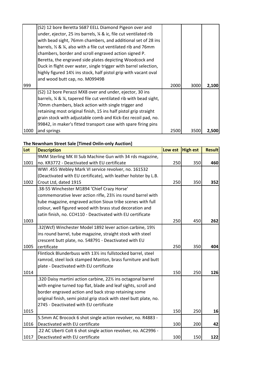|      | (S2) 12 bore Beretta S687 EELL Diamond Pigeon over and                        |      |      |       |
|------|-------------------------------------------------------------------------------|------|------|-------|
|      | under, ejector, 25 ins barrels, ¼ & ic, file cut ventilated rib               |      |      |       |
|      | with bead sight, 76mm chambers, and additional set of 28 ins                  |      |      |       |
|      | barrels, 1/2 & 1/4, also with a file cut ventilated rib and 76mm              |      |      |       |
|      | chambers, border and scroll engraved action signed P.                         |      |      |       |
|      | Beretta, the engraved side plates depicting Woodcock and                      |      |      |       |
|      | Duck in flight over water, single trigger with barrel selection,              |      |      |       |
|      | highly figured 141/ <sub>2</sub> ins stock, half pistol grip with vacant oval |      |      |       |
|      | and wood butt cap, no. M09949B                                                |      |      |       |
| 999  |                                                                               | 2000 | 3000 | 2,100 |
|      | (S2) 12 bore Perazzi MX8 over and under, ejector, 30 ins                      |      |      |       |
|      | barrels, % & %, tapered file cut ventilated rib with bead sight,              |      |      |       |
|      | 70mm chambers, black action with single trigger and                           |      |      |       |
|      | retaining most original finish, 15 ins half pistol grip straight              |      |      |       |
|      | grain stock with adjustable comb and Kick-Eez recoil pad, no.                 |      |      |       |
|      | 99842, in maker's fitted transport case with spare firing pins                |      |      |       |
| 1000 | and springs                                                                   | 2500 | 3500 | 2,500 |

## **The Newnham Street Sale [Timed Onlin-only Auction]**

| Lot  | <b>Description</b>                                                 | Low est | <b>High est</b> | <b>Result</b> |
|------|--------------------------------------------------------------------|---------|-----------------|---------------|
|      | 9MM Sterling MK III Sub Machine Gun with 34 rds magazine,          |         |                 |               |
| 1001 | no. KR3772 - Deactivated with EU certificate                       | 250     | 350             | 460           |
|      | WWI .455 Webley Mark VI service revolver, no. 161532               |         |                 |               |
|      | (Deactivated with EU certificate), with leather holster by L.B.    |         |                 |               |
| 1002 | Crout Ltd, dated 1915                                              | 250     | 350             | 352           |
|      | .38-55 Winchester M1894 'Chief Crazy Horse'                        |         |                 |               |
|      | commemorative lever action rifle, 23% ins round barrel with        |         |                 |               |
|      | tube magazine, engraved action Sioux tribe scenes with full        |         |                 |               |
|      | colour, well figured wood with brass stud decoration and           |         |                 |               |
|      | satin finish, no. CCH110 - Deactivated with EU certificate         |         |                 |               |
| 1003 |                                                                    | 250     | 450             | 262           |
|      | .32(Wcf) Winchester Model 1892 lever action carbine, 191/2         |         |                 |               |
|      | ins round barrel, tube magazine, straight stock with steel         |         |                 |               |
|      | crescent butt plate, no. 548791 - Deactivated with EU              |         |                 |               |
| 1005 | certificate                                                        | 250     | 350             | 404           |
|      | Flintlock Blunderbuss with 131/2 ins fullstocked barrel, steel     |         |                 |               |
|      | ramrod, steel lock stamped Manton, brass furniture and butt        |         |                 |               |
|      | plate - Deactivated with EU certificate                            |         |                 |               |
| 1014 |                                                                    | 150     | 250             | 126           |
|      | .320 Daisy martini action carbine, 22% ins octagonal barrel        |         |                 |               |
|      | with engine turned top flat, blade and leaf sights, scroll and     |         |                 |               |
|      | border engraved action and back strap retaining some               |         |                 |               |
|      | original finish, semi pistol grip stock with steel butt plate, no. |         |                 |               |
|      | 2745 - Deactivated with EU certificate                             |         |                 |               |
| 1015 |                                                                    | 150     | 250             | 16            |
|      | 5.5mm AC Brocock 6 shot single action revolver, no. R4883 -        |         |                 |               |
| 1016 | Deactivated with EU certificate                                    | 100     | 200             | 42            |
|      | .22 AC Uberti Colt 6 shot single action revolver, no. AC2996 -     |         |                 |               |
| 1017 | Deactivated with EU certificate                                    | 100     | 150             | 122           |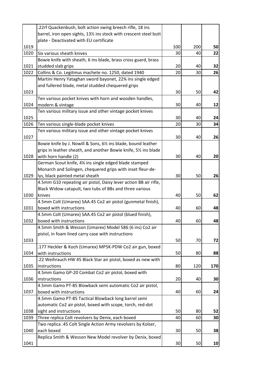|      | .22rf Quackenbush, bolt action swing breech rifle, 18 ins          |     |     |     |
|------|--------------------------------------------------------------------|-----|-----|-----|
|      | barrel, iron open sights, 131/2 ins stock with crescent steel butt |     |     |     |
|      | plate - Deactivated with EU certificate                            |     |     |     |
| 1019 |                                                                    | 100 | 200 | 50  |
| 1020 | Six various sheath knives                                          | 30  | 40  | 22  |
|      | Bowie knife with sheath, 6 ins blade, brass cross guard, brass     |     |     |     |
| 1021 | studded slab grips                                                 | 20  | 40  | 32  |
| 1022 | Collins & Co. Legitmus machete no. 1250, dated 1940                | 20  | 30  | 26  |
|      | Martini Henry Yataghan sword bayonet, 22% ins single edged         |     |     |     |
|      | and fullered blade, metal studded chequered grips                  |     |     |     |
| 1023 |                                                                    | 30  | 50  | 42  |
|      | Ten various pocket knives with horn and wooden handles,            |     |     |     |
| 1024 | modern & vintage                                                   | 30  | 40  | 12  |
|      | Ten various military issue and other vintage pocket knives         |     |     |     |
| 1025 |                                                                    | 30  | 40  | 24  |
| 1026 | Ten various single-blade pocket knives                             | 20  | 30  | 34  |
|      | Ten various military issue and other vintage pocket knives         |     |     |     |
| 1027 |                                                                    | 30  | 40  | 26  |
|      | Bowie knife by J. Nowill & Sons, 61/2 ins blade, bound leather     |     |     |     |
|      | grips in leather sheath, and another Bowie knife, 51/2 ins blade   |     |     |     |
| 1028 | with horn handle (2)                                               | 30  | 40  | 20  |
|      | German Scout knife, 4% ins single edged blade stamped              |     |     |     |
|      | Monarch and Solingen, chequered grips with inset fleur-de-         |     |     |     |
| 1029 | lys, black painted metal sheath                                    | 30  | 50  | 26  |
|      | 4.5mm G10 repeating air pistol, Daisy lever action BB air rifle,   |     |     |     |
|      | Black Widow catapult, two tubs of BBs and three various            |     |     |     |
| 1030 | knives                                                             | 40  | 50  | 62  |
|      | 4.5mm Colt (Umarex) SAA.45 Co2 air pistol (gunmetal finish),       |     |     |     |
| 1031 | boxed with instructions                                            | 40  | 60  | 48  |
|      | 4.5mm Colt (Umarex) SAA.45 Co2 air pistol (blued finish),          |     |     |     |
| 1032 | boxed with instructions                                            | 40  | 60  | 48  |
|      | 4.5mm Smith & Wesson (Umarex) Model 586 (6 ins) Co2 air            |     |     |     |
|      | pistol, in foam lined carry case with instructions                 |     |     |     |
| 1033 |                                                                    | 50  | 70  | 72  |
|      | .177 Heckler & Koch (Umarex) MP5K-PDW Co2 air gun, boxed           |     |     |     |
| 1034 | with instructions                                                  | 50  | 80  | 88  |
|      | .22 Weihrauch HW 45 Black Star air pistol, boxed as new with       |     |     |     |
| 1035 | instructions                                                       | 80  | 120 | 170 |
|      | 4.5mm Gamo GP-20 Combat Co2 air pistol, boxed with                 |     |     |     |
| 1036 | instructions                                                       | 20  | 40  | 30  |
|      | 4.5mm Gamo PT-85 Blowback semi automatic Co2 air pistol,           |     |     |     |
| 1037 | boxed with instructions                                            | 40  | 60  | 24  |
|      | 4.5mm Gamo PT-85 Tactical Blowback long barrel semi                |     |     |     |
|      | automatic Co2 air pistol, boxed with scope, torch, red-dot         |     |     |     |
| 1038 | sight and instructions                                             | 50  | 80  | 52  |
| 1039 | Three replica Colt revolvers by Denix, each boxed                  | 40  | 60  | 30  |
|      | Two replica .45 Colt Single Action Army revolvers by Kolser,       |     |     |     |
| 1040 | each boxed                                                         | 30  | 50  | 38  |
|      | Replica Smith & Wesson New Model revolver by Denix, boxed          |     |     |     |
| 1041 |                                                                    | 30  | 50  | 10  |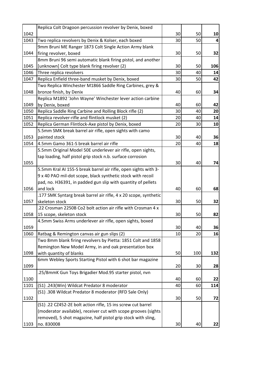|      | Replica Colt Dragoon percussion revolver by Denix, boxed         |    |     |     |
|------|------------------------------------------------------------------|----|-----|-----|
| 1042 |                                                                  | 30 | 50  | 10  |
| 1043 | Two replica revolvers by Denix & Kolser, each boxed              | 30 | 50  | 4   |
|      | 9mm Bruni ME Ranger 1873 Colt Single Action Army blank           |    |     |     |
| 1044 | firing revolver, boxed                                           | 30 | 50  | 32  |
|      | 8mm Bruni 96 semi automatic blank firing pistol, and another     |    |     |     |
| 1045 | [unknown] Colt type blank firing revolver (2)                    | 30 | 50  | 106 |
| 1046 | Three replica revolvers                                          | 30 | 40  | 14  |
| 1047 | Replica Enfield three-band musket by Denix, boxed                | 30 | 50  | 42  |
|      | Two Replica Winchester M1866 Saddle Ring Carbines, grey &        |    |     |     |
| 1048 | bronze finish, by Denix                                          | 40 | 60  | 34  |
|      | Replica M1892 'John Wayne' Winchester lever action carbine       |    |     |     |
| 1049 | by Denix, boxed                                                  | 40 | 60  | 42  |
| 1050 | Replica Saddle Ring Carbine and Rolling Block rifle (2)          | 30 | 40  | 20  |
| 1051 | Replica revolver-rifle and flintlock musket (2)                  | 20 | 40  | 14  |
| 1052 | Replica German Flintlock-Axe pistol by Denix, boxed              | 20 | 30  | 10  |
|      | 5.5mm SMK break barrel air rifle, open sights with camo          |    |     |     |
| 1053 | painted stock                                                    | 30 | 40  | 36  |
| 1054 | 4.5mm Gamo 361-S break barrel air rifle                          | 20 | 40  | 18  |
|      | 5.5mm Original Model 50E underlever air rifle, open sights,      |    |     |     |
|      | tap loading, half pistol grip stock n.b. surface corrosion       |    |     |     |
| 1055 |                                                                  | 30 | 40  | 74  |
|      | 5.5mm Kral AI 155-S break barrel air rifle, open sights with 3-  |    |     |     |
|      | 9 x 40 PAO mil-dot scope, black synthetic stock with recoil      |    |     |     |
|      | pad, no. H36391, in padded gun slip with quantity of pellets     |    |     |     |
| 1056 | and lock                                                         | 40 | 60  | 68  |
|      | .177 SMK Syntarg break barrel air rifle, 4 x 20 scope, synthetic |    |     |     |
| 1057 | skeleton stock                                                   | 30 | 50  | 32  |
|      | .22 Crosman 2250B Co2 bolt action air rifle with Crosman 4 x     |    |     |     |
| 1058 | 15 scope, skeleton stock                                         | 30 | 50  | 82  |
|      | 4.5mm Swiss Arms underlever air rifle, open sights, boxed        |    |     |     |
| 1059 |                                                                  | 30 | 40  | 36  |
| 1060 | Ratbag & Remington canvas air gun slips (2)                      | 10 | 20  | 16  |
|      | Two 8mm blank firing revolvers by Pietta: 1851 Colt and 1858     |    |     |     |
|      | Remington New Model Army, in and oak presentation box            |    |     |     |
| 1098 | with quantity of blanks                                          | 50 | 100 | 132 |
|      | 6mm Webley Sports Starting Pistol with 6 shot bar magazine       |    |     |     |
| 1099 |                                                                  | 20 | 30  | 28  |
|      | .25/8mmK Gun Toys Brigadier Mod.95 starter pistol, nvn           |    |     |     |
| 1100 |                                                                  | 40 | 60  | 22  |
| 1101 | (S1) .243(Win) Wildcat Predator 8 moderator                      | 40 | 60  | 114 |
|      | (S1) .308 Wildcat Predator 8 moderator (RFD Sale Only)           |    |     |     |
| 1102 |                                                                  | 30 | 50  | 72  |
|      | (S1) .22 CZ452-2E bolt action rifle, 15 ins screw cut barrel     |    |     |     |
|      | (moderator available), receiver cut with scope grooves (sights   |    |     |     |
|      | removed), 5 shot magazine, half pistol grip stock with sling,    |    |     |     |
| 1103 | no. 830008                                                       | 30 | 40  | 22  |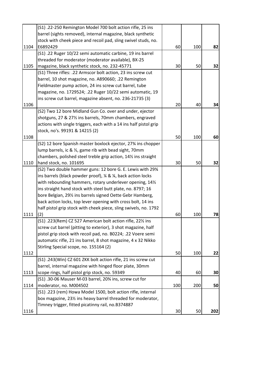|      | (S1) .22-250 Remington Model 700 bolt action rifle, 25 ins        |     |     |     |
|------|-------------------------------------------------------------------|-----|-----|-----|
|      | barrel (sights removed), internal magazine, black synthetic       |     |     |     |
|      | stock with cheek piece and recoil pad, sling swivel studs, no.    |     |     |     |
| 1104 | E6892429                                                          | 60  | 100 | 82  |
|      | (S1) .22 Ruger 10/22 semi automatic carbine, 19 ins barrel        |     |     |     |
|      | threaded for moderator (moderator available), BX-25               |     |     |     |
| 1105 | magazine, black synthetic stock, no. 232-45771                    | 30  | 50  | 32  |
|      | (S1) Three rifles: .22 Armscor bolt action, 23 ins screw cut      |     |     |     |
|      | barrel, 10 shot magazine, no. A890660; .22 Remington              |     |     |     |
|      | Fieldmaster pump action, 24 ins screw cut barrel, tube            |     |     |     |
|      | magazine, no. 1729524; .22 Ruger 10/22 semi automatic, 19         |     |     |     |
|      | ins screw cut barrel, magazine absent, no. 236-21735 (3)          |     |     |     |
| 1106 |                                                                   | 20  | 40  | 34  |
|      | (S2) Two 12 bore Midland Gun Co. over and under, ejector          |     |     |     |
|      | shotguns, 27 & 27% ins barrels, 70mm chambers, engraved           |     |     |     |
|      | actions with single triggers, each with a 14 ins half pistol grip |     |     |     |
|      | stock, no's. 99191 & 14215 (2)                                    |     |     |     |
| 1108 |                                                                   | 50  | 100 | 60  |
|      | (S2) 12 bore Spanish master boxlock ejector, 27% ins chopper      |     |     |     |
|      | lump barrels, ic & 1/2, game rib with bead sight, 70mm            |     |     |     |
|      | chambers, polished steel treble grip action, 141/2 ins straight   |     |     |     |
| 1110 | hand stock, no. 101695                                            | 30  | 50  | 32  |
|      | (S2) Two double hammer guns: 12 bore G. E. Lewis with 29%         |     |     |     |
|      | ins barrels (black powder proof), 1/4 & 1/4, back action locks    |     |     |     |
|      | with rebounding hammers, rotary underlever opening, 141/2         |     |     |     |
|      | ins straight hand stock with steel butt plate, no. 8797; 16       |     |     |     |
|      | bore Belgian, 291/2 ins barrels signed Oette Gebr Hamberg,        |     |     |     |
|      | back action locks, top lever opening with cross bolt, 14 ins      |     |     |     |
|      | half pistol grip stock with cheek piece, sling swivels, no. 1792  |     |     |     |
| 1111 | (2)                                                               | 60  | 100 | 78  |
|      | (S1) .223(Rem) CZ 527 American bolt action rifle, 221/2 ins       |     |     |     |
|      | screw cut barrel (pitting to exterior), 3 shot magazine, half     |     |     |     |
|      | pistol grip stock with recoil pad, no. B0224; .22 Voere semi      |     |     |     |
|      | automatic rifle, 21 ins barrel, 8 shot magazine, 4 x 32 Nikko     |     |     |     |
|      | Stirling Special scope, no. 155164 (2)                            |     |     |     |
| 1112 |                                                                   | 50  | 100 | 22  |
|      | (S1) .243(Win) CZ 601 ZKK bolt action rifle, 21 ins screw cut     |     |     |     |
|      | barrel, internal magazine with hinged floor plate, 30mm           |     |     |     |
| 1113 | scope rings, half pistol grip stock, no. 59349                    | 40  | 60  | 30  |
|      | (S1) .30-06 Mauser M-03 barrel, 20% ins, screw cut for            |     |     |     |
| 1114 | moderator, no. M004502                                            | 100 | 200 | 50  |
|      | (S1) .223 (rem) Howa Model 1500, bolt action rifle, internal      |     |     |     |
|      | box magazine, 231/2 ins heavy barrel threaded for moderator,      |     |     |     |
|      | Timney trigger, fitted picatinny rail, no.B374887                 |     |     |     |
| 1116 |                                                                   | 30  | 50  | 202 |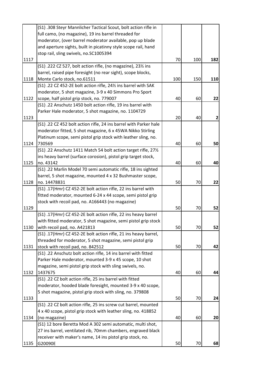|      | (S1) .308 Steyr Mannlicher Tactical Scout, bolt action rifle in   |     |     |     |
|------|-------------------------------------------------------------------|-----|-----|-----|
|      | full camo, (no magazine), 19 ins barrel threaded for              |     |     |     |
|      | moderator, (over barrel moderator available, pop up blade         |     |     |     |
|      | and aperture sights, built in picatinny style scope rail, hand    |     |     |     |
|      | stop rail, sling swivels, no.SC1005394                            |     |     |     |
| 1117 |                                                                   | 70  | 100 | 182 |
|      | (S1) .222 CZ 527, bolt action rifle, (no magazine), 231/2 ins     |     |     |     |
|      | barrel, raised pipe foresight (no rear sight), scope blocks,      |     |     |     |
| 1118 | Monte Carlo stock, no.61511                                       | 100 | 150 | 110 |
|      | (S1) .22 CZ 452-2E bolt action rifle, 24% ins barrel with SAK     |     |     |     |
|      | moderator, 5 shot magazine, 3-9 x 40 Simmons Pro Sport            |     |     |     |
| 1122 | scope, half pistol grip stock, no. 779007                         | 40  | 60  | 22  |
|      | (S1) .22 Anschutz 1450 bolt action rifle, 19 ins barrel with      |     |     |     |
|      | Parker Hale moderator, 5 shot magazine, no. 1104729               |     |     |     |
| 1123 |                                                                   | 20  | 40  | 2   |
|      | (S1) .22 CZ 452 bolt action rifle, 24 ins barrel with Parker hale |     |     |     |
|      | moderator fitted, 5 shot magazine, 6 x 45WA Nikko Stirling        |     |     |     |
|      | Platinum scope, semi pistol grip stock with leather sling, no.    |     |     |     |
| 1124 | 730569                                                            | 40  | 60  | 50  |
|      | (S1) .22 Anschutz 1411 Match 54 bolt action target rifle, 271/2   |     |     |     |
|      | ins heavy barrel (surface corosion), pistol grip target stock,    |     |     |     |
| 1125 | no. 43142                                                         | 40  | 60  | 40  |
|      | (S1) .22 Marlin Model 70 semi automatic rifle, 18 ins sighted     |     |     |     |
|      | barrel, 5 shot magazine, mounted 4 x 32 Bushmaster scope,         |     |     |     |
| 1128 | no. 14478831                                                      | 50  | 70  | 22  |
|      | (S1) .17(Hmr) CZ 452-2E bolt action rifle, 22 ins barrel with     |     |     |     |
|      | fitted moderator, mounted 6-24 x 44 scope, semi pistol grip       |     |     |     |
|      | stock with recoil pad, no. A166443 (no magazine)                  |     |     |     |
| 1129 |                                                                   | 50  | 70  | 52  |
|      | (S1) .17(Hmr) CZ 452-2E bolt action rifle, 22 ins heavy barrel    |     |     |     |
|      | with fitted moderator, 5 shot magazine, semi pistol grip stock    |     |     |     |
| 1130 | with recoil pad, no. A421813                                      | 50  | 70  | 52  |
|      | (S1) .17(Hmr) CZ 452-2E bolt action rifle, 21 ins heavy barrel,   |     |     |     |
|      | threaded for moderator, 5 shot magazine, semi pistol grip         |     |     |     |
| 1131 | stock with recoil pad, no. 842512                                 | 50  | 70  | 42  |
|      | (S1) .22 Anschutz bolt action rifle, 14 ins barrel with fitted    |     |     |     |
|      | Parker Hale moderator, mounted 3-9 x 45 scope, 10 shot            |     |     |     |
|      | magazine, semi pistol grip stock with sling swivels, no.          |     |     |     |
| 1132 | 1437675                                                           | 40  | 60  | 44  |
|      | (S1) .22 CZ bolt action rifle, 25 ins barrel with fitted          |     |     |     |
|      | moderator, hooded blade foresight, mounted 3-9 x 40 scope,        |     |     |     |
|      | 5 shot magazine, pistol grip stock with sling, no. 379808         |     |     |     |
| 1133 |                                                                   | 50  | 70  | 24  |
|      | (S1) .22 CZ bolt action rifle, 25 ins screw cut barrel, mounted   |     |     |     |
|      | 4 x 40 scope, pistol grip stock with leather sling, no. 418852    |     |     |     |
| 1134 | (no magazine)                                                     | 40  | 60  | 20  |
|      | (S1) 12 bore Beretta Mod A 302 semi automatic, multi shot,        |     |     |     |
|      | 27 ins barrel, ventilated rib, 70mm chambers, engraved black      |     |     |     |
|      | receiver with maker's name, 14 ins pistol grip stock, no.         |     |     |     |
| 1135 | G20090E                                                           | 50  | 70  | 68  |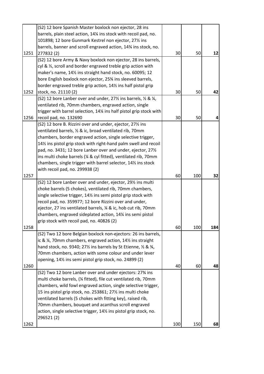|      | (S2) 12 bore Spanish Master boxlock non ejector, 28 ins                                                                    |     |     |                |
|------|----------------------------------------------------------------------------------------------------------------------------|-----|-----|----------------|
|      | barrels, plain steel action, 14% ins stock with recoil pad, no.                                                            |     |     |                |
|      | 101898; 12 bore Gunmark Kestrel non ejector, 271/2 ins                                                                     |     |     |                |
|      | barrels, banner and scroll engraved action, 14% ins stock, no.                                                             |     |     |                |
| 1251 | 277832 (2)                                                                                                                 | 30  | 50  | 12             |
|      | (S2) 12 bore Army & Navy boxlock non ejector, 28 ins barrels,                                                              |     |     |                |
|      | cyl & 1/2, scroll and border engraved treble grip action with                                                              |     |     |                |
|      | maker's name, 141/2 ins straight hand stock, no. 60095; 12                                                                 |     |     |                |
|      | bore English boxlock non ejector, 25% ins sleeved barrels,                                                                 |     |     |                |
|      | border engraved treble grip action, 14% ins half pistol grip                                                               |     |     |                |
| 1252 | stock, no. 21110 (2)                                                                                                       | 30  | 50  | 42             |
|      | (S2) 12 bore Lanber over and under, $27\frac{1}{2}$ ins barrels, $\frac{1}{2}$ & $\frac{1}{4}$ ,                           |     |     |                |
|      | ventilated rib, 70mm chambers, engraved action, single                                                                     |     |     |                |
|      | trigger with barrel selection, 14¼ ins half pistol grip stock with                                                         |     |     |                |
| 1256 | recoil pad, no. 132690                                                                                                     | 30  | 50  | $\overline{4}$ |
|      | (S2) 12 bore B. Rizzini over and under, ejector, 27 <sup>1</sup> / <sub>2</sub> ins                                        |     |     |                |
|      | ventilated barrels, 1/2 & ic, broad ventilated rib, 70mm                                                                   |     |     |                |
|      | chambers, border engraved action, single selective trigger,                                                                |     |     |                |
|      | 14% ins pistol grip stock with right-hand palm swell and recoil                                                            |     |     |                |
|      | pad, no. 3431; 12 bore Lanber over and under, ejector, 271/2                                                               |     |     |                |
|      | ins multi choke barrels (1/4 & cyl fitted), ventilated rib, 70mm                                                           |     |     |                |
|      | chambers, single trigger with barrel selector, 141% ins stock                                                              |     |     |                |
|      |                                                                                                                            |     |     |                |
| 1257 | with recoil pad, no. 299938 (2)                                                                                            | 60  | 100 | 32             |
|      | (S2) 12 bore Lanber over and under, ejector, 291/2 ins multi                                                               |     |     |                |
|      |                                                                                                                            |     |     |                |
|      | choke barrels (5 chokes), ventilated rib, 70mm chambers,                                                                   |     |     |                |
|      | single selective trigger, 14% ins semi pistol grip stock with                                                              |     |     |                |
|      | recoil pad, no. 359977; 12 bore Rizzini over and under,<br>ejector, 27 ins ventilated barrels, 1/4 & ic, hob cut rib, 70mm |     |     |                |
|      | chambers, engraved sideplated action, 14% ins semi pistol                                                                  |     |     |                |
|      |                                                                                                                            |     |     |                |
| 1258 | grip stock with recoil pad, no. 40826 (2)                                                                                  | 60  | 100 | 184            |
|      |                                                                                                                            |     |     |                |
|      | (S2) Two 12 bore Belgian boxlock non-ejectors: 26 ins barrels,                                                             |     |     |                |
|      | ic & ¼, 70mm chambers, engraved action, 14½ ins straight                                                                   |     |     |                |
|      | hand stock, no. 9340; 271/2 ins barrels by St Etienne, 1/2 & 3/4,                                                          |     |     |                |
|      | 70mm chambers, action with some colour and under lever                                                                     |     |     |                |
|      | opening, 141/ <sub>2</sub> ins semi pistol grip stock, no. 24899 (2)                                                       |     |     |                |
| 1260 |                                                                                                                            | 40  | 60  | 48             |
|      | (S2) Two 12 bore Lanber over and under ejectors: 27% ins                                                                   |     |     |                |
|      | multi choke barrels, (1/4 fitted), file cut ventilated rib, 70mm                                                           |     |     |                |
|      | chambers, wild fowl engraved action, single selective trigger,                                                             |     |     |                |
|      | 15 ins pistol grip stock, no. 253861; 27% ins multi choke                                                                  |     |     |                |
|      | ventilated barrels (5 chokes with fitting key), raised rib,                                                                |     |     |                |
|      | 70mm chambers, bouquet and acanthus scroll engraved                                                                        |     |     |                |
|      | action, single selective trigger, 141% ins pistol grip stock, no.                                                          |     |     |                |
|      | 296521(2)                                                                                                                  |     |     |                |
| 1262 |                                                                                                                            | 100 | 150 | 68             |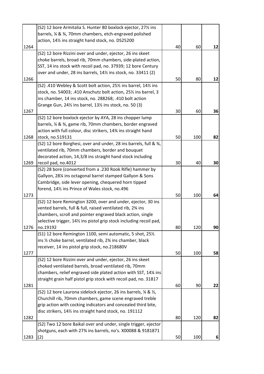|      | (S2) 12 bore Armitalia S. Hunter 80 boxlock ejector, 27 <sup>1</sup> / <sub>2</sub> ins                             |    |     |    |
|------|---------------------------------------------------------------------------------------------------------------------|----|-----|----|
|      | barrels, % & %, 70mm chambers, etch-engraved polished                                                               |    |     |    |
|      | action, 141/ <sub>2</sub> ins straight hand stock, no. DS25200                                                      |    |     |    |
| 1264 |                                                                                                                     | 40 | 60  | 12 |
|      | (S2) 12 bore Rizzini over and under, ejector, 26 ins skeet                                                          |    |     |    |
|      | choke barrels, broad rib, 70mm chambers, side-plated action,                                                        |    |     |    |
|      | SST, 14 ins stock with recoil pad, no. 37939; 12 bore Century                                                       |    |     |    |
|      | over and under, 28 ins barrels, 141/2 ins stock, no. 33411 (2)                                                      |    |     |    |
| 1266 |                                                                                                                     | 50 | 80  | 12 |
|      | (S2) .410 Webley & Scott bolt action, 251/2 ins barrel, 141/2 ins                                                   |    |     |    |
|      | stock, no. 54003; .410 Anschutz bolt action, 251/2 ins barrel, 3                                                    |    |     |    |
|      | ins chamber, 14 ins stock, no. 288268; .410 bolt action                                                             |    |     |    |
|      | Grange Gun, 24 <sup>1</sup> / <sub>2</sub> ins barrel, 13 <sup>1</sup> / <sub>2</sub> ins stock, no. 50 (3)         |    |     |    |
| 1267 |                                                                                                                     | 30 | 60  | 36 |
|      | (S2) 12 bore boxlock ejector by AYA, 28 ins chopper lump                                                            |    |     |    |
|      | barrels, % & %, game rib, 70mm chambers, border engraved                                                            |    |     |    |
|      | action with full colour, disc strikers, 14% ins straight hand                                                       |    |     |    |
| 1268 | stock, no.519131                                                                                                    | 50 | 100 | 82 |
|      | (S2) 12 bore Borghesi, over and under, 28 ins barrels, full & 3/4,                                                  |    |     |    |
|      | ventilated rib, 70mm chambers, border and bouquet                                                                   |    |     |    |
|      | decorated action, 14,3/8 ins straight hand stock including                                                          |    |     |    |
| 1269 | recoil pad, no.4012                                                                                                 | 30 | 40  | 30 |
|      | (S2) 28 bore (converted from a .230 Rook Rifle) hammer by                                                           |    |     |    |
|      | Gallyon, 281/4 ins octagonal barrel stamped Gallyon & Sons                                                          |    |     |    |
|      | Cambridge, side lever opening, chequered horn tipped                                                                |    |     |    |
|      | forend, 141/2 ins Prince of Wales stock, no.496                                                                     |    |     |    |
| 1273 |                                                                                                                     | 50 | 100 | 64 |
|      | (S2) 12 bore Remington 3200, over and under, ejector, 30 ins                                                        |    |     |    |
|      | vented barrels, full & full, raised ventilated rib, 23⁄4 ins                                                        |    |     |    |
|      | chambers, scroll and pointer engraved black action, single                                                          |    |     |    |
|      | selective trigger, 141/2 ins pistol grip stock including recoil pad,                                                |    |     |    |
| 1276 | no.19192                                                                                                            | 80 | 120 | 90 |
|      | (S1) 12 bore Remington 1100, semi automatic, 5 shot, 251/2                                                          |    |     |    |
|      | ins 1/2 choke barrel, ventilated rib, 23/4 ins chamber, black                                                       |    |     |    |
|      | receiver, 14 ins pistol grip stock, no.218680V                                                                      | 50 |     |    |
| 1277 |                                                                                                                     |    | 100 | 58 |
|      | (S2) 12 bore Rizzini over and under, ejector, 26 ins skeet<br>choked ventilated barrels, broad ventilated rib, 70mm |    |     |    |
|      | chambers, relief engraved side plated action with SST, 14% ins                                                      |    |     |    |
|      |                                                                                                                     |    |     |    |
| 1281 | straight grain half pistol grip stock with recoil pad, no. 31817                                                    | 60 | 90  | 22 |
|      | (S2) 12 bore Laurona sidelock ejector, 26 ins barrels, % & %,                                                       |    |     |    |
|      | Churchill rib, 70mm chambers, game scene engraved treble                                                            |    |     |    |
|      | grip action with cocking indicators and concealed third bite,                                                       |    |     |    |
|      | disc strikers, 141/ <sub>2</sub> ins straight hand stock, no. 191112                                                |    |     |    |
| 1282 |                                                                                                                     | 80 | 120 | 82 |
|      | (S2) Two 12 bore Baikal over and under, single trigger, ejector                                                     |    |     |    |
|      | shotguns, each with 27% ins barrels, no's. X00088 & 9181871                                                         |    |     |    |
| 1283 | (2)                                                                                                                 | 50 | 100 | 6  |
|      |                                                                                                                     |    |     |    |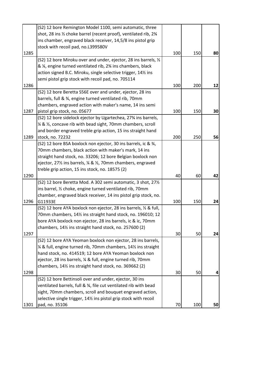|      | (S2) 12 bore Remington Model 1100, semi automatic, three                                                         |     |     |    |
|------|------------------------------------------------------------------------------------------------------------------|-----|-----|----|
|      | shot, 28 ins 1/2 choke barrel (recent proof), ventilated rib, 23/4                                               |     |     |    |
|      | ins chamber, engraved black receiver, 14,5/8 ins pistol grip                                                     |     |     |    |
|      | stock with recoil pad, no.L399580V                                                                               |     |     |    |
| 1285 |                                                                                                                  | 100 | 150 | 80 |
|      | (S2) 12 bore Miroku over and under, ejector, 28 ins barrels, 1/2                                                 |     |     |    |
|      | & ¼, engine turned ventilated rib, 2¾ ins chambers, black                                                        |     |     |    |
|      | action signed B.C. Miroku, single selective trigger, 141/2 ins                                                   |     |     |    |
|      | semi pistol grip stock with recoil pad, no. 705114                                                               |     |     |    |
| 1286 |                                                                                                                  | 100 | 200 | 12 |
|      | (S2) 12 bore Beretta S56E over and under, ejector, 28 ins                                                        |     |     |    |
|      | barrels, full & 3⁄4, engine turned ventilated rib, 70mm                                                          |     |     |    |
|      | chambers, engraved action with maker's name, 14 ins semi                                                         |     |     |    |
| 1287 | pistol grip stock, no. 05677                                                                                     | 100 | 150 | 30 |
|      | (S2) 12 bore sidelock ejector by Ugartechea, 27% ins barrels,                                                    |     |     |    |
|      | 1/4 & 1/2, concave rib with bead sight, 70mm chambers, scroll                                                    |     |     |    |
|      | and border engraved treble grip action, 15 ins straight hand                                                     |     |     |    |
| 1289 | stock, no. 72232                                                                                                 | 200 | 250 | 56 |
|      | (S2) 12 bore BSA boxlock non ejector, 30 ins barrels, ic & 3/4,                                                  |     |     |    |
|      | 70mm chambers, black action with maker's mark, 14 ins                                                            |     |     |    |
|      | straight hand stock, no. 33206; 12 bore Belgian boxlock non                                                      |     |     |    |
|      | ejector, 27 <sup>1</sup> / <sub>2</sub> ins barrels, 1/ <sub>4</sub> & 1/ <sub>2</sub> , 70mm chambers, engraved |     |     |    |
|      |                                                                                                                  |     |     |    |
|      | treble grip action, 15 ins stock, no. 18575 (2)                                                                  |     |     |    |
| 1290 |                                                                                                                  | 40  | 60  | 42 |
|      | (S2) 12 bore Beretta Mod. A 302 semi automatic, 3 shot, 271/2                                                    |     |     |    |
|      | ins barrel, 1/2 choke, engine turned ventilated rib, 70mm                                                        |     |     |    |
|      | chamber, engraved black receiver, 14 ins pistol grip stock, no.                                                  |     |     |    |
| 1296 | G11933E                                                                                                          | 100 | 150 | 24 |
|      | (S2) 12 bore AYA boxlock non ejector, 28 ins barrels, 1/2 & full,                                                |     |     |    |
|      | 70mm chambers, 141/2 ins straight hand stock, no. 196010; 12                                                     |     |     |    |
|      | bore AYA boxlock non ejector, 28 ins barrels, ic & ic, 70mm                                                      |     |     |    |
|      | chambers, 141/ <sub>2</sub> ins straight hand stock, no. 257600 (2)                                              |     |     |    |
| 1297 |                                                                                                                  | 30  | 50  | 24 |
|      | (S2) 12 bore AYA Yeoman boxlock non ejector, 28 ins barrels,                                                     |     |     |    |
|      | 1⁄4 & full, engine turned rib, 70mm chambers, 141⁄2 ins straight                                                 |     |     |    |
|      | hand stock, no. 414519; 12 bore AYA Yeoman boxlock non                                                           |     |     |    |
|      | ejector, 28 ins barrels, 1/4 & full, engine turned rib, 70mm                                                     |     |     |    |
|      | chambers, 141/ <sub>2</sub> ins straight hand stock, no. 369662 (2)                                              |     |     |    |
| 1298 |                                                                                                                  | 30  | 50  | 4  |
|      | (S2) 12 bore Bettinsoli over and under, ejector, 30 ins                                                          |     |     |    |
|      | ventilated barrels, full & 3/4, file cut ventilated rib with bead                                                |     |     |    |
|      | sight, 70mm chambers, scroll and bouquet engraved action,                                                        |     |     |    |
|      | selective single trigger, 14% ins pistol grip stock with recoil                                                  |     |     |    |
| 1301 | pad, no. 35106                                                                                                   | 70  | 100 | 50 |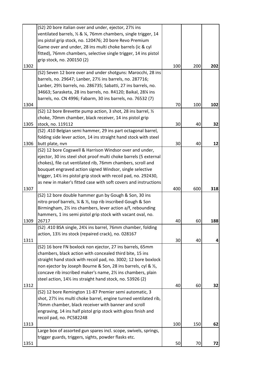|      | (S2) 20 bore italian over and under, ejector, 27 <sup>1</sup> ins             |     |     |     |
|------|-------------------------------------------------------------------------------|-----|-----|-----|
|      | ventilated barrels, 1/2 & 1/4, 76mm chambers, single trigger, 14              |     |     |     |
|      | ins pistol grip stock, no. 120476; 20 bore Revo Premium                       |     |     |     |
|      | Game over and under, 28 ins multi choke barrels (ic & cyl                     |     |     |     |
|      | fitted), 76mm chambers, selective single trigger, 14 ins pistol               |     |     |     |
|      | grip stock, no. 200150 (2)                                                    |     |     |     |
| 1302 |                                                                               | 100 | 200 | 202 |
|      | (S2) Seven 12 bore over and under shotguns: Marocchi, 28 ins                  |     |     |     |
|      | barrels, no. 29647; Lanber, 271/2 ins barrels, no. 287716;                    |     |     |     |
|      | Lanber, 291/2 barrels, no. 286735; Sabatti, 27 ins barrels, no.               |     |     |     |
|      | 34663; Sarasketa, 28 ins barrels, no. R4120; Baikal, 281/4 ins                |     |     |     |
|      | barrels, no. CN 4996; Fabarm, 30 ins barrels, no. 76532 (7)                   |     |     |     |
| 1304 |                                                                               | 70  | 100 | 102 |
|      | (S2) 12 bore Brevette pump action, 3 shot, 28 ins barrel, 1/2                 |     |     |     |
|      | choke, 70mm chamber, black receiver, 14 ins pistol grip                       |     |     |     |
| 1305 | stock, no. 119112                                                             | 30  | 40  | 32  |
|      | (S2) .410 Belgian semi hammer, 29 ins part octagonal barrel,                  |     |     |     |
|      | folding side lever action, 14 ins straight hand stock with steel              |     |     |     |
| 1306 | butt plate, nvn                                                               | 30  | 40  | 12  |
|      | (S2) 12 bore Cogswell & Harrison Windsor over and under,                      |     |     |     |
|      | ejector, 30 ins steel shot proof multi choke barrels (5 external              |     |     |     |
|      | chokes), file cut ventilated rib, 76mm chambers, scroll and                   |     |     |     |
|      | bouquet engraved action signed Windsor, single selective                      |     |     |     |
|      | trigger, 141/ <sub>2</sub> ins pistol grip stock with recoil pad, no. 292430, |     |     |     |
|      | as new in maker's fitted case with soft covers and instructions               |     |     |     |
| 1307 |                                                                               | 400 | 600 | 318 |
|      | (S2) 12 bore double hammer gun by Gough & Son, 30 ins                         |     |     |     |
|      | nitro proof barrels, ¼ & ½, top rib inscribed Gough & Son                     |     |     |     |
|      | Birmingham, 21/ <sub>2</sub> ins chambers, lever action a/f, rebounding       |     |     |     |
|      | hammers, 1 ins semi pistol grip stock with vacant oval, no.                   |     |     |     |
| 1309 | 26717                                                                         | 40  | 60  | 188 |
|      | (S2) .410 BSA single, 24% ins barrel, 76mm chamber, folding                   |     |     |     |
|      | action, 131/2 ins stock (repaired crack), no. 028167                          |     |     |     |
| 1311 |                                                                               | 30  | 40  | 4   |
|      | (S2) 16 bore FN boxlock non ejector, 27 ins barrels, 65mm                     |     |     |     |
|      | chambers, black action with concealed third bite, 15 ins                      |     |     |     |
|      | straight hand stock with recoil pad, no. 3002; 12 bore boxlock                |     |     |     |
|      | non ejector by Joseph Bourne & Son, 28 ins barrels, cyl & 1/2,                |     |     |     |
|      | concave rib inscribed maker's name, 2% ins chambers, plain                    |     |     |     |
|      | steel action, 14% ins straight hand stock, no. 53926 (2)                      |     |     |     |
| 1312 |                                                                               | 40  | 60  | 32  |
|      | (S2) 12 bore Remington 11-87 Premier semi automatic, 3                        |     |     |     |
|      | shot, 27% ins multi choke barrel, engine turned ventilated rib,               |     |     |     |
|      | 76mm chamber, black receiver with banner and scroll                           |     |     |     |
|      | engraving, 14 ins half pistol grip stock with gloss finish and                |     |     |     |
|      | recoil pad, no. PC582248                                                      |     |     |     |
| 1313 |                                                                               | 100 | 150 | 62  |
|      | Large box of assorted gun spares incl. scope, swivels, springs,               |     |     |     |
|      | trigger guards, triggers, sights, powder flasks etc.                          |     |     |     |
| 1351 |                                                                               | 50  | 70  | 72  |
|      |                                                                               |     |     |     |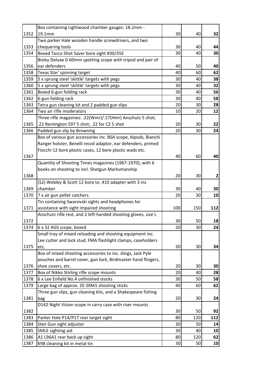|      | Box containing Lightwood chamber gauges: 18.2mm -              |     |     |     |
|------|----------------------------------------------------------------|-----|-----|-----|
| 1352 | 19.1mm                                                         | 30  | 40  | 32  |
|      | Two parker Hale wooden handle screwdrivers, and two            |     |     |     |
| 1353 | chequering tools                                               | 30  | 40  | 44  |
| 1354 | Boxed Tasco Shot Saver bore sight #30/35E                      | 30  | 40  | 30  |
|      | Bisley Deluxe 0-60mm spotting scope with tripod and pair of    |     |     |     |
| 1356 | ear defenders                                                  | 40  | 50  | 40  |
| 1358 | Texas Star' spinning target                                    | 40  | 60  | 62  |
| 1359 | 5 x sprung steel 'skittle' targets with pegs                   | 30  | 40  | 38  |
| 1360 | 5 x sprung steel 'skittle' targets with pegs                   | 30  | 40  | 32  |
| 1361 | Boxed 6-gun folding rack                                       | 30  | 40  | 56  |
| 1362 | 6-gun folding rack                                             | 30  | 40  | 58  |
| 1363 | Tetra gun cleaning kit and 2 padded gun slips                  | 20  | 30  | 28  |
| 1364 | Two air rifle moderators                                       | 10  | 20  | 12  |
|      | Three rifle magazines: .22(Wmr)/.17(Hmr) Anschutz 5 shot;      |     |     |     |
| 1365 | .22 Remington 597 5 shot; .22 for CZ 5 shot                    | 20  | 30  | 22  |
| 1366 | Padded gun slip by Browning                                    | 20  | 30  | 24  |
|      | Box of various gun accessories inc. BSA scope, bipods, Bianchi |     |     |     |
|      | Ranger holster, Benelli recoil adaptor, ear defenders, primed  |     |     |     |
|      | Fiocchi 12 bore plastic cases, 12 bore plastic wads etc.       |     |     |     |
| 1367 |                                                                | 40  | 60  | 40  |
|      | Quantity of Shooting Times magazines (1967-1970), with 6       |     |     |     |
|      | books on shooting to incl. Shotgun Marksmanship                |     |     |     |
| 1368 |                                                                | 20  | 30  | 2   |
|      | (S2) Webley & Scott 12 bore to .410 adapter with 3 ins         |     |     |     |
| 1369 | chamber                                                        | 30  | 40  | 30  |
| 1370 |                                                                | 20  | 30  | 10  |
|      | 7 x air gun pellet catchers                                    |     |     |     |
|      | Tin containing Swarovski sights and headphones for             |     |     |     |
| 1371 | assistance with sight impaired shooting                        | 100 | 150 | 112 |
|      | Anschutz rifle rest, and 2 left-handed shooting gloves, size L |     |     |     |
| 1372 |                                                                | 30  | 50  | 18  |
| 1374 | 6 x 32 AGS scope, boxed                                        | 20  | 30  | 24  |
|      | Small tray of mixed reloading and shooting equipment inc.      |     |     |     |
|      | Lee cutter and lock stud, FMA flashlight clamps, caseholders   |     |     |     |
| 1375 | etc.                                                           | 20  | 30  | 34  |
|      | Box of mixed shooting accessories to inc. slings, Jack Pyle    |     |     |     |
|      | pouches and barrel cover, gun lock, Birdmaster hand flingers,  |     |     |     |
| 1376 | shoe covers, etc.                                              | 20  | 30  | 30  |
| 1377 | Box of Nikko Stirling rifle scope mounts                       | 20  | 40  | 28  |
| 1378 | 6 x Lee Enfield No.4 unfinished stocks                         | 30  | 50  | 58  |
| 1379 | Large bag of approx. 20 3XM1 shooting sticks                   | 40  | 60  | 62  |
|      | Three gun slips, gun cleaning kits, and a Shakespeare fishing  |     |     |     |
| 1381 | bag                                                            | 20  | 30  | 24  |
|      | D142 Night Vision scope in carry case with riser mounts        |     |     |     |
| 1382 |                                                                | 30  | 50  | 92  |
| 1383 | Parker Hale P14/P17 rear target sight                          | 80  | 120 | 112 |
| 1384 | Sten Gun sight adjustor                                        | 30  | 50  | 14  |
| 1385 | SMLE sighting aid                                              | 30  | 40  | 10  |
| 1386 | A1 L96A1 rear back up sight                                    | 80  | 120 | 62  |
| 1387 | K98 cleaning kit in metal tin                                  | 30  | 50  | 10  |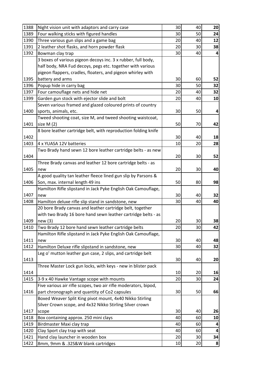| 1388 | Night vision unit with adaptors and carry case                  | 30 | 40 | 20 |
|------|-----------------------------------------------------------------|----|----|----|
| 1389 | Four walking sticks with figured handles                        | 30 | 50 | 24 |
| 1390 | Three various gun slips and a game bag                          | 20 | 40 | 12 |
| 1391 | 2 leather shot flasks, and horn powder flask                    | 20 | 30 | 38 |
| 1392 | Bowman clay trap                                                | 30 | 40 | 4  |
|      | 3 boxes of various pigeon decoys inc. 3 x rubber, full body,    |    |    |    |
|      | half body, NRA Fud decoys, pegs etc. together with various      |    |    |    |
|      | pigeon flappers, cradles, floaters, and pigeon whirley with     |    |    |    |
| 1395 | battery and arms                                                | 30 | 60 | 52 |
| 1396 | Popup hide in carry bag                                         | 30 | 50 | 32 |
| 1397 | Four camouflage nets and hide net                               | 20 | 40 | 32 |
| 1399 | Garden gun stock with ejector slide and bolt                    | 20 | 40 | 10 |
|      | Seven various framed and glazed coloured prints of country      |    |    |    |
| 1400 | sports, animals, etc.                                           | 30 | 50 | 4  |
|      | Tweed shooting coat, size M, and tweed shooting waistcoat,      |    |    |    |
| 1401 | size $M(2)$                                                     | 50 | 70 | 42 |
|      | 8 bore leather cartridge belt, with reproduction folding knife  |    |    |    |
| 1402 |                                                                 | 30 | 40 | 18 |
| 1403 | 4 x YUASA 12V batteries                                         | 10 | 20 | 28 |
|      | Two Brady hand sewn 12 bore leather cartridge belts - as new    |    |    |    |
| 1404 |                                                                 | 20 | 30 | 52 |
|      | Three Brady canvas and leather 12 bore cartridge belts - as     |    |    |    |
| 1405 | new                                                             | 20 | 30 | 40 |
|      | A good quality tan leather fleece lined gun slip by Parsons &   |    |    |    |
| 1406 | Son, max. internal length 49 ins                                | 50 | 80 | 98 |
|      | Hamilton Rifle slipstand in Jack Pyke English Oak Camouflage,   |    |    |    |
| 1407 | new                                                             | 30 | 40 | 32 |
| 1408 | Hamilton deluxe rifle slip stand in sandstone, new              | 30 | 40 | 40 |
|      | 20 bore Brady canvas and leather cartridge belt, together       |    |    |    |
|      | with two Brady 16 bore hand sewn leather cartridge belts - as   |    |    |    |
| 1409 | new(3)                                                          | 20 | 30 | 38 |
| 1410 | Two Brady 12 bore hand sewn leather cartridge belts             | 20 | 30 | 42 |
|      | Hamilton Rifle slipstand in Jack Pyke English Oak Camouflage,   |    |    |    |
| 1411 | new                                                             | 30 | 40 | 48 |
| 1412 | Hamilton Deluxe rifle slipstand in sandstone, new               | 30 | 40 | 32 |
|      | Leg o' mutton leather gun case, 2 slips, and cartridge belt     |    |    |    |
| 1413 |                                                                 | 30 | 40 | 20 |
|      | Three Master Lock gun locks, with keys - new in blister pack    |    |    |    |
| 1414 |                                                                 | 10 | 20 | 16 |
| 1415 | 3-9 x 40 Hawke Vantage scope with mounts                        | 20 | 30 | 24 |
|      | Five various air rifle scopes, two air rifle moderators, bipod, |    |    |    |
| 1416 | part chronograph and quantity of Co2 capsules                   | 30 | 50 | 66 |
|      | Boxed Weaver Split King pivot mount, 4x40 Nikko Stirling        |    |    |    |
|      | Silver Crown scope, and 4x32 Nikko Stirling Silver crown        |    |    |    |
| 1417 | scope                                                           | 30 | 40 | 26 |
| 1418 | Box containing approx. 250 mini clays                           | 40 | 60 | 10 |
| 1419 | Birdmaster Maxi clay trap                                       | 40 | 60 | 4  |
| 1420 | Clay Sport clay trap with seat                                  | 40 | 60 | 4  |
| 1421 | Hand clay launcher in wooden box                                | 20 | 30 | 34 |
| 1422 | 8mm, 9mm & .32S&W blank cartridges                              | 10 | 20 | 8  |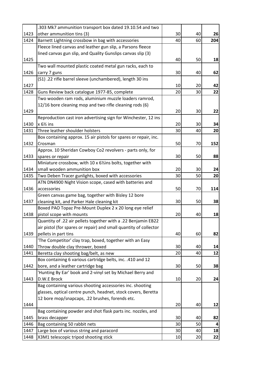|      | .303 Mk7 ammunition transport box dated 19.10.54 and two          |    |    |     |
|------|-------------------------------------------------------------------|----|----|-----|
| 1423 | other ammunition tins (3)                                         | 30 | 40 | 26  |
| 1424 | Barnett Lightning crossbow in bag with accessories                | 40 | 60 | 204 |
|      | Fleece lined canvas and leather gun slip, a Parsons fleece        |    |    |     |
|      | lined canvas gun slip, and Quality Gunslips canvas slip (3)       |    |    |     |
| 1425 |                                                                   | 40 | 50 | 18  |
|      | Two wall mounted plastic coated metal gun racks, each to          |    |    |     |
| 1426 | carry 7 guns                                                      | 30 | 40 | 62  |
|      | (S1) .22 rifle barrel sleeve (unchambered), length 30 ins         |    |    |     |
| 1427 |                                                                   | 10 | 20 | 42  |
| 1428 | Guns Review back catalogue 1977-85, complete                      | 20 | 30 | 22  |
|      | Two wooden ram rods, aluminium muzzle loaders ramrod,             |    |    |     |
|      | 12/16 bore cleaning mop and two rifle cleaning rods (6)           |    |    |     |
| 1429 |                                                                   | 20 | 30 | 22  |
|      | Reproduction cast iron advertising sign for Winchester, 12 ins    |    |    |     |
| 1430 | $x 6\frac{1}{2}$ ins                                              | 20 | 30 | 34  |
| 1431 | Three leather shoulder holsters                                   | 30 | 40 | 20  |
|      | Box containing approx. 15 air pistols for spares or repair, inc.  |    |    |     |
| 1432 | Crosman                                                           | 50 | 70 | 152 |
|      | Approx. 10 Sheridan Cowboy Co2 revolvers - parts only, for        |    |    |     |
| 1433 | spares or repair                                                  | 30 | 50 | 88  |
|      | Miniature crossbow, with 10 x 61/2 ins bolts, together with       |    |    |     |
| 1434 | small wooden ammunition box                                       | 20 | 30 | 24  |
| 1435 | Two Deben Tracer gunlights, boxed with accessories                | 30 | 50 | 20  |
|      | ATN DN4900 Night Vision scope, cased with batteries and           |    |    |     |
| 1436 | accessories                                                       | 50 | 70 | 114 |
|      | Green canvas game bag, together with Bisley 12 bore               |    |    |     |
| 1437 | cleaning kit, and Parker Hale cleaning kit                        | 30 | 50 | 38  |
|      | Boxed PAO Topaz Pre-Mount Duplex 2 x 20 long eye relief           |    |    |     |
| 1438 | pistol scope with mounts                                          | 20 | 40 | 18  |
|      | Quantity of .22 air pellets together with a .22 Benjamin EB22     |    |    |     |
|      | air pistol (for spares or repair) and small quantity of collector |    |    |     |
| 1439 | pellets in part tins                                              | 40 | 60 | 82  |
|      | 'The Competitor' clay trap, boxed, together with an Easy          |    |    |     |
| 1440 | Throw double clay thrower, boxed                                  | 30 | 40 | 14  |
| 1441 | Beretta clay shooting bag/belt, as new                            | 20 | 40 | 12  |
|      | Box containing 6 various cartridge belts, inc. .410 and 12        |    |    |     |
| 1442 | bore, and a leather cartridge bag                                 | 30 | 50 | 38  |
|      | 'Hunting By Ear' book and 2-vinyl set by Michael Berry and        |    |    |     |
| 1443 | D.W.E Brock                                                       | 10 | 20 | 24  |
|      | Bag containing various shooting accessories inc. shooting         |    |    |     |
|      | glasses, optical centre punch, headnet, stock covers, Beretta     |    |    |     |
|      | 12 bore mop/snapcaps, .22 brushes, forends etc.                   |    |    |     |
| 1444 |                                                                   | 20 | 40 | 12  |
|      | Bag containing powder and shot flask parts inc. nozzles, and      |    |    |     |
| 1445 | brass decapper                                                    | 30 | 40 | 82  |
| 1446 | Bag containing 50 rabbit nets                                     | 30 | 50 | 4   |
| 1447 | Large box of various string and paracord                          | 30 | 40 | 18  |
| 1448 | X3M1 telescopic tripod shooting stick                             | 10 | 20 | 22  |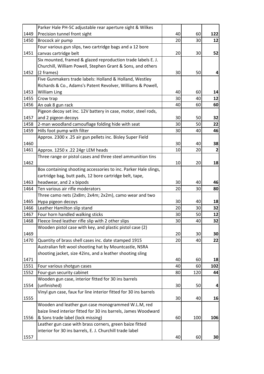|      | Parker Hale PH-5C adjustable rear aperture sight & Wilkes        |    |     |                |
|------|------------------------------------------------------------------|----|-----|----------------|
| 1449 | Precision tunnel front sight                                     | 40 | 60  | 122            |
| 1450 | Brocock air pump                                                 | 20 | 30  | 12             |
|      | Four various gun slips, two cartridge bags and a 12 bore         |    |     |                |
| 1451 | canvas cartridge belt                                            | 20 | 30  | 52             |
|      | Six mounted, framed & glazed reproduction trade labels E. J.     |    |     |                |
|      | Churchill, William Powell, Stephen Grant & Sons, and others      |    |     |                |
| 1452 | (2 frames)                                                       | 30 | 50  | 4              |
|      | Five Gunmakers trade labels: Holland & Holland, Westley          |    |     |                |
|      | Richards & Co., Adams's Patent Revolver, Williams & Powell,      |    |     |                |
| 1453 | <b>William Ling</b>                                              | 40 | 60  | 14             |
| 1455 | Crow trap                                                        | 30 | 40  | 12             |
| 1456 | An oak 8 gun rack                                                | 40 | 60  | 60             |
|      | Pigeon decoy set inc. 12V battery in case, motor, steel rods,    |    |     |                |
| 1457 | and 2 pigeon decoys                                              | 30 | 50  | 32             |
| 1458 | 2-man woodland camouflage folding hide with seat                 | 30 | 50  | 22             |
| 1459 | Hills foot pump with filter                                      | 30 | 40  | 46             |
|      | Approx. 2300 x .25 air gun pellets inc. Bisley Super Field       |    |     |                |
| 1460 |                                                                  | 30 | 40  | 38             |
| 1461 | Approx. 1250 x .22 24gr LEM heads                                | 10 | 20  | $\overline{2}$ |
|      | Three range or pistol cases and three steel ammunition tins      |    |     |                |
| 1462 |                                                                  | 10 | 20  | 18             |
|      | Box containing shooting accessories to inc. Parker Hale slings,  |    |     |                |
|      | cartridge bag, butt pads, 12 bore cartridge belt, tape,          |    |     |                |
| 1463 | headwear, and 2 x bipods                                         | 30 | 40  | 46             |
| 1464 | Ten various air rifle moderators                                 | 20 | 30  | 80             |
|      | Three camo nets (2x8m; 2x4m; 2x2m), camo wear and two            |    |     |                |
| 1465 | Hypa pigeon decoys                                               | 30 | 40  | 18             |
| 1466 | Leather Hamilton slip stand                                      | 20 | 30  | 32             |
| 1467 | Four horn handled walking sticks                                 | 30 | 50  | 12             |
| 1468 | Fleece lined leather rifle slip with 2 other slips               | 30 | 40  | 32             |
|      | Wooden pistol case with key, and plastic pistol case (2)         |    |     |                |
| 1469 |                                                                  | 20 | 30  | 30             |
| 1470 | Quantity of brass shell cases inc. date stamped 1915             | 20 | 40  | 22             |
|      | Australian felt wool shooting hat by Mountcastle, NSRA           |    |     |                |
|      | shooting jacket, size 42ins, and a leather shooting sling        |    |     |                |
| 1471 |                                                                  | 40 | 60  | 18             |
| 1551 | Four various shotgun cases                                       | 40 | 60  | 102            |
| 1552 | Four-gun security cabinet                                        | 80 | 120 | 44             |
|      | Wooden gun case, interior fitted for 30 ins barrels              |    |     |                |
| 1554 | (unfinished)                                                     | 30 | 50  | 4              |
| 1555 | Vinyl gun case, faux fur line interior fitted for 30 ins barrels | 30 | 40  | 16             |
|      | Wooden and leather gun case monogrammed W.L.M, red               |    |     |                |
|      | baize lined interior fitted for 30 ins barrels, James Woodward   |    |     |                |
| 1556 | & Sons trade label (lock missing)                                | 60 | 100 | 106            |
|      | Leather gun case with brass corners, green baize fitted          |    |     |                |
|      | interior for 30 ins barrels, E. J. Churchill trade label         |    |     |                |
| 1557 |                                                                  | 40 | 60  | 30             |
|      |                                                                  |    |     |                |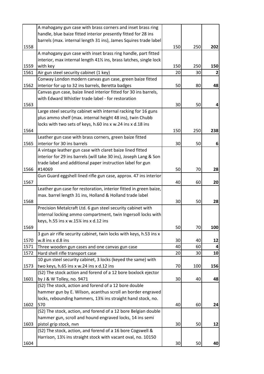|      | A mahogany gun case with brass corners and inset brass ring                |     |     |     |
|------|----------------------------------------------------------------------------|-----|-----|-----|
|      | handle, blue baize fitted interior presently fitted for 28 ins             |     |     |     |
|      | barrels (max. internal length 31 ins), James Squires trade label           |     |     |     |
| 1558 |                                                                            | 150 | 250 | 202 |
|      | A mahogany gun case with inset brass ring handle, part fitted              |     |     |     |
|      | interior, max internal length 411/2 ins, brass latches, single lock        |     |     |     |
| 1559 | with key                                                                   | 150 | 250 | 150 |
| 1561 | Air gun steel security cabinet (1 key)                                     | 20  | 30  |     |
|      | Conway London modern canvas gun case, green baize fitted                   |     |     |     |
| 1562 | interior for up to 32 ins barrels, Beretta badges                          | 50  | 80  | 48  |
|      | Canvas gun case, baize lined interior fitted for 30 ins barrels,           |     |     |     |
|      | with Edward Whistler trade label - for restoration                         |     |     |     |
| 1563 |                                                                            | 30  | 50  | 4   |
|      | Large steel security cabinet with internal racking for 16 guns             |     |     |     |
|      | plus ammo shelf (max. internal height 48 ins), twin Chubb                  |     |     |     |
|      | locks with two sets of keys, h.60 ins x w.24 ins x d.18 ins                |     |     |     |
| 1564 |                                                                            | 150 | 250 | 238 |
|      | Leather gun case with brass corners, green baize fitted                    |     |     |     |
| 1565 | interior for 30 ins barrels                                                | 30  | 50  | 6   |
|      | A vintage leather gun case with claret baize lined fitted                  |     |     |     |
|      | interior for 29 ins barrels (will take 30 ins), Joseph Lang & Son          |     |     |     |
|      | trade label and additional paper instruction label for gun                 |     |     |     |
| 1566 | #14069                                                                     | 50  | 70  | 28  |
|      | Gun Guard eggshell lined rifle gun case, approx. 47 ins interior           |     |     |     |
| 1567 |                                                                            | 40  | 60  | 20  |
|      | Leather gun case for restoration, interior fitted in green baize,          |     |     |     |
|      | max. barrel length 31 ins, Holland & Holland trade label                   |     |     |     |
| 1568 |                                                                            | 30  | 50  | 28  |
|      | Precision Metalcraft Ltd. 6 gun steel security cabinet with                |     |     |     |
|      | internal locking ammo compartment, twin Ingersoll locks with               |     |     |     |
|      | keys, h.55 ins x w.15% ins x d.12 ins                                      |     |     |     |
| 1569 |                                                                            | 50  | 70  | 100 |
|      | 3 gun air rifle security cabinet, twin locks with keys, h.53 ins x         |     |     |     |
| 1570 | w.8 ins x d.8 ins                                                          | 30  | 40  | 12  |
| 1571 | Three wooden gun cases and one canvas gun case                             | 40  | 60  | 4   |
| 1572 | Hard shell rifle transport case                                            | 20  | 30  | 10  |
|      | 10 gun steel security cabinet, 3 locks (keyed the same) with               |     |     |     |
| 1573 | two keys, h.65 ins x w.24 ins x d.12 ins                                   | 70  | 100 | 156 |
|      | (S2) The stock action and forend of a 12 bore boxlock ejector              |     |     |     |
| 1601 | by J & W Tolley, no. 9471                                                  | 30  | 40  | 48  |
|      | (S2) The stock, action and forend of a 12 bore double                      |     |     |     |
|      | hammer gun by E. Wilson, acanthus scroll an border engraved                |     |     |     |
|      | locks, rebounding hammers, 13% ins straight hand stock, no.                |     |     |     |
| 1602 | 570                                                                        | 40  | 60  | 24  |
|      | (S2) The stock, action, and forend of a 12 bore Belgian double             |     |     |     |
|      | hammer gun, scroll and hound engraved locks, 14 ins semi                   |     |     |     |
| 1603 | pistol grip stock, nvn                                                     | 30  | 50  | 12  |
|      | (S2) The stock, action, and forend of a 16 bore Cogswell &                 |     |     |     |
|      | Harrison, 131/ <sub>2</sub> ins straight stock with vacant oval, no. 10150 |     |     |     |
| 1604 |                                                                            | 30  | 50  | 40  |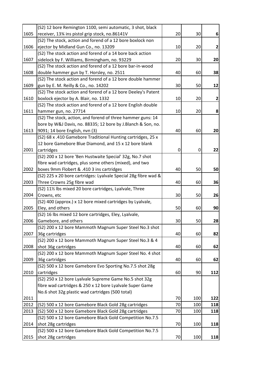|      | (S2) 12 bore Remington 1100, semi automatic, 3 shot, black      |    |     |                |
|------|-----------------------------------------------------------------|----|-----|----------------|
| 1605 | receiver, 13% ins pistol grip stock, no.86141V                  | 20 | 30  | 6              |
|      | (S2) The stock, action and forend of a 12 bore boxlock non      |    |     |                |
| 1606 | ejector by Midland Gun Co., no. 13209                           | 10 | 20  | $\overline{2}$ |
|      | (S2) The stock action and forend of a 14 bore back action       |    |     |                |
| 1607 | sidelock by F. Williams, Birmingham, no. 93229                  | 20 | 30  | 20             |
|      | (S2) The stock action and forend of a 12 bore bar-in-wood       |    |     |                |
| 1608 | double hammer gun by T. Horsley, no. 2511                       | 40 | 60  | 38             |
|      | (S2) The stock action and forend of a 12 bore double hammer     |    |     |                |
| 1609 | gun by E. M. Reilly & Co., no. 14202                            | 30 | 50  | 12             |
|      | (S2) The stock action and forend of a 12 bore Deeley's Patent   |    |     |                |
| 1610 | boxlock ejector by A. Blair, no. 1332                           | 10 | 20  | $\mathbf{2}$   |
|      | (S2) The stock action and forend of a 12 bore English double    |    |     |                |
| 1611 | hammer gun, no. 27714                                           | 10 | 20  | 8              |
|      | (S2) The stock, action, and forend of three hammer guns: 14     |    |     |                |
|      | bore by W&J Davis, no. 88335; 12 bore by J.Blanch & Son, no.    |    |     |                |
| 1613 | 9091; 14 bore English, nvn (3)                                  | 40 | 60  | 20             |
|      | (S2) 68 x .410 Gamebore Traditional Hunting cartridges, 25 x    |    |     |                |
|      | 12 bore Gamebore Blue Diamond, and 15 x 12 bore blank           |    |     |                |
| 2001 | cartridges                                                      | 0  | 0   | 22             |
|      | (S2) 200 x 12 bore 'Ben Hustwaite Special' 32g, No.7 shot       |    |     |                |
|      | fibre wad cartridges, plus some others (mixed), and two         |    |     |                |
| 2002 | boxes 9mm Flobert & .410 3 ins cartridges                       | 40 | 50  | 50             |
|      | (S2) 225 x 20 bore cartridges: Lyalvale Special 28g fibre wad & |    |     |                |
| 2003 | Three Crowns 25g fibre wad                                      | 40 | 60  | 36             |
|      | (S2) 111/2 lbs mixed 20 bore cartridges, Lyalvale, Three        |    |     |                |
| 2004 | Crowns, etc                                                     | 30 | 50  | 26             |
|      | (S2) 400 (approx.) x 12 bore mixed cartridges by Lyalvale,      |    |     |                |
| 2005 | Eley, and others                                                | 50 | 60  | 90             |
|      | (S2) 16 lbs mixed 12 bore cartridges, Eley, Lyalvale,           |    |     |                |
| 2006 | Gamebore, and others                                            | 30 | 50  | 28             |
|      | (S2) 200 x 12 bore Mammoth Magnum Super Steel No.3 shot         |    |     |                |
| 2007 | 36g cartridges                                                  | 40 | 60  | 82             |
|      | (S2) 200 x 12 bore Mammoth Magnum Super Steel No.3 & 4          |    |     |                |
| 2008 | shot 36g cartridges                                             | 40 | 60  | 62             |
|      | (S2) 200 x 12 bore Mammoth Magnum Super Steel No. 4 shot        |    |     |                |
| 2009 | 36g cartridges                                                  | 40 | 60  | 62             |
|      | (S2) 500 x 12 bore Gamebore Evo Sporting No.7.5 shot 28g        |    |     |                |
| 2010 | cartridges                                                      | 60 | 90  | 112            |
|      | (S2) 250 x 12 bore Lyalvale Supreme Game No.5 shot 32g          |    |     |                |
|      | fibre wad cartridges & 250 x 12 bore Lyalvale Super Game        |    |     |                |
|      | No.6 shot 32g plastic wad cartridges (500 total)                |    |     |                |
| 2011 |                                                                 | 70 | 100 | 122            |
| 2012 | (S2) 500 x 12 bore Gamebore Black Gold 28g cartridges           | 70 | 100 | 118            |
| 2013 | (S2) 500 x 12 bore Gamebore Black Gold 28g cartridges           | 70 | 100 | 118            |
|      | (S2) 500 x 12 bore Gamebore Black Gold Competition No.7.5       |    |     |                |
| 2014 | shot 28g cartridges                                             | 70 | 100 | 118            |
|      | (S2) 500 x 12 bore Gamebore Black Gold Competition No.7.5       |    |     |                |
| 2015 | shot 28g cartridges                                             | 70 | 100 | 118            |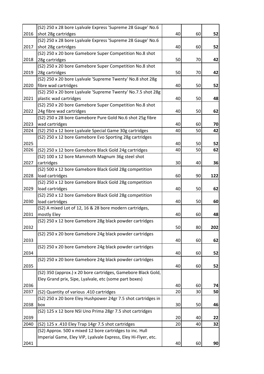|      | (S2) 250 x 28 bore Lyalvale Express 'Supreme 28 Gauge' No.6                                                    |          |          |          |
|------|----------------------------------------------------------------------------------------------------------------|----------|----------|----------|
| 2016 | shot 28g cartridges                                                                                            | 40       | 60       | 52       |
|      | (S2) 250 x 28 bore Lyalvale Express 'Supreme 28 Gauge' No.6                                                    |          |          |          |
| 2017 | shot 28g cartridges                                                                                            | 40       | 60       | 52       |
|      | (S2) 250 x 20 bore Gamebore Super Competition No.8 shot                                                        |          |          |          |
| 2018 | 28g cartridges                                                                                                 | 50       | 70       | 42       |
|      | (S2) 250 x 20 bore Gamebore Super Competition No.8 shot                                                        |          |          |          |
| 2019 | 28g cartridges                                                                                                 | 50       | 70       | 42       |
|      | (S2) 250 x 20 bore Lyalvale 'Supreme Twenty' No.8 shot 28g                                                     |          |          |          |
| 2020 | fibre wad cartridges                                                                                           | 40       | 50       | 52       |
|      | (S2) 250 x 20 bore Lyalvale 'Supreme Twenty' No.7.5 shot 28g                                                   |          |          |          |
| 2021 | plastic wad cartridges                                                                                         | 40       | 50       | 48       |
|      | (S2) 250 x 20 bore Gamebore Super Competition No.8 shot                                                        |          |          |          |
| 2022 | 24g fibre wad cartridges                                                                                       | 40       | 50       | 62       |
|      | (S2) 250 x 28 bore Gamebore Pure Gold No.6 shot 25g fibre                                                      |          |          |          |
| 2023 | wad cartridges                                                                                                 | 40       | 60       | 70       |
| 2024 | (S2) 250 x 12 bore Lyalvale Special Game 30g cartridges                                                        | 40       | 50       | 42       |
|      | (S2) 250 x 12 bore Gamebore Evo Sporting 28g cartridges                                                        |          |          |          |
| 2025 |                                                                                                                | 40       | 50       | 52       |
| 2026 | (S2) 250 x 12 bore Gamebore Black Gold 24g cartridges                                                          | 40       | 50       | 62       |
|      | (S2) 100 x 12 bore Mammoth Magnum 36g steel shot                                                               |          |          |          |
| 2027 | cartridges                                                                                                     | 30       | 40       | 36       |
|      | (S2) 500 x 12 bore Gamebore Black Gold 28g competition                                                         |          |          |          |
| 2028 | load cartridges                                                                                                | 60       | 90       | 122      |
|      | (S2) 250 x 12 bore Gamebore Black Gold 28g competition                                                         |          |          |          |
| 2029 | load cartridges                                                                                                | 40       | 50       | 62       |
|      | (S2) 250 x 12 bore Gamebore Black Gold 28g competition                                                         |          |          |          |
| 2030 | load cartridges                                                                                                | 40       | 50       | 60       |
|      | (S2) A mixed Lot of 12, 16 & 28 bore modern cartridges,                                                        |          |          |          |
| 2031 | mostly Eley                                                                                                    | 40       | 60       | 48       |
|      | (S2) 250 x 12 bore Gamebore 28g black powder cartridges                                                        |          |          |          |
| 2032 |                                                                                                                | 50       | 80       | 202      |
|      | (S2) 250 x 20 bore Gamebore 24g black powder cartridges                                                        |          |          |          |
| 2033 |                                                                                                                | 40       | 60       | 62       |
|      | (S2) 250 x 20 bore Gamebore 24g black powder cartridges                                                        |          |          |          |
| 2034 |                                                                                                                | 40       | 60       | 52       |
|      | (S2) 250 x 20 bore Gamebore 24g black powder cartridges                                                        |          |          |          |
| 2035 |                                                                                                                | 40       | 60       | 52       |
|      | (S2) 350 (approx.) x 20 bore cartridges, Gamebore Black Gold,                                                  |          |          |          |
|      | Eley Grand prix, Sipe, Lyalvale, etc (some part boxes)                                                         |          |          |          |
| 2036 |                                                                                                                | 40       | 60       | 74       |
| 2037 | (S2) Quantity of various .410 cartridges                                                                       | 20       | 30       | 50       |
|      | (S2) 250 x 20 bore Eley Hushpower 24gr 7.5 shot cartridges in                                                  |          |          |          |
| 2038 | box                                                                                                            | 30       | 50       | 46       |
| 2039 | (S2) 125 x 12 bore NSI Uno Prima 28gr 7.5 shot cartridges                                                      |          |          |          |
| 2040 |                                                                                                                | 20<br>20 | 40<br>40 | 22<br>32 |
|      | (S2) 125 x .410 Eley Trap 14gr 7.5 shot cartridges<br>(S2) Approx. 500 x mixed 12 bore cartridges to inc. Hull |          |          |          |
|      | Imperial Game, Eley VIP, Lyalvale Express, Eley Hi-Flyer, etc.                                                 |          |          |          |
| 2041 |                                                                                                                | 40       | 60       | 90       |
|      |                                                                                                                |          |          |          |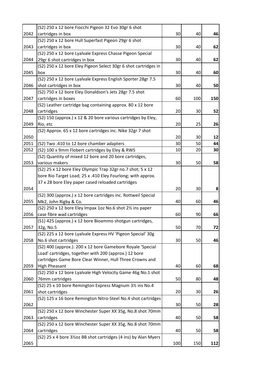|      | (S2) 250 x 12 bore Fiocchi Pigeon 32 Evo 30gr 6 shot             |     |     |     |
|------|------------------------------------------------------------------|-----|-----|-----|
| 2042 | cartridges in box                                                | 30  | 40  | 46  |
|      | (S2) 250 x 12 bore Hull Superfast Pigeon 29gr 6 shot             |     |     |     |
| 2043 | cartridges in box                                                | 30  | 40  | 62  |
|      | (S2) 250 x 12 bore Lyalvale Express Chasse Pigeon Special        |     |     |     |
| 2044 | 29gr 6 shot cartridges in box                                    | 30  | 40  | 62  |
|      | (S2) 250 x 12 bore Eley Pigeon Select 30gr 6 shot cartridges in  |     |     |     |
| 2045 | box                                                              | 30  | 40  | 60  |
|      | (S2) 250 x 12 bore Lyalvale Express English Sporter 28gr 7.5     |     |     |     |
| 2046 | shot cartridges in box                                           | 30  | 40  | 50  |
|      | (S2) 750 x 12 bore Eley Donaldson's Jets 28gr 7.5 shot           |     |     |     |
| 2047 | cartridges in boxes                                              | 60  | 100 | 150 |
|      | (S2) Leather cartridge bag containing approx. 80 x 12 bore       |     |     |     |
| 2048 | cartridges                                                       | 20  | 30  | 52  |
|      | (S2) 150 (approx.) x 12 & 20 bore various cartridges by Eley,    |     |     |     |
| 2049 | Rio, etc                                                         | 20  | 25  | 26  |
|      | (S2) Approx. 65 x 12 bore cartridges inc. Nike 32gr 7 shot       |     |     |     |
| 2050 |                                                                  | 20  | 30  | 12  |
| 2051 | (S2) Two .410 to 12 bore chamber adapters                        | 30  | 50  | 44  |
| 2052 | (S2) 100 x 9mm Flobert cartridges by Eley & RWS                  | 10  | 20  | 30  |
|      | (S2) Quantity of mixed 12 bore and 20 bore cartridges,           |     |     |     |
| 2053 | various makers                                                   | 30  | 50  | 58  |
|      | (S2) 25 x 12 bore Eley Olympic Trap 32gr no.7 shot; 5 x 12       |     |     |     |
|      | bore Rio Target Load; 25 x .410 Eley Fourlong; with approx.      |     |     |     |
|      | 37 x 28 bore Eley paper cased reloaded cartridges                |     |     |     |
| 2054 |                                                                  | 20  | 30  | 8   |
|      | (S2) 300 (approx.) x 12 bore cartridges inc. Rottweil Special    |     |     |     |
| 2055 | Mk2, John Rigby & Co.                                            | 40  | 60  | 46  |
|      | (S2) 250 x 12 bore Eley Impax 1oz No.6 shot 21/2 ins paper       |     |     |     |
| 2056 | case fibre wad cartridges                                        | 60  | 90  | 66  |
|      | (S1) 425 (approx.) x 12 bore Bioammo shotgun cartridges,         |     |     |     |
| 2057 | 32g, No.5                                                        | 50  | 70  | 72  |
|      | (S2) 225 x 12 bore Lyalvale Express HV 'Pigeon Special' 30g      |     |     |     |
| 2058 | No.6 shot cartridges                                             | 30  | 50  | 46  |
|      | (S2) 400 (approx.): 200 x 12 bore Gamebore Royale 'Special       |     |     |     |
|      | Load' cartridges, together with 200 (approx.) 12 bore            |     |     |     |
|      | cartridges Game Bore Clear Winner, Hull Three Crowns and         |     |     |     |
| 2059 | <b>High Pheasant</b>                                             | 40  | 60  | 68  |
|      | (S2) 250 x 12 bore Lyalvale High Velocity Game 46g No.1 shot     |     |     |     |
| 2060 | 76mm cartridges                                                  | 50  | 80  | 48  |
|      | (S2) 25 x 10 bore Remington Express Magnum 31/2 ins No.4         |     |     |     |
| 2061 | shot cartridges                                                  | 20  | 30  | 26  |
|      | (S2) 125 x 16 bore Remington Nitro-Steel No.4 shot cartridges    |     |     |     |
| 2062 |                                                                  | 30  | 50  | 28  |
|      | (S2) 250 x 12 bore Winchester Super XX 35g, No.8 shot 70mm       |     |     |     |
| 2063 | cartridges                                                       | 40  | 50  | 58  |
|      | (S2) 250 x 12 bore Winchester Super XX 35g, No.8 shot 70mm       |     |     |     |
| 2064 | cartridges                                                       | 40  | 50  | 58  |
|      | (S2) 25 x 4 bore 31/202 BB shot cartridges (4 ins) by Alan Myers |     |     |     |
| 2065 |                                                                  | 100 | 150 | 112 |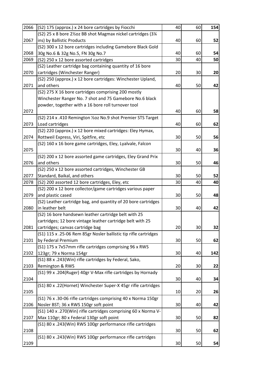| 2066 | (S2) 175 (approx.) x 24 bore cartridges by Fiocchi               | 40 | 60 | 154 |
|------|------------------------------------------------------------------|----|----|-----|
|      | (S2) 25 x 8 bore 21/202 BB shot Magmax nickel cartridges (31/4   |    |    |     |
| 2067 | ins) by Ballistic Products                                       | 40 | 60 | 52  |
|      | (S2) 300 x 12 bore cartridges including Gamebore Black Gold      |    |    |     |
| 2068 | 30g No.6 & 32g No.5, FN 30g No.7                                 | 40 | 60 | 54  |
| 2069 | (S2) 250 x 12 bore assorted cartridges                           | 30 | 40 | 50  |
|      | (S2) Leather cartridge bag containing quantity of 16 bore        |    |    |     |
| 2070 | cartridges (Winchester Ranger)                                   | 20 | 30 | 20  |
|      | (S2) 250 (approx.) x 12 bore cartridges: Winchester Upland,      |    |    |     |
| 2071 | and others                                                       | 40 | 50 | 42  |
|      | (S2) 275 X 16 bore cartridges comprising 200 mostly              |    |    |     |
|      | Winchester Ranger No. 7 shot and 75 Gamebore No.6 black          |    |    |     |
|      | powder, together with a 16 bore roll turnover tool               |    |    |     |
| 2072 |                                                                  | 40 | 60 | 58  |
|      | (S2) 214 x .410 Remington 1/202 No.9 shot Premier STS Target     |    |    |     |
| 2073 | Load cartridges                                                  | 40 | 60 | 62  |
|      | (S2) 220 (approx.) x 12 bore mixed cartridges: Eley Hymax,       |    |    |     |
| 2074 | Rottweil Express, Viri, Spitfire, etc                            | 30 | 50 | 56  |
|      | (S2) 160 x 16 bore game cartridges, Eley, Lyalvale, Falcon       |    |    |     |
| 2075 |                                                                  | 30 | 40 | 36  |
|      | (S2) 200 x 12 bore assorted game cartridges, Eley Grand Prix     |    |    |     |
| 2076 | and others                                                       | 30 | 50 | 46  |
|      | (S2) 250 x 12 bore assorted cartridges, Winchester GB            |    |    |     |
| 2077 | Standard, Baikal, and others                                     | 30 | 50 | 52  |
| 2078 | (S2) 200 assorted 12 bore cartridges, Eley, etc                  | 30 | 40 | 40  |
|      | (S2) 200 x 12 bore collector/game cartridges various paper       |    |    |     |
| 2079 | and plastic cased                                                | 30 | 50 | 48  |
|      | (S2) Leather cartridge bag, and quantity of 20 bore cartridges   |    |    |     |
| 2080 | in leather belt                                                  | 30 | 40 | 42  |
|      | (S2) 16 bore handsewn leather cartridge belt with 25             |    |    |     |
|      | cartridges; 12 bore vintage leather cartridge belt with 25       |    |    |     |
| 2081 | cartridges; canvas cartridge bag                                 | 20 | 30 | 32  |
|      | (S1) 115 x .25-06 Rem 85gr Nosler ballistic tip rifle cartridges |    |    |     |
| 2101 | by Federal Premium                                               | 30 | 50 | 62  |
|      | (S1) 175 x 7x57mm rifle cartridges comprising 96 x RWS           |    |    |     |
| 2102 | 123gr; 79 x Norma 154gr                                          | 30 | 40 | 142 |
|      | (S1) 88 x .243(Win) rifle cartridges by Federal, Sako,           |    |    |     |
| 2103 | Remington & RWS                                                  | 20 | 30 | 22  |
|      | (S1) 99 x .204(Ruger) 40gr V-Max rifle cartridges by Hornady     |    |    |     |
| 2104 |                                                                  | 30 | 40 | 34  |
|      | (S1) 80 x .22(Hornet) Winchester Super-X 45gr rifle cartridges   |    |    |     |
| 2105 |                                                                  | 10 | 20 | 26  |
|      | (S1) 76 x .30-06 rifle cartridges comprising 40 x Norma 150gr    |    |    |     |
| 2106 | Nosler BST; 36 x RWS 150gr soft point                            | 30 | 40 | 42  |
|      | (S1) 140 x .270(Win) rifle cartridges comprising 60 x Norma V-   |    |    |     |
| 2107 | Max 110gr; 80 x Federal 130gr soft point                         | 30 | 50 | 82  |
|      | (S1) 80 x .243(Win) RWS 100gr performance rifle cartridges       |    |    |     |
| 2108 |                                                                  | 30 | 50 | 62  |
|      | (S1) 80 x .243(Win) RWS 100gr performance rifle cartridges       |    |    |     |
| 2109 |                                                                  | 30 | 50 | 54  |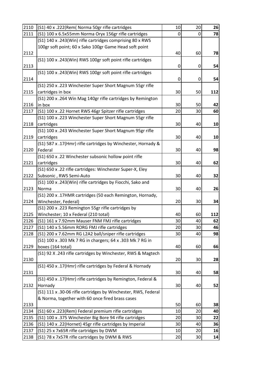| 2110 | (S1) 40 x .222(Rem( Norma 50gr rifle cartridges                                       | 10 | 20 | 26  |
|------|---------------------------------------------------------------------------------------|----|----|-----|
| 2111 | (S1) 100 x 6.5x55mm Norma Oryx 156gr rifle cartridges                                 | 0  | 0  | 78  |
|      | (S1) 140 x .243(Win) rifle cartridges comprising 80 x RWS                             |    |    |     |
|      | 100gr soft point; 60 x Sako 100gr Game Head soft point                                |    |    |     |
| 2112 |                                                                                       | 40 | 60 | 78  |
|      | (S1) 100 x .243(Win) RWS 100gr soft point rifle cartridges                            |    |    |     |
| 2113 |                                                                                       | 0  | 0  | 54  |
|      | (S1) 100 x .243(Win) RWS 100gr soft point rifle cartridges                            |    |    |     |
| 2114 |                                                                                       | 0  | 0  | 54  |
|      | (S1) 250 x .223 Winchester Super Short Magnum 55gr rifle                              |    |    |     |
| 2115 | cartridges in box                                                                     | 30 | 50 | 112 |
|      | (S1) 200 x .264 Win Mag 140gr rifle cartridges by Remington                           |    |    |     |
| 2116 | in box                                                                                | 30 | 50 | 42  |
| 2117 | (S1) 100 x .22 Hornet RWS 46gr Spitzer rifle cartridges                               | 20 | 30 | 60  |
|      | (S1) 100 x .223 Winchester Super Short Magnum 55gr rifle                              |    |    |     |
| 2118 | cartridges                                                                            | 30 | 40 | 10  |
|      | (S1) 100 x .243 Winchester Super Short Magnum 95gr rifle                              |    |    |     |
| 2119 | cartridges                                                                            | 30 | 40 | 10  |
|      | (S1) 587 x .17(Hmr) rifle cartridges by Winchester, Hornady &                         |    |    |     |
| 2120 | Federal                                                                               | 30 | 40 | 98  |
| 2121 | (S1) 650 x .22 Winchester subsonic hollow point rifle                                 |    |    |     |
|      | cartridges                                                                            | 30 | 40 | 62  |
| 2122 | (S1) 650 x .22 rifle cartridges: Winchester Super-X, Eley                             | 30 | 40 |     |
|      | Subsonic, RWS Semi-Auto<br>(S1) 100 x .243(Win) rifle cartridges by Fiocchi, Sako and |    |    | 32  |
| 2123 | Norma                                                                                 | 30 | 40 | 26  |
|      | (S1) 200 x .17HMR cartridges (50 each Remington, Hornady,                             |    |    |     |
| 2124 | Winchester, Federal)                                                                  | 20 | 30 | 34  |
|      | (S1) 200 x .223 Remington 55gr rifle cartridges by                                    |    |    |     |
| 2125 | Winchester; 10 x Federal (210 total)                                                  | 40 | 60 | 112 |
| 2126 | (S1) 161 x 7.92mm Mauser FNM FMJ rifle cartridges                                     | 30 | 40 | 62  |
| 2127 | (S1) 140 x 5.56mm RORG FMJ rifle cartridges                                           | 20 | 30 | 46  |
| 2128 | (S1) 200 x 7.62mm RG L2A2 ball/sniper rifle cartridges                                | 30 | 40 | 98  |
|      | (S1) 100 x .303 Mk 7 RG in chargers; 64 x .303 Mk 7 RG in                             |    |    |     |
| 2129 | boxes (164 total)                                                                     | 40 | 60 | 66  |
|      | (S1) 92 X .243 rifle cartridges by Winchester, RWS & Magtech                          |    |    |     |
| 2130 |                                                                                       | 20 | 30 | 28  |
|      | (S1) 450 x .17(Hmr) rifle cartridges by Federal & Hornady                             |    |    |     |
| 2131 |                                                                                       | 30 | 40 | 58  |
|      | (S1) 450 x .17(Hmr) rifle cartridges by Remington, Federal &                          |    |    |     |
| 2132 | Hornady                                                                               | 30 | 40 | 52  |
|      | (S1) 111 x .30-06 rifle cartridges by Winchester, RWS, Federal                        |    |    |     |
|      | & Norma, together with 60 once fired brass cases                                      |    |    |     |
| 2133 |                                                                                       | 50 | 60 | 38  |
| 2134 | (S1) 60 x .223(Rem) Federal premium rifle cartridges                                  | 10 | 20 | 40  |
| 2135 | (S1) 100 x .375 Winchester Big Bore 94 rifle cartridges                               | 20 | 30 | 22  |
| 2136 | (S1) 140 x .22(Hornet) 45gr rifle cartridges by Imperial                              | 30 | 40 | 36  |
| 2137 | (S1) 25 x 7x65R rifle cartridges by DWM                                               | 10 | 20 | 16  |
| 2138 | (S1) 78 x 7x57R rifle cartridges by DWM & RWS                                         | 20 | 30 | 14  |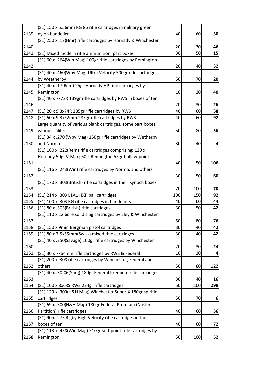|              | (S1) 150 x 5.56mm RG 86 rifle cartridges in military green      |          |          |          |
|--------------|-----------------------------------------------------------------|----------|----------|----------|
| 2139         | nylon bandolier                                                 | 40       | 60       | 50       |
|              | (S1) 250 x .17(Hmr) rifle cartridges by Hornady & Winchester    |          |          |          |
| 2140         |                                                                 | 20       | 30       | 46       |
| 2141         | (S1) Mixed modern rifle ammunition, part boxes                  | 30       | 50       | 15       |
|              | (S1) 60 x .264(Win Mag) 100gr rifle cartridges by Remington     |          |          |          |
| 2142         |                                                                 | 20       | 40       | 32       |
|              | (S1) 40 x .460(Wby Mag) Ultra Velocity 500gr rifle cartridges   |          |          |          |
| 2144         | by Weatherby                                                    | 50       | 70       | 20       |
|              | (S1) 40 x .17(Rem) 25gr Hornady HP rifle cartridges by          |          |          |          |
| 2145         | Remington                                                       | 10       | 20       | 40       |
|              | (S1) 40 x 7x72R 139gr rifle cartridges by RWS in boxes of ten   |          |          |          |
| 2146         |                                                                 | 20       | 30       | 26       |
| 2147         | (S1) 20 x 9.3x74R 285gr rifle cartridges by RWS                 | 40       | 60       | 38       |
| 2148         | (S1) 60 x 9.3x62mm 285gr rifle cartridges by RWS                | 40       | 60       | 92       |
|              | Large quantity of various blank cartridges, some part boxes,    |          |          |          |
| 2149         | various calibres                                                | 50       | 80       | 56       |
|              | (S1) 34 x .270 (Wby Mag) 150gr rifle cartridges by Wetherby     |          |          |          |
| 2150         | and Norma                                                       | 30       | 40       | 4        |
|              | (S1) 160 x .222(Rem) rifle cartridges comprising: 120 x         |          |          |          |
|              | Hornady 50gr V-Max; 60 x Remington 55gr hollow-point            |          |          |          |
| 2151         |                                                                 | 40       | 50       | 106      |
|              | (S1) 116 x .243(Win) rifle cartridges by Norma, and others      |          |          |          |
| 2152         |                                                                 | 30       | 50       | 60       |
|              | (S1) 170 x .303(British) rifle cartridges in their Kynoch boxes |          |          |          |
| 2153         |                                                                 | 70       | 100      | 70       |
| 2154         | (S1) 214 x .303 L1A1 HXP ball cartridges                        | 100      | 150      | 92       |
| 2155         | (S1) 100 x .303 RG rifle cartridges in bandoliers               | 40       | 60       | 44       |
| 2156         | (S1) 80 x .303(British) rifle cartridges                        | 30       | 50       | 42       |
|              | (S1) 110 x 12 bore solid slug cartridges by Eley & Winchester   |          |          |          |
| 2157<br>2158 | (S1) 150 x 9mm Bergman pistol cartridges                        | 50<br>30 | 80<br>40 | 76       |
| 2159         | (S1) 80 x 7.5x55mm(Swiss) mixed rifle cartridges                | 30       | 40       | 42<br>42 |
|              | (S1) 40 x .250(Savage) 100gr rifle cartridges by Winchester     |          |          |          |
| 2160         |                                                                 | 20       | 30       | 24       |
| 2161         | (S1) 30 x 7x64mm rifle cartridges by RWS & Federal              | 10       | 20       | 4        |
|              | (S1) 200 x .308 rifle cartridges by Winchester, Federal and     |          |          |          |
| 2162         | others                                                          | 50       | 80       | 122      |
|              | (S1) 40 x .30-06(Sprg) 180gr Federal Premium rifle cartridges   |          |          |          |
| 2163         |                                                                 | 30       | 40       | 16       |
| 2164         | (S1) 100 x 8x68S RWS 224gr rifle cartridges                     | 50       | 100      | 298      |
|              | (S1) 129 x .300(H&H Mag) Winchester Super-X 180gr sp rifle      |          |          |          |
| 2165         | cartridges                                                      | 50       | 70       | 6        |
|              | (S1) 69 x .300(H&H Mag) 180gr Federal Premium (Nosler           |          |          |          |
| 2166         | Partition) rifle cartridges                                     | 40       | 60       | 36       |
|              | (S1) 90 x .275 Rigby High Velocity rifle cartridges in their    |          |          |          |
| 2167         | boxes of ten                                                    | 40       | 60       | 72       |
|              | (S1) 113 x .458(Win Mag) 510gr soft point rifle cartridges by   |          |          |          |
| 2168         | Remington                                                       | 50       | 100      | 52       |
|              |                                                                 |          |          |          |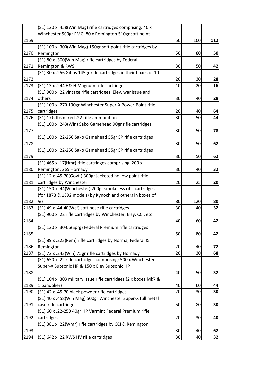|      | (S1) 120 x .458(Win Mag) rifle cartridges comprising: 40 x       |    |     |     |
|------|------------------------------------------------------------------|----|-----|-----|
|      | Winchester 500gr FMC; 80 x Remington 510gr soft point            |    |     |     |
| 2169 |                                                                  | 50 | 100 | 112 |
|      | (S1) 100 x .300(Win Mag) 150gr soft point rifle cartridges by    |    |     |     |
| 2170 | Remington                                                        | 50 | 80  | 50  |
|      | (S1) 80 x .300(Win Mag) rifle cartridges by Federal,             |    |     |     |
| 2171 | Remington & RWS                                                  | 30 | 50  | 42  |
|      | (S1) 30 x .256 Gibbs 145gr rifle cartridges in their boxes of 10 |    |     |     |
| 2172 |                                                                  | 20 | 30  | 28  |
| 2173 | (S1) 13 x .244 H& H Magnum rifle cartridges                      | 10 | 20  | 16  |
|      | (S1) 900 x .22 vintage rifle cartridges, Eley, war issue and     |    |     |     |
| 2174 | others                                                           | 30 | 40  | 28  |
|      | (S1) 100 x .270 130gr Winchester Super-X Power-Point rifle       |    |     |     |
| 2175 | cartridges                                                       | 20 | 40  | 64  |
| 2176 | (S1) 17% lbs mixed .22 rifle ammunition                          | 30 | 50  | 44  |
|      | (S1) 100 x .243(Win) Sako Gamehead 90gr rifle cartridges         |    |     |     |
| 2177 |                                                                  | 30 | 50  | 78  |
|      | (S1) 100 x .22-250 Sako Gamehead 55gr SP rifle cartridges        |    |     |     |
| 2178 |                                                                  | 30 | 50  | 62  |
|      | (S1) 100 x .22-250 Sako Gamehead 55gr SP rifle cartridges        |    |     |     |
| 2179 |                                                                  | 30 | 50  | 62  |
|      | (S1) 465 x .17(Hmr) rifle cartridges comprising: 200 x           |    |     |     |
| 2180 | Remington; 265 Hornady                                           | 30 | 40  | 32  |
|      | (S1) 12 x .45-70(Govt.) 300gr jacketed hollow point rifle        |    |     |     |
| 2181 | cartridges by Winchester                                         | 20 | 25  | 20  |
|      | (S1) 150 x .44(Winchester) 200gr smokeless rifle cartridges      |    |     |     |
|      | (for 1873 & 1892 models) by Kynoch and others in boxes of        |    |     |     |
| 2182 | 50                                                               | 80 | 120 | 80  |
| 2183 | (S1) 49 x .44-40(Wcf) soft nose rifle cartridges                 | 30 | 40  | 32  |
|      | (S1) 900 x .22 rifle cartridges by Winchester, Eley, CCI, etc    |    |     |     |
| 2184 |                                                                  | 40 | 60  | 42  |
|      | (S1) 120 x .30-06(Sprg) Federal Premium rifle cartridges         |    |     |     |
| 2185 |                                                                  | 50 | 80  | 42  |
|      | (S1) 89 x .223(Rem) rifle cartridges by Norma, Federal &         |    |     |     |
| 2186 | Remington                                                        | 20 | 40  | 72  |
| 2187 | (S1) 72 x .243(Win) 75gr rifle cartridges by Hornady             | 20 | 30  | 68  |
|      | (S1) 650 x .22 rifle cartridges comprising: 500 x Winchester     |    |     |     |
|      | Super-X Subsonic HP & 150 x Eley Subsonic HP                     |    |     |     |
| 2188 |                                                                  | 40 | 50  | 32  |
|      | (S1) 104 x .303 military issue rifle cartridges (2 x boxes Mk7 & |    |     |     |
| 2189 | 1 bandolier)                                                     | 40 | 60  | 44  |
| 2190 | (S1) 42 x .45-70 black powder rifle cartridges                   | 20 | 30  | 30  |
|      | (S1) 40 x .458(Win Mag) 500gr Winchester Super-X full metal      |    |     |     |
| 2191 | case rifle cartridges                                            | 50 | 80  | 30  |
|      | (S1) 60 x .22-250 40gr HP Varmint Federal Premium rifle          |    |     |     |
| 2192 | cartridges                                                       | 20 | 30  | 40  |
|      | (S1) 381 x .22(Wmr) rifle cartridges by CCI & Remington          |    |     |     |
| 2193 |                                                                  | 30 | 40  | 62  |
| 2194 | (S1) 642 x .22 RWS HV rifle cartridges                           | 30 | 40  | 32  |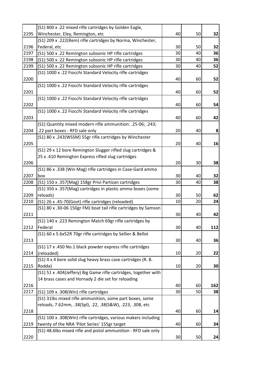|      | (S1) 800 x .22 mixed rifle cartridges by Golden Eagle,           |    |    |     |
|------|------------------------------------------------------------------|----|----|-----|
| 2195 | Winchester, Eley, Remington, etc                                 | 40 | 50 | 32  |
|      | (S1) 209 x .222(Rem) rifle cartridges by Norma, Winchester,      |    |    |     |
| 2196 | Federal, etc                                                     | 30 | 50 | 32  |
| 2197 | (S1) 500 x .22 Remington subsonic HP rifle cartridges            | 30 | 40 | 36  |
| 2198 | (S1) 500 x .22 Remington subsonic HP rifle cartridges            | 30 | 40 | 36  |
| 2199 | (S1) 500 x .22 Remington subsonic HP rifle cartridges            | 30 | 40 | 52  |
|      | (S1) 1000 x .22 Fiocchi Standard Velocity rifle cartridges       |    |    |     |
| 2200 |                                                                  | 40 | 60 | 52  |
|      | (S1) 1000 x .22 Fiocchi Standard Velocity rifle cartridges       |    |    |     |
| 2201 |                                                                  | 40 | 60 | 52  |
|      | (S1) 1000 x .22 Fiocchi Standard Velocity rifle cartridges       |    |    |     |
| 2202 |                                                                  | 40 | 60 | 54  |
|      | (S1) 1000 x .22 Fiocchi Standard Velocity rifle cartridges       |    |    |     |
| 2203 |                                                                  | 40 | 60 | 42  |
|      | (S1) Quantity mixed modern rifle ammunition: .25-06; .243;       |    |    |     |
| 2204 | .22 part boxes - RFD sale only                                   | 20 | 40 | 8   |
|      | (S1) 80 x .243(WSSM) 55gr rifle cartridges by Winchester         |    |    |     |
| 2205 |                                                                  | 20 | 40 | 16  |
|      | (S1) 29 x 12 bore Remington Slugger rifled slug cartridges &     |    |    |     |
|      | 25 x .410 Remington Express rifled slug cartridges               |    |    |     |
| 2206 |                                                                  | 20 | 30 | 38  |
|      | (S1) 86 x .338 (Win Mag) rifle cartridges in Case-Gard ammo      |    |    |     |
| 2207 | box                                                              | 30 | 40 | 32  |
| 2208 | (S1) 150 x .357(Mag) 158gr Privi Partizan cartridges             | 30 | 40 | 38  |
|      | (S1) 350 x .357(Mag) cartridges in plastic ammo boxes (some      |    |    |     |
| 2209 | reloads)                                                         | 30 | 50 | 62  |
| 2210 | (S1) 26 x .45-70(Govt) rifle cartridges (reloaded)               | 10 | 20 | 24  |
|      | (S1) 80 x .30-06 150gr FMJ boat tail rifle cartridges by Samson  |    |    |     |
| 2211 |                                                                  | 30 | 40 | 42  |
|      | (S1) 140 x .223 Remington Match 69gr rifle cartridges by         |    |    |     |
| 2212 | Federal                                                          | 30 | 40 | 112 |
|      | (S1) 60 x 5.6x52R 70gr rifle cartridges by Sellier & Bellot      |    |    |     |
| 2213 |                                                                  | 30 | 40 | 36  |
|      | (S1) 17 x .450 No.1 black powder express rifle cartridges        |    |    |     |
| 2214 | (reloaded)                                                       | 10 | 20 | 22  |
|      | (S1) 4 x 4 bore solid slug heavy brass case cartridges (R. B.    |    |    |     |
| 2215 | Rodda)                                                           | 10 | 20 | 30  |
|      | (S1) 51 x .404(Jeffery) Big Game rifle cartridges, together with |    |    |     |
|      | 14 brass cases and Hornady 2 die set for reloading               |    |    |     |
| 2216 |                                                                  | 40 | 60 | 162 |
| 2217 | (S1) 109 x .308(Win) rifle cartridges                            | 30 | 50 | 38  |
|      | (S1) 31lbs mixed rifle ammunition, some part boxes, some         |    |    |     |
|      | reloads, 7.62mm, .38(Spl), .22, .38(S&W), .223, .308, etc        |    |    |     |
| 2218 |                                                                  | 40 | 60 | 14  |
|      | (S1) 100 x .308(Win) rifle cartridges, various makers including  |    |    |     |
| 2219 | twenty of the NRA 'Pilot Series' 155gr target                    | 40 | 60 | 34  |
|      | (S1) 48.6lbs mixed rifle and pistol ammunition - RFD sale only   |    |    |     |
| 2220 |                                                                  |    |    |     |
|      |                                                                  | 30 | 50 | 24  |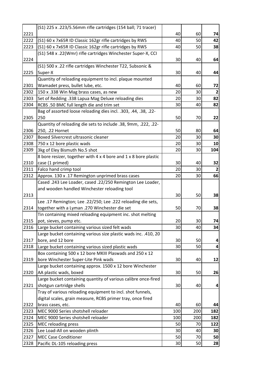|      | (S1) 225 x .223/5.56mm rifle cartridges (154 ball; 71 tracer)   |     |     |                |
|------|-----------------------------------------------------------------|-----|-----|----------------|
| 2221 |                                                                 | 40  | 60  | 74             |
| 2222 | (S1) 60 x 7x65R ID Classic 162gr rifle cartridges by RWS        | 40  | 50  | 42             |
| 2223 | (S1) 60 x 7x65R ID Classic 162gr rifle cartridges by RWS        | 40  | 50  | 38             |
|      | (S1) 548 x .22(Wmr) rifle cartridges Winchester Super-X, CCI    |     |     |                |
| 2224 |                                                                 | 30  | 40  | 64             |
|      | (S1) 500 x .22 rifle cartridges Winchester T22, Subsonic &      |     |     |                |
| 2225 | Super-X                                                         | 30  | 40  | 44             |
|      | Quantity of reloading equipment to incl. plaque mounted         |     |     |                |
| 2301 | Wamadet press, bullet lube, etc.                                | 40  | 60  | 72             |
| 2302 | 150 x .338 Win Mag brass cases, as new                          | 20  | 30  | $\overline{2}$ |
| 2303 | Set of Redding .338 Lapua Mag Deluxe reloading dies             | 20  | 30  | 82             |
| 2304 | RCBS .50 BMC full length die and trim set                       | 30  | 40  | 82             |
|      | Bag of assorted loose reloading dies incl. .303, .44, .38, .22- |     |     |                |
| 2305 | 250                                                             | 50  | 70  | 22             |
|      | Quantity of reloading die sets to include .38, 9mm, .222, .22-  |     |     |                |
| 2306 | 250, .22 Hornet                                                 | 50  | 80  | 64             |
| 2307 | Boxed Silvercrest ultrasonic cleaner                            | 20  | 30  | 30             |
| 2308 | 750 x 12 bore plastic wads                                      | 20  | 30  | 10             |
| 2309 | 3kg of Eley Bismuth No.5 shot                                   | 20  | 30  | 104            |
|      | 8 bore resizer, together with 4 x 4 bore and 1 x 8 bore plastic |     |     |                |
| 2310 | case (1 primed)                                                 | 30  | 40  | 32             |
| 2311 | Falco hand crimp tool                                           | 20  | 30  | $\overline{2}$ |
| 2312 | Approx. 130 x .17 Remington unprimed brass cases                | 20  | 30  | 66             |
|      | Cased .243 Lee Loader, cased .22/250 Remington Lee Loader,      |     |     |                |
|      | and wooden handled Winchester reloading tool                    |     |     |                |
| 2313 |                                                                 | 30  | 50  | 38             |
|      | Lee .17 Remington; Lee .22/250; Lee .222 reloading die sets,    |     |     |                |
| 2314 | together with a Lyman .270 Winchester die set                   | 50  | 70  | 38             |
|      | Tin containing mixed reloading equipment inc. shot melting      |     |     |                |
| 2315 | pot, sieves, pump etc.                                          | 20  | 30  | 74             |
| 2316 | Large bucket containing various sized felt wads                 | 30  | 40  | 34             |
|      | Large bucket containing various size plastic wads inc. .410, 20 |     |     |                |
| 2317 | bore, and 12 bore                                               | 30  | 50  | 4              |
| 2318 | Large bucket containing various sized plastic wads              | 30  | 50  | 4              |
|      | Box containing 500 x 12 bore MKIII Plaswads and 250 x 12        |     |     |                |
| 2319 | bore Winchester Super-Lite Pink wads                            | 30  | 40  | 12             |
|      | Large bucket containing approx. 1500 x 12 bore Winchester       |     |     |                |
| 2320 | AA plastic wads, boxed                                          | 30  | 50  | 26             |
|      | Large bucket containing quantity of various calibre once-fired  |     |     |                |
| 2321 | shotgun cartridge shells                                        | 30  | 40  | 4              |
|      | Tray of various reloading equipment to incl. shot funnels,      |     |     |                |
|      | digital scales, grain measure, RCBS primer tray, once fired     |     |     |                |
| 2322 | brass cases, etc.                                               | 40  | 60  | 44             |
| 2323 | MEC 9000 Series shotshell reloader                              | 100 | 200 | 182            |
| 2324 | MEC 9000 Series shotshell reloader                              | 100 | 200 | 182            |
| 2325 | <b>MEC reloading press</b>                                      | 50  | 70  | 122            |
| 2326 | Lee Load-All on wooden plinth                                   | 30  | 40  | 30             |
| 2327 | <b>MEC Case Conditioner</b>                                     | 50  | 70  | 50             |
| 2328 | Pacific DL-105 reloading press                                  | 30  | 50  | 28             |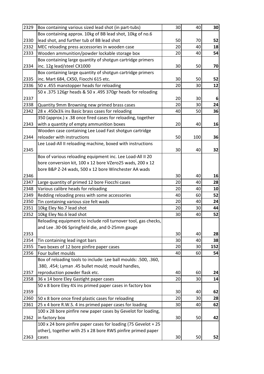| 2329 | Box containing various sized lead shot (in part-tubs)           | 30 | 40  | 30  |
|------|-----------------------------------------------------------------|----|-----|-----|
|      | Box containing approx. 10kg of BB lead shot, 10kg of no.6       |    |     |     |
| 2330 | lead shot, and further tub of BB lead shot                      | 50 | 70  | 52  |
| 2332 | MEC reloading press accessories in wooden case                  | 20 | 40  | 18  |
| 2333 | Wooden ammunition/powder lockable storage box                   | 20 | 40  | 54  |
|      | Box containing large quantity of shotgun cartridge primers      |    |     |     |
| 2334 | inc. 12g lead/steel CX1000                                      | 30 | 50  | 70  |
|      | Box containing large quantity of shotgun cartridge primers      |    |     |     |
| 2335 | inc. Mart 684, CX50, Fiocchi 615 etc.                           | 30 | 50  | 52  |
| 2336 | 50 x .455 manstopper heads for reloading                        | 20 | 30  | 12  |
|      | 50 x .375 126gr heads & 50 x .495 370gr heads for reloading     |    |     |     |
| 2337 |                                                                 | 20 | 30  | 6   |
| 2338 | Quantity 9mm Browning new primed brass cases                    | 20 | 30  | 24  |
| 2342 | 28 x .450x3¼ ins Basic brass cases for reloading                | 40 | 50  | 36  |
|      | 350 (approx.) x .38 once fired cases for reloading, together    |    |     |     |
| 2343 | with a quantity of empty ammunition boxes                       | 20 | 40  | 16  |
|      | Wooden case containing Lee Load Fast shotgun cartridge          |    |     |     |
| 2344 | reloader with instructions                                      | 50 | 100 | 36  |
|      | Lee Load-All II reloading machine, boxed with instructions      |    |     |     |
| 2345 |                                                                 | 30 | 40  | 32  |
|      | Box of various reloading equipment inc. Lee Load-All II 20      |    |     |     |
|      | bore conversion kit, 100 x 12 bore VZero25 wads, 200 x 12       |    |     |     |
|      | bore B&P Z-24 wads, 500 x 12 bore Winchester AA wads            |    |     |     |
| 2346 |                                                                 | 30 | 40  | 16  |
| 2347 | Large quantity of primed 12 bore Fiocchi cases                  | 20 | 40  | 28  |
| 2348 | Various calibre heads for reloading                             | 20 | 40  | 10  |
| 2349 | Redding reloading press with some accessories                   | 40 | 60  | 52  |
| 2350 | Tin containing various size felt wads                           | 20 | 40  | 24  |
| 2351 | 10kg Eley No.7 lead shot                                        | 20 | 30  | 44  |
| 2352 | 10kg Eley No.6 lead shot                                        | 30 | 40  | 52  |
|      | Reloading equipment to include roll turnover tool, gas checks,  |    |     |     |
|      | and Lee .30-06 Springfield die, and 0-25mm gauge                |    |     |     |
| 2353 |                                                                 | 30 | 40  | 28  |
| 2354 | Tin containing lead ingot bars                                  | 30 | 40  | 38  |
| 2355 | Two boxes of 12 bore pinfire paper cases                        | 20 | 30  | 152 |
| 2356 | Four bullet moulds                                              | 40 | 60  | 54  |
|      | Box of reloading tools to include: Lee ball moulds: .500, .360, |    |     |     |
|      | .380, .454; Lyman .45 bullet mould; mould handles,              |    |     |     |
| 2357 | reproduction powder flask etc.                                  | 40 | 60  | 24  |
| 2358 | 36 x 14 bore Eley Gastight paper cases                          | 20 | 30  | 14  |
|      | 50 x 8 bore Eley 4¼ ins primed paper cases in factory box       |    |     |     |
| 2359 |                                                                 | 30 | 40  | 62  |
| 2360 | 50 x 8 bore once fired plastic cases for reloading              | 20 | 30  | 28  |
| 2361 | 25 x 4 bore R.W.S. 4 ins primed paper cases for loading         | 30 | 40  | 62  |
|      | 100 x 28 bore pinfire new paper cases by Gevelot for loading,   |    |     |     |
| 2362 | in factory box                                                  | 30 | 50  | 42  |
|      | 100 x 24 bore pinfire paper cases for loading (75 Gevelot + 25  |    |     |     |
|      | other), together with 25 x 28 bore RWS pinfire primed paper     |    |     |     |
| 2363 | cases                                                           | 30 | 50  | 52  |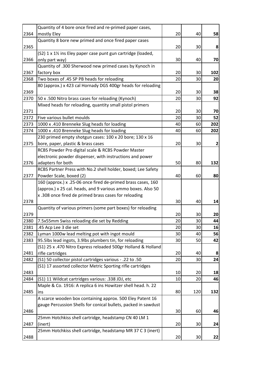|      | Quantity of 4 bore once fired and re-primed paper cases,       |    |     |     |
|------|----------------------------------------------------------------|----|-----|-----|
| 2364 | mostly Eley                                                    | 20 | 40  | 58  |
|      | Quantity 8 bore new primed and once fired paper cases          |    |     |     |
| 2365 |                                                                | 20 | 30  | 8   |
|      | (S2) 1 x 11/2 ins Eley paper case punt gun cartridge (loaded,  |    |     |     |
| 2366 | only part way)                                                 | 30 | 40  | 70  |
|      | Quantity of .300 Sherwood new primed cases by Kynoch in        |    |     |     |
| 2367 | factory box                                                    | 20 | 30  | 102 |
| 2368 | Two boxes of .45 SP PB heads for reloading                     | 20 | 30  | 20  |
|      | 80 (approx.) x 423 cal Hornady DGS 400gr heads for reloading   |    |     |     |
| 2369 |                                                                | 20 | 30  | 38  |
| 2370 | 50 x .500 Nitro brass cases for reloading (Kynoch)             | 20 | 30  | 92  |
|      | Mixed heads for reloading, quantity small pistol primers       |    |     |     |
| 2371 |                                                                | 20 | 30  | 70  |
| 2372 | Five various bullet moulds                                     | 20 | 30  | 52  |
| 2373 | 1000 x .410 Brenneke Slug heads for loading                    | 40 | 60  | 202 |
| 2374 | 1000 x .410 Brenneke Slug heads for loading                    | 40 | 60  | 202 |
|      | 230 primed empty shotgun cases: 100 x 20 bore; 130 x 16        |    |     |     |
| 2375 | bore, paper, plastic & brass cases                             | 20 | 30  | 2   |
|      | RCBS Powder Pro digital scale & RCBS Powder Master             |    |     |     |
|      | electronic powder dispenser, with instructions and power       |    |     |     |
| 2376 | adapters for both                                              | 50 | 80  | 132 |
|      | RCBS Partner Press with No.2 shell holder, boxed; Lee Safety   |    |     |     |
| 2377 | Powder Scale, boxed (2)                                        | 40 | 60  | 80  |
|      | 160 (approx.) x .25-06 once fired de-primed brass cases, 160   |    |     |     |
|      | (approx.) x 25 cal. heads, and 9 various ammo boxes. Also 50   |    |     |     |
|      | x .308 once fired de primed brass cases for reloading          |    |     |     |
| 2378 |                                                                | 30 | 40  | 14  |
|      | Quantity of various primers (some part boxes) for reloading    |    |     |     |
| 2379 |                                                                | 20 | 30  | 20  |
| 2380 | 7.5x55mm Swiss reloading die set by Redding                    | 20 | 30  | 44  |
| 2381 | .45 Acp Lee 3 die set                                          | 20 | 30  | 16  |
| 2382 | Lyman 1000w lead melting pot with ingot mould                  | 30 | 40  | 56  |
| 2383 | 95.5lbs lead ingots, 3.9lbs plumbers tin, for reloading        | 30 | 50  | 42  |
|      | (S1) 25 x .470 Nitro Express reloaded 500gr Holland & Holland  |    |     |     |
| 2481 | rifle cartridges                                               | 20 | 40  | 8   |
| 2482 | (S1) 50 collector pistol cartridges various - .22 to .50       | 20 | 30  | 24  |
|      | (S1) 17 assorted collector Metric Sporting rifle cartridges    |    |     |     |
| 2483 |                                                                | 10 | 20  | 18  |
| 2484 | (S1) 11 Wildcat cartridges various: .338 JDJ, etc              | 10 | 20  | 46  |
|      | Maple & Co. 1916: A replica 6 ins Howitzer shell head. h. 22   |    |     |     |
| 2485 | ins                                                            | 80 | 120 | 132 |
|      | A scarce wooden box containing approx. 500 Eley Patent 16      |    |     |     |
|      | gauge Percussion Shells for conical bullets, packed in sawdust |    |     |     |
| 2486 |                                                                | 30 | 60  | 46  |
|      | 25mm Hotchkiss shell cartridge, headstamp CN 40 LM 1           |    |     |     |
| 2487 | (inert)                                                        | 20 | 30  | 24  |
|      | 25mm Hotchkiss shell cartridge, headstamp MR 37 C 3 (inert)    |    |     |     |
| 2488 |                                                                | 20 | 30  | 22  |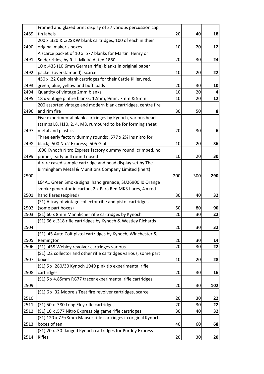|      | Framed and glazed print display of 37 various percussion cap     |     |     |     |
|------|------------------------------------------------------------------|-----|-----|-----|
| 2489 | tin labels                                                       | 20  | 40  | 18  |
|      | 200 x .320 & .32S&W blank cartridges, 100 of each in their       |     |     |     |
| 2490 | original maker's boxes                                           | 10  | 20  | 12  |
|      | A scarce packet of 10 x .577 blanks for Martini Henry or         |     |     |     |
| 2491 | Snider rifles, by R. L. Mk IV, dated 1880                        | 20  | 30  | 24  |
|      | 10 x .433 (10.6mm German rifle) blanks in original paper         |     |     |     |
| 2492 | packet (overstamped), scarce                                     | 10  | 20  | 22  |
|      | 450 x .22 Cash blank cartridges for their Cattle Killer, red,    |     |     |     |
| 2493 | green, blue, yellow and buff loads                               | 20  | 30  | 10  |
| 2494 | Quantity of vintage 2mm blanks                                   | 10  | 20  | 4   |
| 2495 | 18 x vintage pinfire blanks: 12mm, 9mm, 7mm & 5mm                | 10  | 20  | 12  |
|      | 200 assorted vintage and modern blank cartridges, centre fire    |     |     |     |
| 2496 | and rim fire                                                     | 30  | 50  | 8   |
|      | Five experimental blank cartridges by Kynoch, various head       |     |     |     |
|      | stamps L8, H10, 2, 4, M8, rumoured to be for forming sheet       |     |     |     |
| 2497 | metal and plastics                                               | 20  | 30  | 6   |
|      | Three early factory dummy rounds: .577 x 2% ins nitro for        |     |     |     |
| 2498 | black; .500 No.2 Express; .505 Gibbs                             | 10  | 20  | 36  |
|      | .600 Kynoch Nitro Express factory dummy round, crimped, no       |     |     |     |
| 2499 | primer, early bull round nosed                                   | 10  | 20  | 30  |
|      | A rare cased sample cartridge and head display set by The        |     |     |     |
|      | Birmingham Metal & Munitions Company Limited (inert)             |     |     |     |
| 2500 |                                                                  | 200 | 300 | 290 |
|      | L64A1 Green Smoke signal hand grenade, SU26900II0 Orange         |     |     |     |
|      | smoke generator in carton, 2 x Para Red MK3 flares, 4 x red      |     |     |     |
| 2501 | hand flares (expired)                                            | 30  | 40  | 32  |
|      | (S1) A tray of vintage collector rifle and pistol cartridges     |     |     |     |
| 2502 | (some part boxes)                                                | 50  | 80  | 90  |
| 2503 | (S1) 60 x 8mm Mannlicher rifle cartridges by Kynoch              | 20  | 30  | 22  |
|      | (S1) 66 x .318 rifle cartridges by Kynoch & Westley Richards     |     |     |     |
| 2504 |                                                                  | 20  | 30  | 32  |
|      | (S1) .45 Auto Colt pistol cartridges by Kynoch, Winchester &     |     |     |     |
| 2505 | Remington                                                        | 20  | 30  | 14  |
| 2506 | (S1) .455 Webley revolver cartridges various                     | 20  | 30  | 22  |
|      | (S1) .22 collector and other rifle cartridges various, some part |     |     |     |
| 2507 | boxes                                                            | 10  | 20  | 28  |
|      | (S1) 5 x .280/30 Kynoch 1949 pink tip experimental rifle         |     |     |     |
| 2508 | cartridges                                                       | 20  | 30  | 16  |
|      | (S1) 5 x 4.85mm RG77 tracer experimental rifle cartridges        |     |     |     |
| 2509 |                                                                  | 20  | 30  | 102 |
|      | (S1) 6 x .32 Moore's Teat fire revolver cartridges, scarce       |     |     |     |
| 2510 |                                                                  | 20  | 30  | 22  |
| 2511 | (S1) 50 x .380 Long Eley rifle cartridges                        | 20  | 30  | 22  |
| 2512 | (S1) 10 x .577 Nitro Express big game rifle cartridges           | 30  | 40  | 32  |
|      | (S1) 120 x 7.9/8mm Mauser rifle cartridges in original Kynoch    |     |     |     |
| 2513 | boxes of ten                                                     | 40  | 60  | 68  |
|      | (S1) 20 x .30 flanged Kynoch cartridges for Purdey Express       |     |     |     |
| 2514 | Rifles                                                           | 20  | 30  | 20  |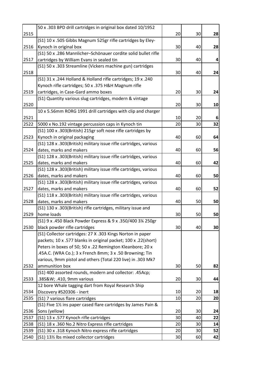|      | 50 x .303 BPD drill cartridges in original box dated 10/1952                  |    |    |    |
|------|-------------------------------------------------------------------------------|----|----|----|
| 2515 |                                                                               | 20 | 30 | 28 |
|      | (S1) 10 x .505 Gibbs Magnum 525gr rifle cartridges by Eley-                   |    |    |    |
| 2516 | Kynoch in original box                                                        | 30 | 40 | 28 |
|      | (S1) 50 x .286 Mannlicher-Schönauer cordite solid bullet rifle                |    |    |    |
| 2517 | cartridges by William Evans in sealed tin                                     | 30 | 40 | 4  |
|      | (S1) 50 x .303 Streamline (Vickers machine gun) cartridges                    |    |    |    |
| 2518 |                                                                               | 30 | 40 | 24 |
|      | (S1) 31 x .244 Holland & Holland rifle cartridges; 19 x .240                  |    |    |    |
|      | Kynoch rifle cartridges; 50 x .375 H&H Magnum rifle                           |    |    |    |
| 2519 | cartridges, in Case-Gard ammo boxes                                           | 20 | 30 | 24 |
|      | (S1) Quantity various slug cartridges, modern & vintage                       |    |    |    |
| 2520 |                                                                               | 20 | 30 | 10 |
|      | 10 x 5.56mm RORG 1991 drill cartridges with clip and charger                  |    |    |    |
| 2521 |                                                                               | 10 | 20 | 6  |
| 2522 | 5000 x No.192 vintage percussion caps in Kynoch tin                           | 20 | 30 | 32 |
|      | (S1) 100 x .303(British) 215gr soft nose rifle cartridges by                  |    |    |    |
| 2523 | Kynoch in original packaging                                                  | 40 | 60 | 64 |
|      | (S1) 128 x .303(British) military issue rifle cartridges, various             |    |    |    |
| 2524 | dates, marks and makers                                                       | 40 | 60 | 56 |
|      | (S1) 128 x .303(British) military issue rifle cartridges, various             |    |    |    |
| 2525 | dates, marks and makers                                                       | 40 | 60 | 42 |
|      | (S1) 128 x .303(British) military issue rifle cartridges, various             |    |    |    |
| 2526 | dates, marks and makers                                                       | 40 | 60 | 50 |
|      | (S1) 128 x .303(British) military issue rifle cartridges, various             |    |    |    |
| 2527 | dates, marks and makers                                                       | 40 | 60 | 52 |
|      | (S1) 118 x .303(British) military issue rifle cartridges, various             |    |    |    |
| 2528 | dates, marks and makers                                                       | 40 | 50 | 50 |
|      | (S1) 130 x .303(British) rifle cartridges, military issue and                 |    |    |    |
| 2529 | home loads                                                                    | 30 | 50 | 50 |
|      | (S1) 9 x .450 Black Powder Express & 9 x .350/400 3¼ 250gr                    |    |    |    |
| 2530 | black powder rifle cartridges                                                 | 30 | 40 | 30 |
|      | (S1) Collector cartridges: 27 X .303 Kings Norton in paper                    |    |    |    |
|      | packets; 10 x .577 blanks in original packet; 100 x .22(short)                |    |    |    |
|      | Peters in boxes of 50; 50 x .22 Remington Kleanbore; 20 x                     |    |    |    |
|      | .45A.C. (WRA Co.); 3 x French 8mm; 3 x .50 Browning; Tin                      |    |    |    |
| 2532 | various, 9mm pistol and others (Total 220 live) in .303 Mk7<br>ammunition box | 30 | 50 | 82 |
|      | (S1) 400 assorted rounds, modern and collector: .45Acp;                       |    |    |    |
| 2533 | .38S&W .410, 9mm various                                                      | 20 | 30 | 44 |
|      | 12 bore Whale tagging dart from Royal Research Ship                           |    |    |    |
| 2534 | Discovery #S20306 - inert                                                     | 10 | 20 | 18 |
| 2535 | (S1) 7 various flare cartridges                                               | 10 | 20 | 20 |
|      | (S1) Five 11/2 ins paper cased flare cartridges by James Pain &               |    |    |    |
| 2536 | Sons (yellow)                                                                 | 20 | 30 | 24 |
| 2537 | (S1) 13 x .577 Kynoch rifle cartridges                                        | 30 | 40 | 22 |
| 2538 | (S1) 18 x .360 No.2 Nitro Express rifle cartridges                            | 20 | 30 | 14 |
| 2539 | (S1) 30 x .318 Kynoch Nitro express rifle cartridges                          | 20 | 30 | 52 |
| 2540 |                                                                               | 30 | 60 | 42 |
|      | (S1) 13% lbs mixed collector cartridges                                       |    |    |    |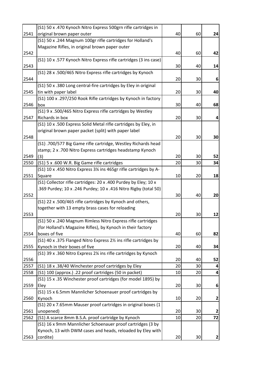|      | (S1) 50 x .470 Kynoch Nitro Express 500grn rifle cartridges in    |    |    |                  |
|------|-------------------------------------------------------------------|----|----|------------------|
| 2541 | original brown paper outer                                        | 40 | 60 | 24               |
|      | (S1) 50 x .244 Magnum 100gr rifle cartridges for Holland's        |    |    |                  |
|      | Magazine Rifles, in original brown paper outer                    |    |    |                  |
| 2542 |                                                                   | 40 | 60 | 42               |
|      | (S1) 10 x .577 Kynoch Nitro Express rifle cartridges (3 ins case) |    |    |                  |
| 2543 |                                                                   | 30 | 40 | 14               |
|      | (S1) 28 x .500/465 Nitro Express rifle cartridges by Kynoch       |    |    |                  |
| 2544 |                                                                   | 20 | 30 | 6                |
|      | (S1) 50 x .380 Long central-fire cartridges by Eley in original   |    |    |                  |
| 2545 | tin with paper label                                              | 20 | 30 | 40               |
|      | (S1) 100 x .297/250 Rook Rifle cartridges by Kynoch in factory    |    |    |                  |
| 2546 | box                                                               | 30 | 40 | 68               |
|      | (S1) 9 x .500/465 Nitro Express rifle cartridges by Westley       |    |    |                  |
| 2547 | Richards in box                                                   | 20 | 30 | $\boldsymbol{4}$ |
|      | (S1) 10 x .500 Express Solid Metal rifle cartridges by Eley, in   |    |    |                  |
|      | original brown paper packet (split) with paper label              |    |    |                  |
| 2548 |                                                                   | 20 | 30 | 30               |
|      | (S1) .700/577 Big Game rifle cartridge, Westley Richards head     |    |    |                  |
|      | stamp; 2 x .700 Nitro Express cartridges headstamp Kynoch         |    |    |                  |
| 2549 | (3)                                                               | 20 | 30 | 52               |
| 2550 | (S1) 5 x .600 W.R. Big Game rifle cartridges                      | 20 | 30 | 34               |
|      | (S1) 10 x .450 Nitro Express 3¼ ins 465gr rifle cartridges by A-  |    |    |                  |
| 2551 | Square                                                            | 10 | 20 | 18               |
|      | (S1) Collector rifle cartridges: 20 x .400 Purdey by Eley; 10 x   |    |    |                  |
|      | .369 Purdey; 10 x .246 Purdey; 10 x .416 Nitro Rigby (total 50)   |    |    |                  |
| 2552 |                                                                   | 30 | 40 | 20               |
|      | (S1) 22 x .500/465 rifle cartridges by Kynoch and others,         |    |    |                  |
|      | together with 13 empty brass cases for reloading                  |    |    |                  |
| 2553 |                                                                   | 20 | 30 | 12               |
|      | (S1) 50 x .240 Magnum Rimless Nitro Express rifle cartridges      |    |    |                  |
|      | (for Holland's Magazine Rifles), by Kynoch in their factory       |    |    |                  |
| 2554 | boxes of five                                                     | 40 | 60 | 82               |
|      | (S1) 40 x .375 Flanged Nitro Express 21/2 ins rifle cartridges by |    |    |                  |
| 2555 | Kynoch in their boxes of five                                     | 20 | 40 | 34               |
|      | (S1) 39 x .360 Nitro Express 2¼ ins rifle cartridges by Kynoch    |    |    |                  |
| 2556 |                                                                   | 20 | 40 | 52               |
| 2557 | (S1) 18 x .38/40 Winchester proof cartridges by Eley              | 20 | 30 | 4                |
| 2558 | (S1) 100 (approx.) .22 proof cartridges (50 in packet)            | 10 | 20 | 4                |
|      | (S1) 15 x .35 Winchester proof cartridges (for model 1895) by     |    |    |                  |
| 2559 | Eley                                                              | 20 | 30 | 6                |
|      | (S1) 15 x 6.5mm Mannlicher Schoenauer proof cartridges by         |    |    |                  |
| 2560 | Kynoch                                                            | 10 | 20 | 2                |
|      | (S1) 20 x 7.65mm Mauser proof cartridges in original boxes (1     |    |    |                  |
| 2561 | unopened)                                                         | 20 | 30 | 2                |
| 2562 | (S1) A scarce 8mm B.S.A. proof cartridge by Kynoch                | 10 | 20 | 72               |
|      | (S1) 16 x 9mm Mannlicher Schoenauer proof cartridges (3 by        |    |    |                  |
|      | Kynoch, 13 with DWM cases and heads, reloaded by Eley with        |    |    |                  |
| 2563 | cordite)                                                          | 20 | 30 | 2                |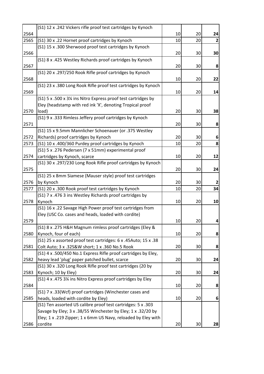|      | (S1) 12 x .242 Vickers rifle proof test cartridges by Kynoch    |    |    |    |
|------|-----------------------------------------------------------------|----|----|----|
| 2564 |                                                                 | 10 | 20 | 24 |
| 2565 | (S1) 30 x .22 Hornet proof cartridges by Kynoch                 | 10 | 20 | 2  |
|      | (S1) 15 x .300 Sherwood proof test cartridges by Kynoch         |    |    |    |
| 2566 |                                                                 | 20 | 30 | 30 |
|      | (S1) 8 x .425 Westley Richards proof cartridges by Kynoch       |    |    |    |
| 2567 |                                                                 | 20 | 30 | 8  |
|      | (S1) 20 x .297/250 Rook Rifle proof cartridges by Kynoch        |    |    |    |
| 2568 |                                                                 | 10 | 20 | 22 |
|      | (S1) 23 x .380 Long Rook Rifle proof test cartridges by Kynoch  |    |    |    |
| 2569 |                                                                 | 10 | 20 | 14 |
|      | (S1) 5 x .500 x 3¼ ins Nitro Express proof test cartridges by   |    |    |    |
|      | Eley (headstamp with red ink 'X', denoting Tropical proof       |    |    |    |
| 2570 | load)                                                           | 20 | 30 | 38 |
|      | (S1) 9 x .333 Rimless Jeffery proof cartridges by Kynoch        |    |    |    |
| 2571 |                                                                 | 20 | 30 | 8  |
|      | (S1) 15 x 9.5mm Mannlicher Schoenauer (or .375 Westley          |    |    |    |
| 2572 | Richards) proof cartridges by Kynoch                            | 20 | 30 | 6  |
| 2573 | (S1) 10 x .400/360 Purdey proof cartridges by Kynoch            | 10 | 20 | 8  |
|      | (S1) 5 x .276 Pedersen (7 x 51mm) experimental proof            |    |    |    |
| 2574 | cartridges by Kynoch, scarce                                    | 10 | 20 | 12 |
|      | (S1) 30 x .297/230 Long Rook Rifle proof cartridges by Kynoch   |    |    |    |
| 2575 |                                                                 | 20 | 30 | 24 |
|      | (S1) 25 x 8mm Siamese (Mauser style) proof test cartridges      |    |    |    |
| 2576 | by Kynoch                                                       | 20 | 30 | 2  |
| 2577 | (S1) 20 x .300 Rook proof test cartridges by Kynoch             | 10 | 20 | 34 |
|      | (S1) 7 x .476 3 ins Westley Richards proof cartridges by        |    |    |    |
| 2578 | Kynoch                                                          | 10 | 20 | 10 |
|      | (S1) 16 x .22 Savage High Power proof test cartridges from      |    |    |    |
|      | Eley (USC Co. cases and heads, loaded with cordite)             |    |    |    |
| 2579 |                                                                 | 10 | 20 | 4  |
|      | (S1) 8 x .275 H&H Magnum rimless proof cartridges (Eley &       |    |    |    |
| 2580 | Kynoch, four of each)                                           | 10 | 20 | 8  |
|      | (S1) 25 x assorted proof test cartridges: 6 x .45Auto; 15 x .38 |    |    |    |
| 2581 | Colt Auto; 3 x .32S&W short; 1 x .360 No.5 Rook                 | 20 | 30 | 8  |
|      | (S1) 4 x .500/450 No.1 Express Rifle proof cartridges by Eley,  |    |    |    |
| 2582 | heavy lead 'plug' paper patched bullet, scarce                  | 20 | 30 | 24 |
|      | (S1) 30 x .320 Long Rook Rifle proof test cartridges (20 by     |    |    |    |
| 2583 | Kynoch; 10 by Eley)                                             | 20 | 30 | 24 |
|      | (S1) 4 x .475 3¼ ins Nitro Express proof cartridges by Eley     |    |    |    |
| 2584 |                                                                 | 10 | 20 | 8  |
|      | (S1) 7 x .33(Wcf) proof cartridges (Winchester cases and        |    |    |    |
| 2585 | heads, loaded with cordite by Eley)                             | 10 | 20 | 6  |
|      | (S1) Ten assorted US calibre proof test cartridges: 5 x .303    |    |    |    |
|      | Savage by Eley; 3 x .38/55 Winchester by Eley; 1 x .32/20 by    |    |    |    |
|      | Eley; 1 x .219 Zipper; 1 x 6mm US Navy, reloaded by Eley with   |    |    |    |
| 2586 | cordite                                                         | 20 | 30 | 28 |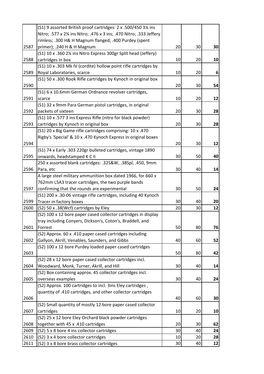|      | (S1) 9 assorted British proof cartridges: 2 x .500/450 3¼ ins      |    |    |    |
|------|--------------------------------------------------------------------|----|----|----|
|      | Nitro; .577 x 2% ins Nitro; .476 x 3 ins; .470 Nitro; .333 Jeffery |    |    |    |
|      | rimless; .300 H& H Magnum flanged; .400 Purdey (spent              |    |    |    |
| 2587 | primer); .240 H & H Magnum                                         | 20 | 30 | 30 |
|      | (S1) 10 x .360 2¼ ins Nitro Express 300gr Split head (Jeffery)     |    |    |    |
| 2588 | cartridges in box                                                  | 10 | 20 | 10 |
|      | (S1) 10 x .303 Mk IV (cordite) hollow point rifle cartridges by    |    |    |    |
| 2589 | Royal Laboratories, scarce                                         | 10 | 20 | 6  |
|      | (S1) 50 x .300 Rook Rifle cartridges by Kynoch in original box     |    |    |    |
| 2590 |                                                                    | 20 | 30 | 54 |
|      | (S1) 6 x 10.6mm German Ordnance revolver cartridges,               |    |    |    |
| 2591 | scarce                                                             | 10 | 20 | 12 |
|      | (S1) 32 x 9mm Para German pistol cartridges, in original           |    |    |    |
| 2592 | packets of sixteen                                                 | 20 | 30 | 28 |
|      | (S1) 10 x .577 3 ins Express Rifle (nitro for black powder)        |    |    |    |
| 2593 | cartridges by Kynoch in original box                               | 20 | 30 | 28 |
|      | (S1) 20 x Big Game rifle cartridges comprising: 10 x .470          |    |    |    |
|      | Rigby's 'Special' & 10 x .470 Kynoch Express in original boxes     |    |    |    |
| 2594 |                                                                    | 20 | 30 | 12 |
|      | (S1) 74 x Early .303 220gr bulleted cartridges, vintage 1890       |    |    |    |
| 2595 | onwards, headstamped K C II                                        | 30 | 50 | 40 |
|      | 250 x assorted blank cartridges: .32S&W, .38Spl, .450, 9mm         |    |    |    |
| 2596 | Para, etc                                                          | 30 | 40 | 14 |
|      | A large steel military ammunition box dated 1966, for 660 x        |    |    |    |
|      | 762mm L5A3 tracer cartridges, the two purple bands                 |    |    |    |
| 2597 | confirming that the rounds are experimental                        | 30 | 50 | 24 |
|      | (S1) 200 x .30-06 vintage rifle cartridges, including 40 Kynoch    |    |    |    |
| 2599 | Tracer in factory boxes                                            | 30 | 40 | 20 |
| 2600 | (S2) 50 x .38(Wcf) cartridges by Eley                              | 20 | 30 | 12 |
|      | (S2) 100 x 12 bore paper cased collector cartridges in display     |    |    |    |
|      | tray including Conyers, Dickson's, Coton's, Braddell, and          |    |    |    |
| 2601 | Forrest                                                            | 50 | 80 | 76 |
|      | (S2) Approx. 60 x .410 paper cased cartridges including            |    |    |    |
| 2602 | Gallyon, Akrill, Venables, Saunders, and Gibbs                     | 40 | 60 | 52 |
|      | (S2) 100 x 12 bore Purdey loaded paper cased cartridges            |    |    |    |
| 2603 |                                                                    | 50 | 80 | 42 |
|      | (S2) 28 x 12 bore paper cased collector cartridges incl.           |    |    |    |
| 2604 | Woodward, Monk, Turner, Akrill, and Hill                           | 30 | 40 | 14 |
|      | (S2) Box containing approx. 45 collector cartridges incl.          |    |    |    |
| 2605 | overseas examples                                                  | 30 | 40 | 24 |
|      | (S2) Approx. 100 cartridges to incl. 3ins Eley cartridges,         |    |    |    |
|      | quantity of .410 cartridges, and other collector cartridges        |    |    |    |
| 2606 |                                                                    | 40 | 60 | 30 |
|      | (S2) Small quantity of mostly 12 bore paper cased collector        |    |    |    |
| 2607 | cartridges                                                         | 10 | 20 | 10 |
|      | (S2) 25 x 12 bore Eley Orchard black powder cartridges             |    |    |    |
| 2608 | together with 45 x .410 cartridges                                 | 20 | 30 | 62 |
| 2609 | (S2) 5 x 8 bore 4 ins collector cartridges                         | 30 | 40 | 24 |
| 2610 | (S2) 3 x 4 bore collector cartridges                               | 10 | 20 | 28 |
| 2611 | (S2) 3 x 8 bore brass collector cartridges                         | 30 | 40 | 12 |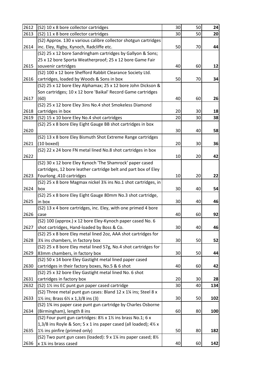| 2612 | (S2) 10 x 8 bore collector cartridges                             | 30 | 50 | 24  |
|------|-------------------------------------------------------------------|----|----|-----|
| 2613 | (S2) 11 x 8 bore collector cartridges                             | 30 | 50 | 20  |
|      | (S2) Approx. 130 x various calibre collector shotgun cartridges   |    |    |     |
| 2614 | inc. Eley, Rigby, Kynoch, Radcliffe etc.                          | 50 | 70 | 44  |
|      | (S2) 25 x 12 bore Sandringham cartridges by Gallyon & Sons;       |    |    |     |
|      | 25 x 12 bore Sporta Weatherproof; 25 x 12 bore Game Fair          |    |    |     |
| 2615 | souvenir cartridges                                               | 40 | 60 | 12  |
|      | (S2) 100 x 12 bore Shefford Rabbit Clearance Society Ltd.         |    |    |     |
| 2616 | cartridges, loaded by Woods & Sons in box                         | 50 | 70 | 34  |
|      | (S2) 25 x 12 bore Eley Alphamax; 25 x 12 bore John Dickson &      |    |    |     |
|      | Son cartridges; 10 x 12 bore 'Baikal' Record Game cartridges      |    |    |     |
| 2617 | (60)                                                              | 40 | 60 | 26  |
|      | (S2) 25 x 12 bore Eley 3ins No.4 shot Smokeless Diamond           |    |    |     |
| 2618 | cartridges in box                                                 | 20 | 30 | 18  |
| 2619 | (S2) 15 x 10 bore Eley No.4 shot cartridges                       | 20 | 30 | 38  |
|      | (S2) 25 x 8 bore Eley Eight Gauge BB shot cartridges in box       |    |    |     |
| 2620 |                                                                   | 30 | 40 | 58  |
|      | (S2) 13 x 8 bore Eley Bismuth Shot Extreme Range cartridges       |    |    |     |
| 2621 | $(10$ boxed)                                                      | 20 | 30 | 36  |
|      | (S2) 22 x 24 bore FN metal lined No.8 shot cartridges in box      |    |    |     |
| 2622 |                                                                   | 10 | 20 | 42  |
|      | (S2) 30 x 12 bore Eley Kynoch 'The Shamrock' paper cased          |    |    |     |
|      | cartridges, 12 bore leather cartridge belt and part box of Eley   |    |    |     |
| 2623 | Fourlong .410 cartridges                                          | 10 | 20 | 22  |
|      | (S2) 25 x 8 bore Magmax nickel 3¼ ins No.1 shot cartridges, in    |    |    |     |
| 2624 | box                                                               | 30 | 40 | 54  |
|      | (S2) 25 x 8 bore Eley Eight Gauge 80mm No.3 shot cartridge,       |    |    |     |
| 2625 | in box                                                            | 30 | 40 | 46  |
|      | (S2) 13 x 4 bore cartridges, inc. Eley, with one primed 4 bore    |    |    |     |
| 2626 | case                                                              | 40 | 60 | 92  |
|      | (S2) 100 (approx.) x 12 bore Eley-Kynoch paper cased No. 6        |    |    |     |
| 2627 | shot cartridges, Hand-loaded by Boss & Co.                        | 30 | 40 | 46  |
|      | (S2) 25 x 8 bore Eley metal lined 2oz, AAA shot cartridges for    |    |    |     |
| 2628 | 3¼ ins chambers, in factory box                                   | 30 | 50 | 52  |
|      | (S2) 25 x 8 bore Eley metal lined 57g, No.4 shot cartridges for   |    |    |     |
| 2629 | 83mm chambers, in factory box                                     | 30 | 50 | 44  |
|      | (S2) 50 x 14 bore Eley Gastight metal lined paper cased           |    |    |     |
| 2630 | cartridges in their factory boxes, No.5 & 6 shot                  | 40 | 60 | 42  |
|      | (S2) 25 x 32 bore Eley Gastight metal lined No. 6 shot            |    |    |     |
| 2631 | cartridges in factory box                                         | 20 | 30 | 28  |
| 2632 | (S2) 11/ <sub>2</sub> ins EC punt gun paper cased cartridge       | 30 | 40 | 134 |
|      | (S2) Three metal punt gun cases: Bland 12 x 11/4 ins; Steel 8 x   |    |    |     |
| 2633 | 1½ ins; Brass 6½ x 1,3/8 ins (3)                                  | 30 | 50 | 102 |
|      | (S2) 1% ins paper case punt gun cartridge by Charles Osborne      |    |    |     |
| 2634 | (Birmingham), length 8 ins                                        | 60 | 80 | 100 |
|      | (S2) Four punt gun cartridges: 81/2 x 11/2 ins brass No.1; 6 x    |    |    |     |
|      | 1,3/8 ins Royle & Son; 5 x 1 ins paper cased (all loaded); 41/2 x |    |    |     |
| 2635 | 1½ ins pinfire (primed only)                                      | 50 | 80 | 182 |
|      | (S2) Two punt gun cases (loaded): 9 x 1¼ ins paper cased; 8½      |    |    |     |
| 2636 | x 1% ins brass cased                                              | 40 | 60 | 142 |